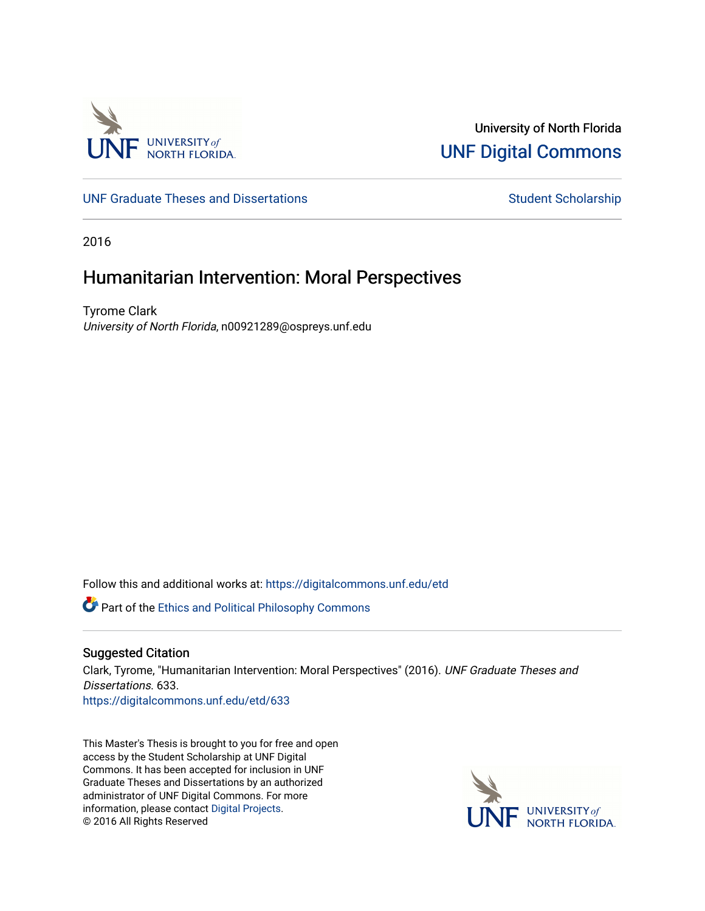

University of North Florida [UNF Digital Commons](https://digitalcommons.unf.edu/) 

[UNF Graduate Theses and Dissertations](https://digitalcommons.unf.edu/etd) [Student Scholarship](https://digitalcommons.unf.edu/student_scholars) Student Scholarship

2016

# Humanitarian Intervention: Moral Perspectives

Tyrome Clark University of North Florida, n00921289@ospreys.unf.edu

Follow this and additional works at: [https://digitalcommons.unf.edu/etd](https://digitalcommons.unf.edu/etd?utm_source=digitalcommons.unf.edu%2Fetd%2F633&utm_medium=PDF&utm_campaign=PDFCoverPages) 

Part of the [Ethics and Political Philosophy Commons](http://network.bepress.com/hgg/discipline/529?utm_source=digitalcommons.unf.edu%2Fetd%2F633&utm_medium=PDF&utm_campaign=PDFCoverPages) 

## Suggested Citation

Clark, Tyrome, "Humanitarian Intervention: Moral Perspectives" (2016). UNF Graduate Theses and Dissertations. 633. [https://digitalcommons.unf.edu/etd/633](https://digitalcommons.unf.edu/etd/633?utm_source=digitalcommons.unf.edu%2Fetd%2F633&utm_medium=PDF&utm_campaign=PDFCoverPages) 

This Master's Thesis is brought to you for free and open access by the Student Scholarship at UNF Digital Commons. It has been accepted for inclusion in UNF Graduate Theses and Dissertations by an authorized administrator of UNF Digital Commons. For more information, please contact [Digital Projects](mailto:lib-digital@unf.edu). © 2016 All Rights Reserved

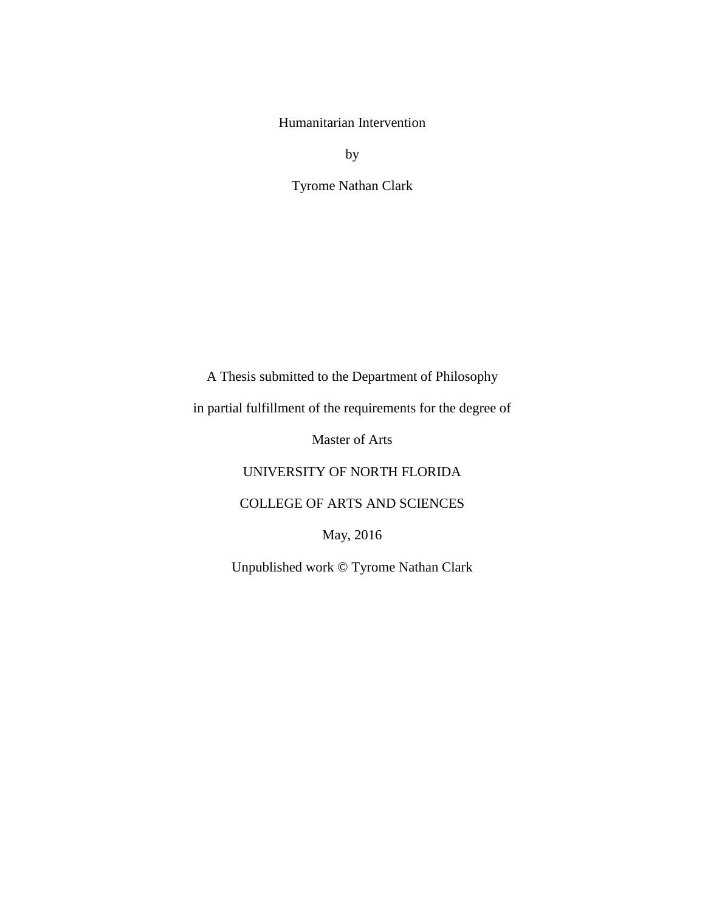Humanitarian Intervention

by

Tyrome Nathan Clark

A Thesis submitted to the Department of Philosophy

in partial fulfillment of the requirements for the degree of

Master of Arts

UNIVERSITY OF NORTH FLORIDA

COLLEGE OF ARTS AND SCIENCES

May, 2016

Unpublished work © Tyrome Nathan Clark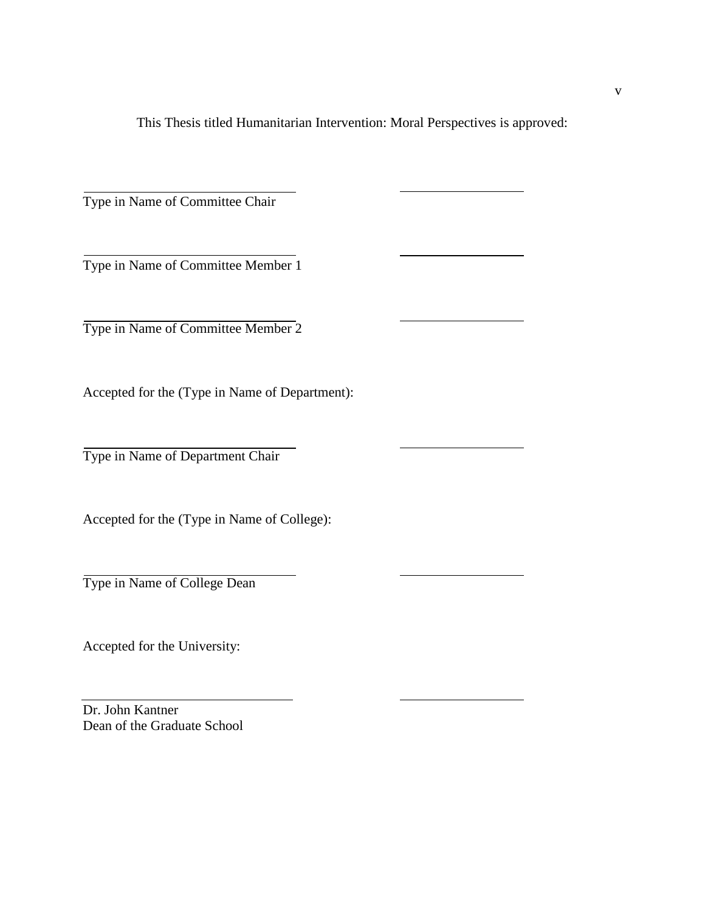This Thesis titled Humanitarian Intervention: Moral Perspectives is approved:

Type in Name of Committee Chair

Type in Name of Committee Member 1

Type in Name of Committee Member 2

Accepted for the (Type in Name of Department):

Type in Name of Department Chair

Accepted for the (Type in Name of College):

Type in Name of College Dean

Accepted for the University:

Dr. John Kantner Dean of the Graduate School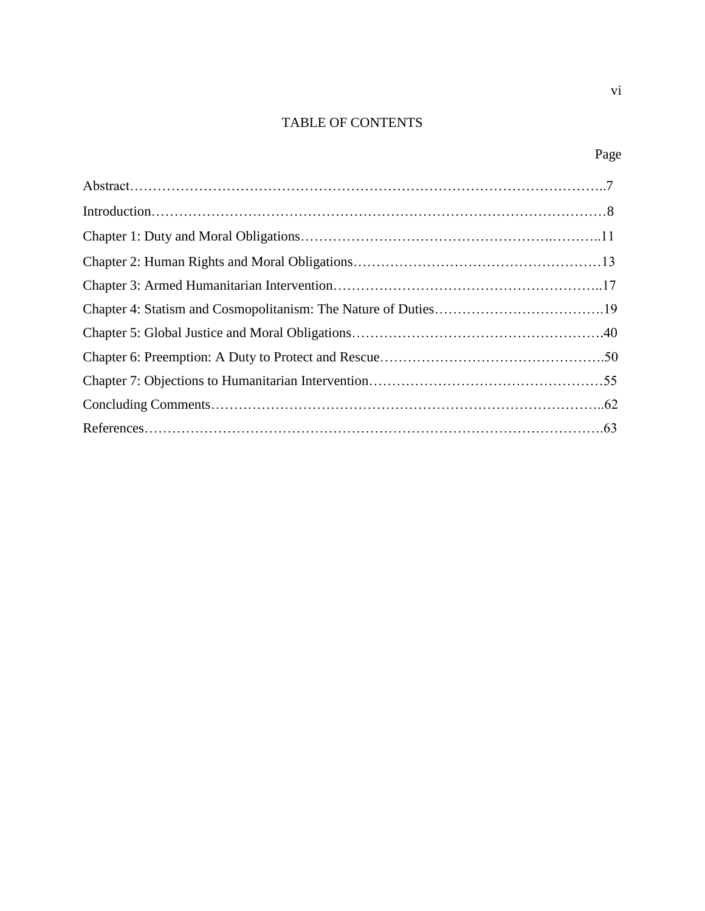## TABLE OF CONTENTS

vi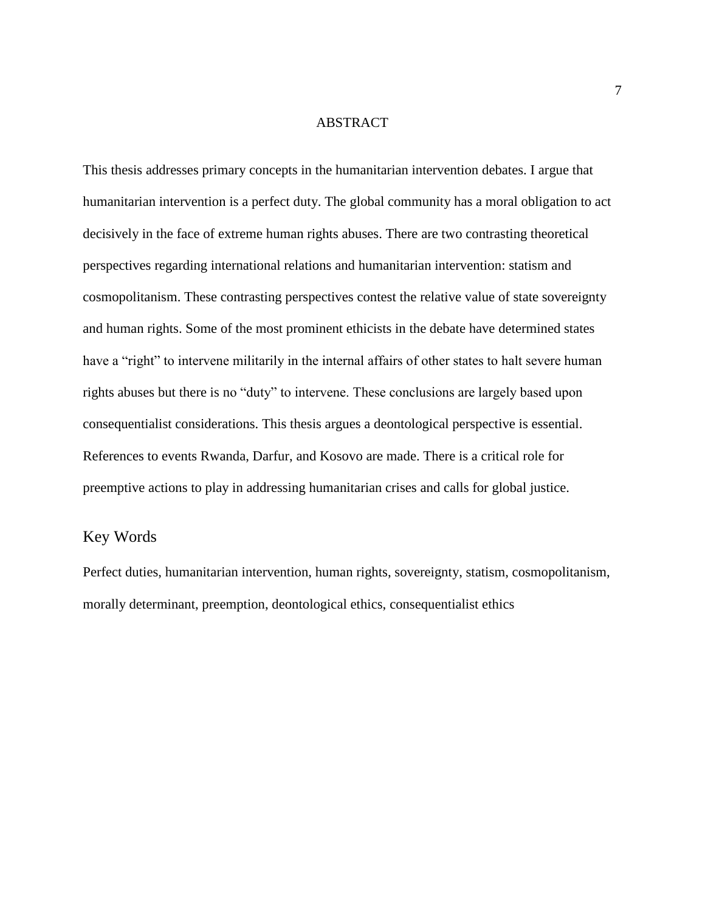#### ABSTRACT

This thesis addresses primary concepts in the humanitarian intervention debates. I argue that humanitarian intervention is a perfect duty. The global community has a moral obligation to act decisively in the face of extreme human rights abuses. There are two contrasting theoretical perspectives regarding international relations and humanitarian intervention: statism and cosmopolitanism. These contrasting perspectives contest the relative value of state sovereignty and human rights. Some of the most prominent ethicists in the debate have determined states have a "right" to intervene militarily in the internal affairs of other states to halt severe human rights abuses but there is no "duty" to intervene. These conclusions are largely based upon consequentialist considerations. This thesis argues a deontological perspective is essential. References to events Rwanda, Darfur, and Kosovo are made. There is a critical role for preemptive actions to play in addressing humanitarian crises and calls for global justice.

## Key Words

Perfect duties, humanitarian intervention, human rights, sovereignty, statism, cosmopolitanism, morally determinant, preemption, deontological ethics, consequentialist ethics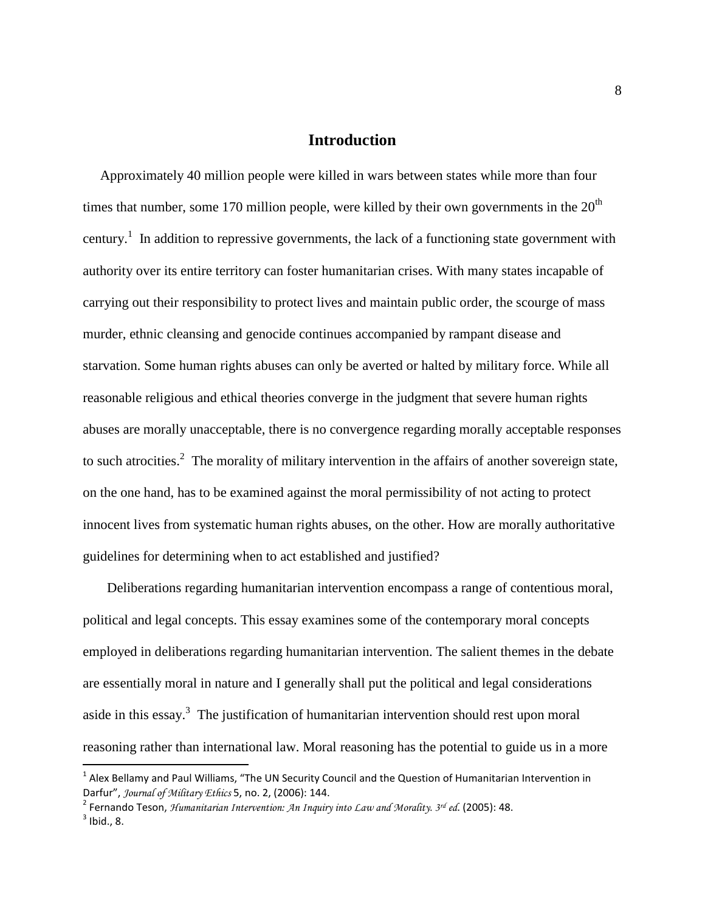## **Introduction**

 Approximately 40 million people were killed in wars between states while more than four times that number, some 170 million people, were killed by their own governments in the  $20<sup>th</sup>$ century.<sup>1</sup> In addition to repressive governments, the lack of a functioning state government with authority over its entire territory can foster humanitarian crises. With many states incapable of carrying out their responsibility to protect lives and maintain public order, the scourge of mass murder, ethnic cleansing and genocide continues accompanied by rampant disease and starvation. Some human rights abuses can only be averted or halted by military force. While all reasonable religious and ethical theories converge in the judgment that severe human rights abuses are morally unacceptable, there is no convergence regarding morally acceptable responses to such atrocities.<sup>2</sup> The morality of military intervention in the affairs of another sovereign state, on the one hand, has to be examined against the moral permissibility of not acting to protect innocent lives from systematic human rights abuses, on the other. How are morally authoritative guidelines for determining when to act established and justified?

 Deliberations regarding humanitarian intervention encompass a range of contentious moral, political and legal concepts. This essay examines some of the contemporary moral concepts employed in deliberations regarding humanitarian intervention. The salient themes in the debate are essentially moral in nature and I generally shall put the political and legal considerations aside in this essay.<sup>3</sup> The justification of humanitarian intervention should rest upon moral reasoning rather than international law. Moral reasoning has the potential to guide us in a more

 $^1$  Alex Bellamy and Paul Williams, "The UN Security Council and the Question of Humanitarian Intervention in Darfur", *Journal of Military Ethics* 5, no. 2, (2006): 144.

<sup>2</sup> Fernando Teson, *Humanitarian Intervention: An Inquiry into Law and Morality. 3rd ed*. (2005): 48.  $3$  Ibid., 8.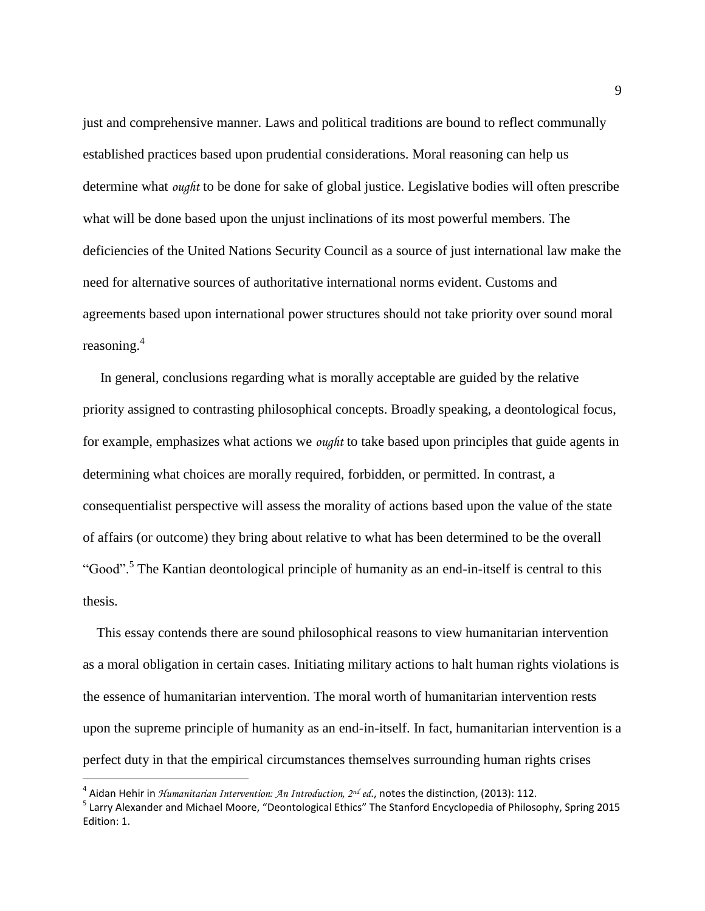just and comprehensive manner. Laws and political traditions are bound to reflect communally established practices based upon prudential considerations. Moral reasoning can help us determine what *ought* to be done for sake of global justice. Legislative bodies will often prescribe what will be done based upon the unjust inclinations of its most powerful members. The deficiencies of the United Nations Security Council as a source of just international law make the need for alternative sources of authoritative international norms evident. Customs and agreements based upon international power structures should not take priority over sound moral reasoning.<sup>4</sup>

 In general, conclusions regarding what is morally acceptable are guided by the relative priority assigned to contrasting philosophical concepts. Broadly speaking, a deontological focus, for example, emphasizes what actions we *ought* to take based upon principles that guide agents in determining what choices are morally required, forbidden, or permitted. In contrast, a consequentialist perspective will assess the morality of actions based upon the value of the state of affairs (or outcome) they bring about relative to what has been determined to be the overall "Good".<sup>5</sup> The Kantian deontological principle of humanity as an end-in-itself is central to this thesis.

 This essay contends there are sound philosophical reasons to view humanitarian intervention as a moral obligation in certain cases. Initiating military actions to halt human rights violations is the essence of humanitarian intervention. The moral worth of humanitarian intervention rests upon the supreme principle of humanity as an end-in-itself. In fact, humanitarian intervention is a perfect duty in that the empirical circumstances themselves surrounding human rights crises

<sup>4</sup> Aidan Hehir in *Humanitarian Intervention: An Introduction, 2nd ed*., notes the distinction, (2013): 112.

<sup>&</sup>lt;sup>5</sup> Larry Alexander and Michael Moore, "Deontological Ethics" The Stanford Encyclopedia of Philosophy, Spring 2015 Edition: 1.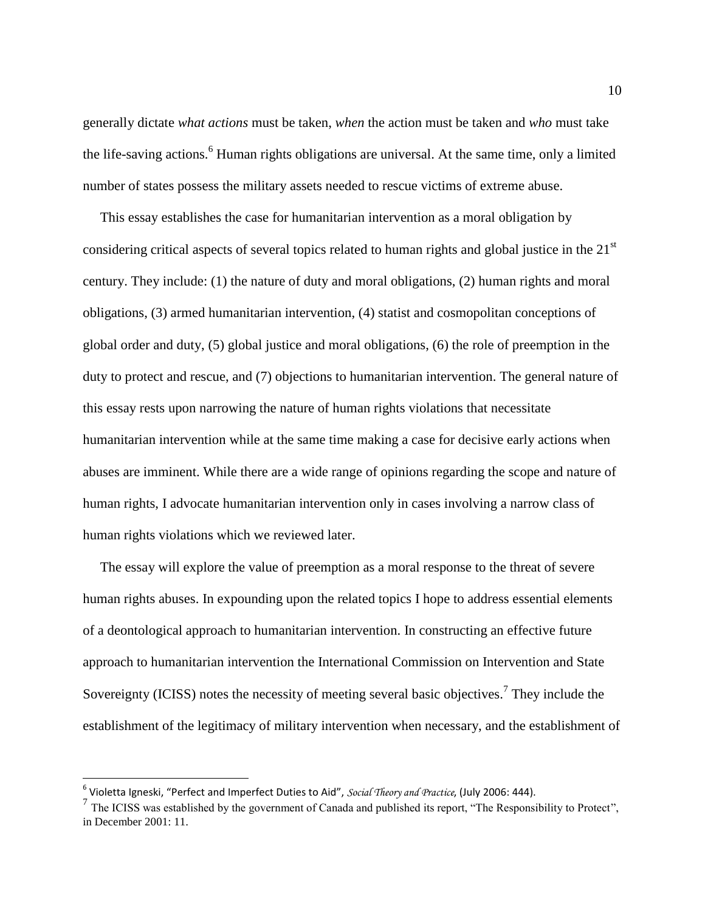generally dictate *what actions* must be taken, *when* the action must be taken and *who* must take the life-saving actions.<sup>6</sup> Human rights obligations are universal. At the same time, only a limited number of states possess the military assets needed to rescue victims of extreme abuse.

 This essay establishes the case for humanitarian intervention as a moral obligation by considering critical aspects of several topics related to human rights and global justice in the 21<sup>st</sup> century. They include: (1) the nature of duty and moral obligations, (2) human rights and moral obligations, (3) armed humanitarian intervention, (4) statist and cosmopolitan conceptions of global order and duty, (5) global justice and moral obligations, (6) the role of preemption in the duty to protect and rescue, and (7) objections to humanitarian intervention. The general nature of this essay rests upon narrowing the nature of human rights violations that necessitate humanitarian intervention while at the same time making a case for decisive early actions when abuses are imminent. While there are a wide range of opinions regarding the scope and nature of human rights, I advocate humanitarian intervention only in cases involving a narrow class of human rights violations which we reviewed later.

 The essay will explore the value of preemption as a moral response to the threat of severe human rights abuses. In expounding upon the related topics I hope to address essential elements of a deontological approach to humanitarian intervention. In constructing an effective future approach to humanitarian intervention the International Commission on Intervention and State Sovereignty (ICISS) notes the necessity of meeting several basic objectives.<sup>7</sup> They include the establishment of the legitimacy of military intervention when necessary, and the establishment of

<sup>6</sup> Violetta Igneski, "Perfect and Imperfect Duties to Aid", *Social Theory and Practice*, (July 2006: 444).

<sup>&</sup>lt;sup>7</sup> The ICISS was established by the government of Canada and published its report, "The Responsibility to Protect", in December 2001: 11.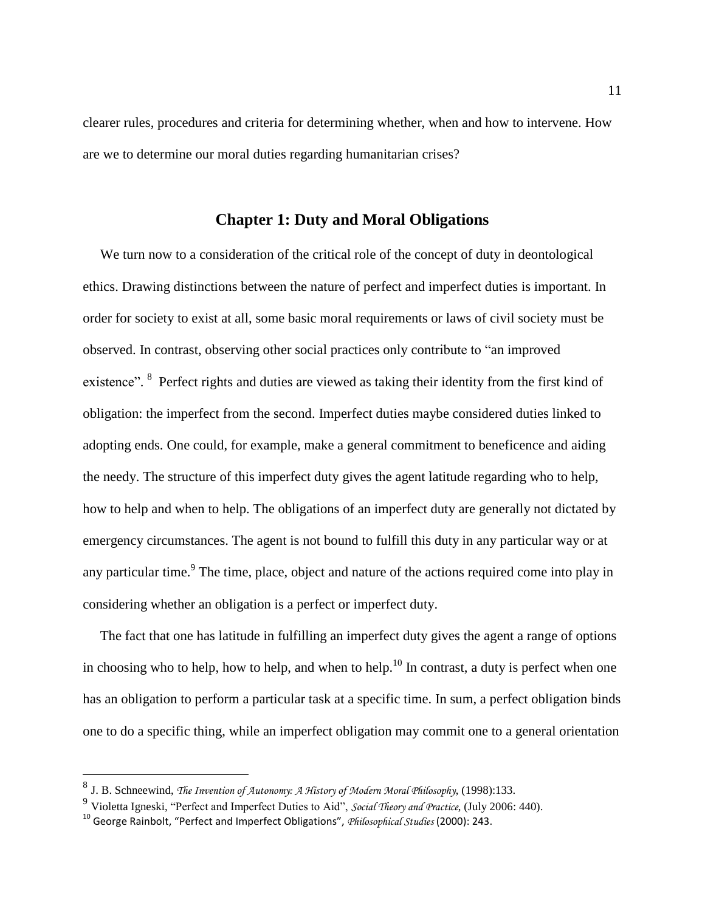clearer rules, procedures and criteria for determining whether, when and how to intervene. How are we to determine our moral duties regarding humanitarian crises?

## **Chapter 1: Duty and Moral Obligations**

We turn now to a consideration of the critical role of the concept of duty in deontological ethics. Drawing distinctions between the nature of perfect and imperfect duties is important. In order for society to exist at all, some basic moral requirements or laws of civil society must be observed. In contrast, observing other social practices only contribute to "an improved existence". <sup>8</sup> Perfect rights and duties are viewed as taking their identity from the first kind of obligation: the imperfect from the second. Imperfect duties maybe considered duties linked to adopting ends. One could, for example, make a general commitment to beneficence and aiding the needy. The structure of this imperfect duty gives the agent latitude regarding who to help, how to help and when to help. The obligations of an imperfect duty are generally not dictated by emergency circumstances. The agent is not bound to fulfill this duty in any particular way or at any particular time.<sup>9</sup> The time, place, object and nature of the actions required come into play in considering whether an obligation is a perfect or imperfect duty.

 The fact that one has latitude in fulfilling an imperfect duty gives the agent a range of options in choosing who to help, how to help, and when to help.<sup>10</sup> In contrast, a duty is perfect when one has an obligation to perform a particular task at a specific time. In sum, a perfect obligation binds one to do a specific thing, while an imperfect obligation may commit one to a general orientation

<sup>8</sup> J. B. Schneewind, *The Invention of Autonomy: A History of Modern Moral Philosophy*, (1998):133.

<sup>9</sup> Violetta Igneski, "Perfect and Imperfect Duties to Aid", *Social Theory and Practice*, (July 2006: 440).

<sup>10</sup> George Rainbolt, "Perfect and Imperfect Obligations", *Philosophical Studies* (2000): 243.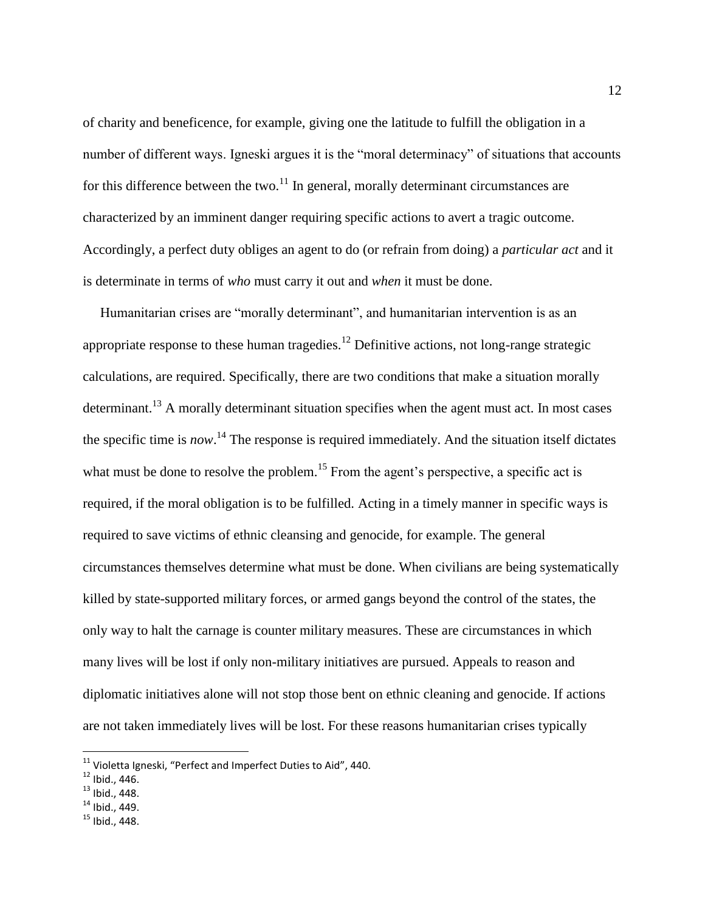of charity and beneficence, for example, giving one the latitude to fulfill the obligation in a number of different ways. Igneski argues it is the "moral determinacy" of situations that accounts for this difference between the two.<sup>11</sup> In general, morally determinant circumstances are characterized by an imminent danger requiring specific actions to avert a tragic outcome. Accordingly, a perfect duty obliges an agent to do (or refrain from doing) a *particular act* and it is determinate in terms of *who* must carry it out and *when* it must be done.

 Humanitarian crises are "morally determinant", and humanitarian intervention is as an appropriate response to these human tragedies.<sup>12</sup> Definitive actions, not long-range strategic calculations, are required. Specifically, there are two conditions that make a situation morally determinant.<sup>13</sup> A morally determinant situation specifies when the agent must act. In most cases the specific time is *now*. <sup>14</sup> The response is required immediately. And the situation itself dictates what must be done to resolve the problem.<sup>15</sup> From the agent's perspective, a specific act is required, if the moral obligation is to be fulfilled. Acting in a timely manner in specific ways is required to save victims of ethnic cleansing and genocide, for example. The general circumstances themselves determine what must be done. When civilians are being systematically killed by state-supported military forces, or armed gangs beyond the control of the states, the only way to halt the carnage is counter military measures. These are circumstances in which many lives will be lost if only non-military initiatives are pursued. Appeals to reason and diplomatic initiatives alone will not stop those bent on ethnic cleaning and genocide. If actions are not taken immediately lives will be lost. For these reasons humanitarian crises typically

 $11$  Violetta Igneski, "Perfect and Imperfect Duties to Aid", 440.

 $12$  Ibid., 446.

 $13$  Ibid., 448.

 $14$  Ibid., 449.

 $15$  Ibid., 448.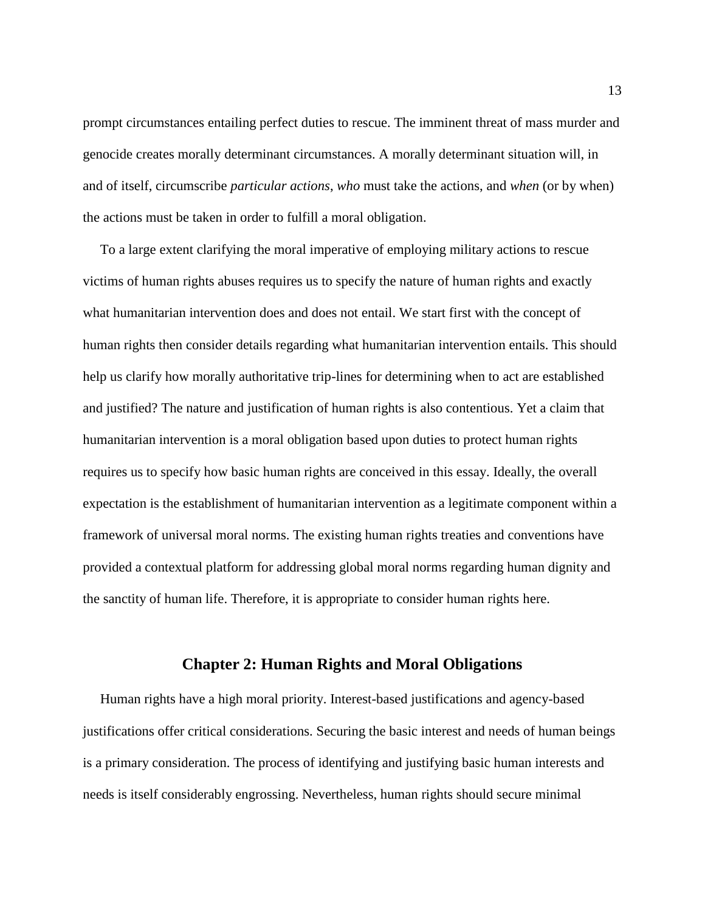prompt circumstances entailing perfect duties to rescue. The imminent threat of mass murder and genocide creates morally determinant circumstances. A morally determinant situation will, in and of itself, circumscribe *particular actions*, *who* must take the actions, and *when* (or by when) the actions must be taken in order to fulfill a moral obligation.

 To a large extent clarifying the moral imperative of employing military actions to rescue victims of human rights abuses requires us to specify the nature of human rights and exactly what humanitarian intervention does and does not entail. We start first with the concept of human rights then consider details regarding what humanitarian intervention entails. This should help us clarify how morally authoritative trip-lines for determining when to act are established and justified? The nature and justification of human rights is also contentious. Yet a claim that humanitarian intervention is a moral obligation based upon duties to protect human rights requires us to specify how basic human rights are conceived in this essay. Ideally, the overall expectation is the establishment of humanitarian intervention as a legitimate component within a framework of universal moral norms. The existing human rights treaties and conventions have provided a contextual platform for addressing global moral norms regarding human dignity and the sanctity of human life. Therefore, it is appropriate to consider human rights here.

## **Chapter 2: Human Rights and Moral Obligations**

 Human rights have a high moral priority. Interest-based justifications and agency-based justifications offer critical considerations. Securing the basic interest and needs of human beings is a primary consideration. The process of identifying and justifying basic human interests and needs is itself considerably engrossing. Nevertheless, human rights should secure minimal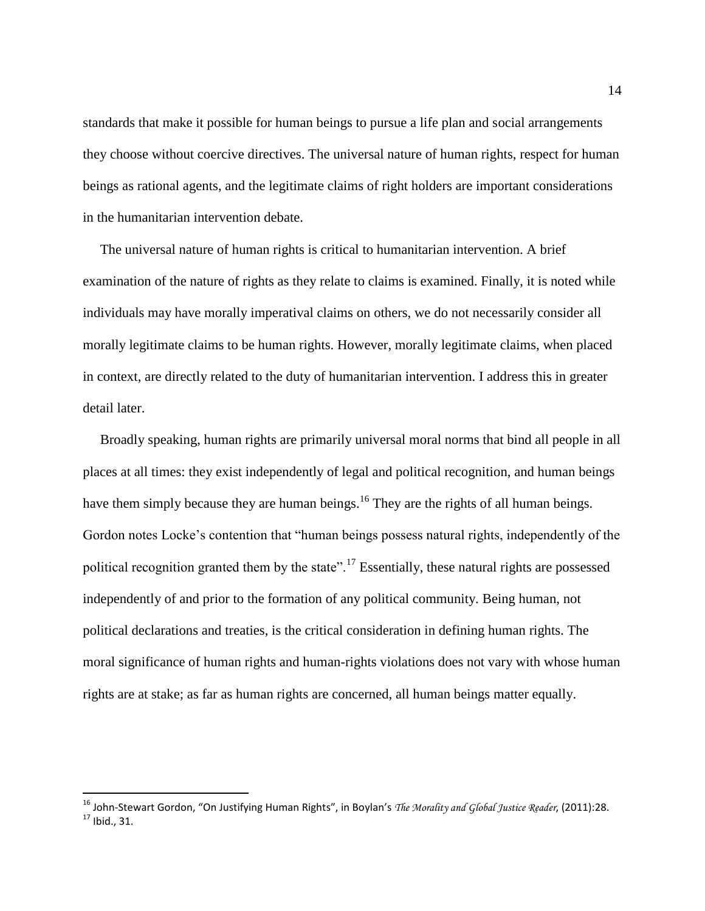standards that make it possible for human beings to pursue a life plan and social arrangements they choose without coercive directives. The universal nature of human rights, respect for human beings as rational agents, and the legitimate claims of right holders are important considerations in the humanitarian intervention debate.

 The universal nature of human rights is critical to humanitarian intervention. A brief examination of the nature of rights as they relate to claims is examined. Finally, it is noted while individuals may have morally imperatival claims on others, we do not necessarily consider all morally legitimate claims to be human rights. However, morally legitimate claims, when placed in context, are directly related to the duty of humanitarian intervention. I address this in greater detail later.

 Broadly speaking, human rights are primarily universal moral norms that bind all people in all places at all times: they exist independently of legal and political recognition, and human beings have them simply because they are human beings.<sup>16</sup> They are the rights of all human beings. Gordon notes Locke's contention that "human beings possess natural rights, independently of the political recognition granted them by the state".<sup>17</sup> Essentially, these natural rights are possessed independently of and prior to the formation of any political community. Being human, not political declarations and treaties, is the critical consideration in defining human rights. The moral significance of human rights and human-rights violations does not vary with whose human rights are at stake; as far as human rights are concerned, all human beings matter equally.

<sup>16</sup> John-Stewart Gordon, "On Justifying Human Rights", in Boylan's *The Morality and Global Justice Reader*, (2011):28.  $17$  Ibid., 31.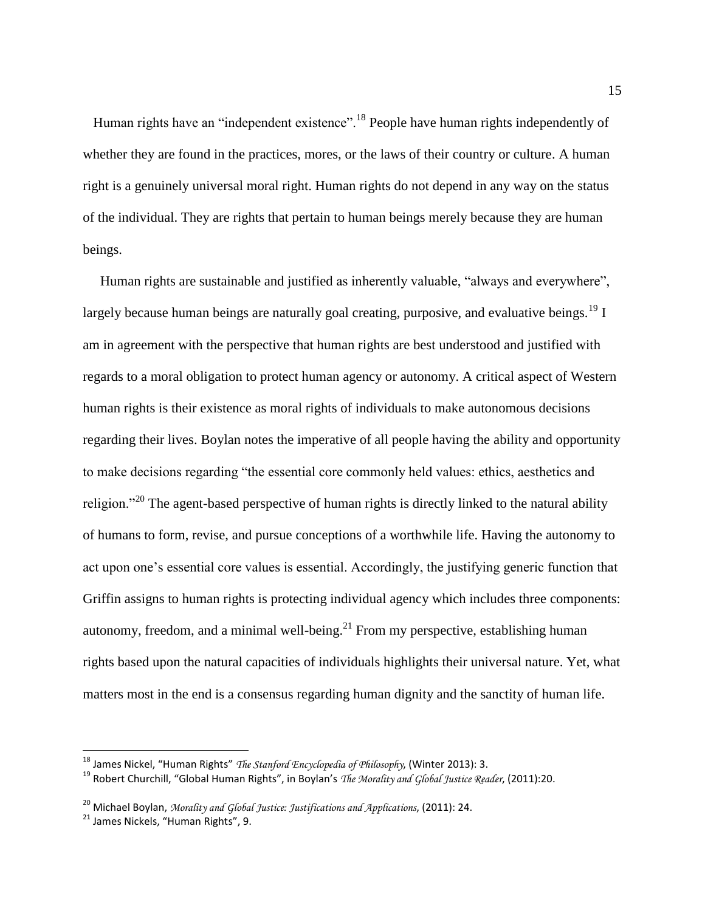Human rights have an "independent existence".<sup>18</sup> People have human rights independently of whether they are found in the practices, mores, or the laws of their country or culture. A human right is a genuinely universal moral right. Human rights do not depend in any way on the status of the individual. They are rights that pertain to human beings merely because they are human beings.

 Human rights are sustainable and justified as inherently valuable, "always and everywhere", largely because human beings are naturally goal creating, purposive, and evaluative beings.<sup>19</sup> I am in agreement with the perspective that human rights are best understood and justified with regards to a moral obligation to protect human agency or autonomy. A critical aspect of Western human rights is their existence as moral rights of individuals to make autonomous decisions regarding their lives. Boylan notes the imperative of all people having the ability and opportunity to make decisions regarding "the essential core commonly held values: ethics, aesthetics and religion."<sup>20</sup> The agent-based perspective of human rights is directly linked to the natural ability of humans to form, revise, and pursue conceptions of a worthwhile life. Having the autonomy to act upon one's essential core values is essential. Accordingly, the justifying generic function that Griffin assigns to human rights is protecting individual agency which includes three components: autonomy, freedom, and a minimal well-being.<sup>21</sup> From my perspective, establishing human rights based upon the natural capacities of individuals highlights their universal nature. Yet, what matters most in the end is a consensus regarding human dignity and the sanctity of human life.

<sup>18</sup> James Nickel, "Human Rights" *The Stanford Encyclopedia of Philosophy*, (Winter 2013): 3.

<sup>19</sup> Robert Churchill, "Global Human Rights", in Boylan's *The Morality and Global Justice Reader*, (2011):20.

<sup>20</sup> Michael Boylan, *Morality and Global Justice: Justifications and Applications*, (2011): 24.

<sup>&</sup>lt;sup>21</sup> James Nickels, "Human Rights", 9.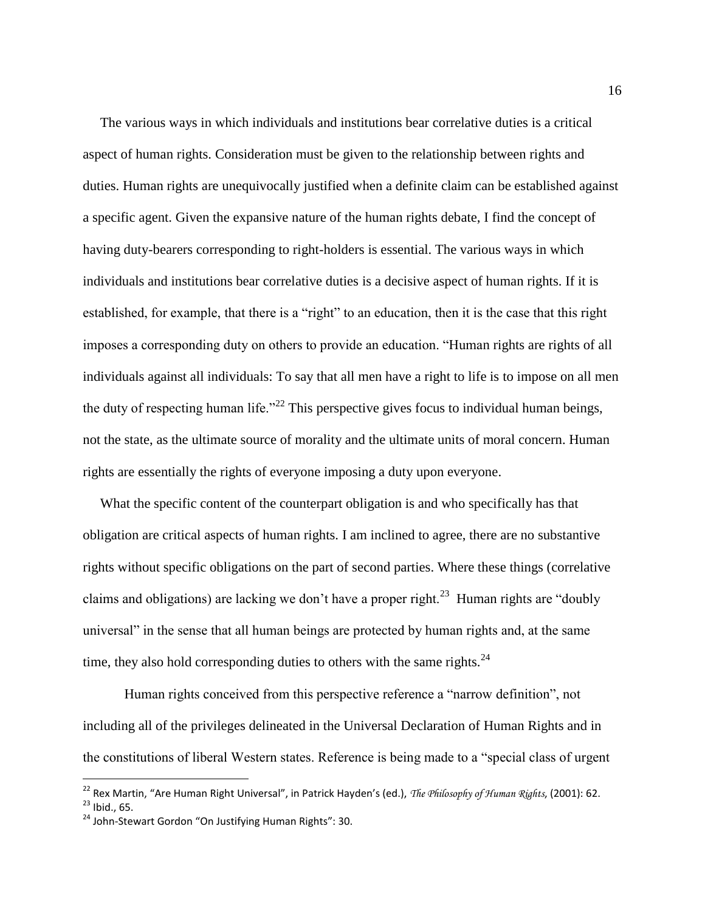The various ways in which individuals and institutions bear correlative duties is a critical aspect of human rights. Consideration must be given to the relationship between rights and duties. Human rights are unequivocally justified when a definite claim can be established against a specific agent. Given the expansive nature of the human rights debate, I find the concept of having duty-bearers corresponding to right-holders is essential. The various ways in which individuals and institutions bear correlative duties is a decisive aspect of human rights. If it is established, for example, that there is a "right" to an education, then it is the case that this right imposes a corresponding duty on others to provide an education. "Human rights are rights of all individuals against all individuals: To say that all men have a right to life is to impose on all men the duty of respecting human life."<sup>22</sup> This perspective gives focus to individual human beings, not the state, as the ultimate source of morality and the ultimate units of moral concern. Human rights are essentially the rights of everyone imposing a duty upon everyone.

 What the specific content of the counterpart obligation is and who specifically has that obligation are critical aspects of human rights. I am inclined to agree, there are no substantive rights without specific obligations on the part of second parties. Where these things (correlative claims and obligations) are lacking we don't have a proper right.<sup>23</sup> Human rights are "doubly universal" in the sense that all human beings are protected by human rights and, at the same time, they also hold corresponding duties to others with the same rights. $^{24}$ 

 Human rights conceived from this perspective reference a "narrow definition", not including all of the privileges delineated in the Universal Declaration of Human Rights and in the constitutions of liberal Western states. Reference is being made to a "special class of urgent

<sup>22</sup> Rex Martin, "Are Human Right Universal", in Patrick Hayden's (ed.), *The Philosophy of Human Rights*, (2001): 62.  $^{23}$  Ibid., 65.

<sup>&</sup>lt;sup>24</sup> John-Stewart Gordon "On Justifying Human Rights": 30.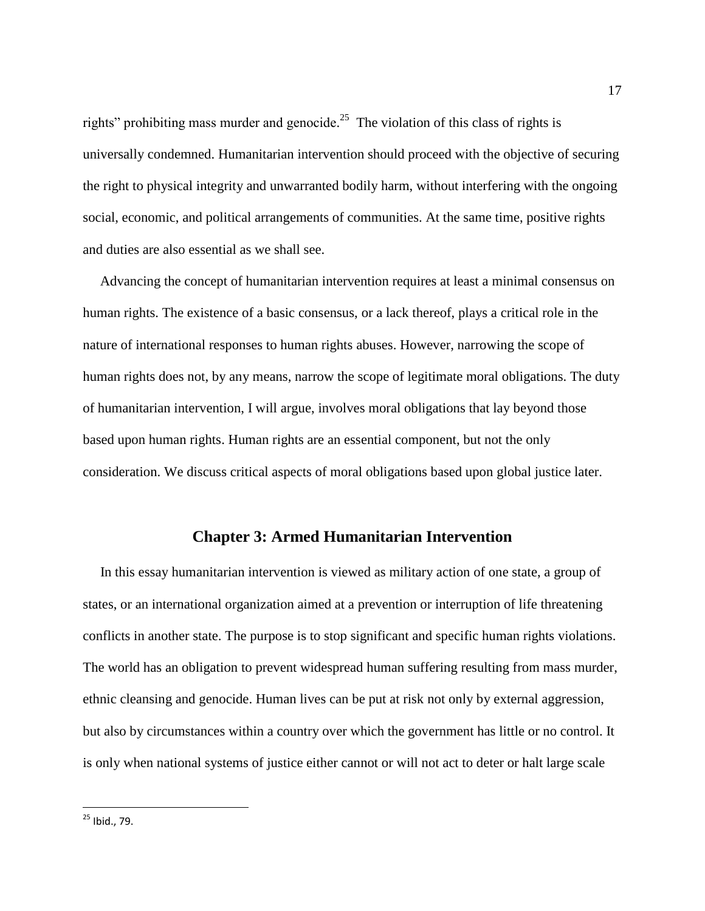rights" prohibiting mass murder and genocide.<sup>25</sup> The violation of this class of rights is universally condemned. Humanitarian intervention should proceed with the objective of securing the right to physical integrity and unwarranted bodily harm, without interfering with the ongoing social, economic, and political arrangements of communities. At the same time, positive rights and duties are also essential as we shall see.

 Advancing the concept of humanitarian intervention requires at least a minimal consensus on human rights. The existence of a basic consensus, or a lack thereof, plays a critical role in the nature of international responses to human rights abuses. However, narrowing the scope of human rights does not, by any means, narrow the scope of legitimate moral obligations. The duty of humanitarian intervention, I will argue, involves moral obligations that lay beyond those based upon human rights. Human rights are an essential component, but not the only consideration. We discuss critical aspects of moral obligations based upon global justice later.

### **Chapter 3: Armed Humanitarian Intervention**

 In this essay humanitarian intervention is viewed as military action of one state, a group of states, or an international organization aimed at a prevention or interruption of life threatening conflicts in another state. The purpose is to stop significant and specific human rights violations. The world has an obligation to prevent widespread human suffering resulting from mass murder, ethnic cleansing and genocide. Human lives can be put at risk not only by external aggression, but also by circumstances within a country over which the government has little or no control. It is only when national systems of justice either cannot or will not act to deter or halt large scale

<sup>&</sup>lt;sup>25</sup> Ibid., 79.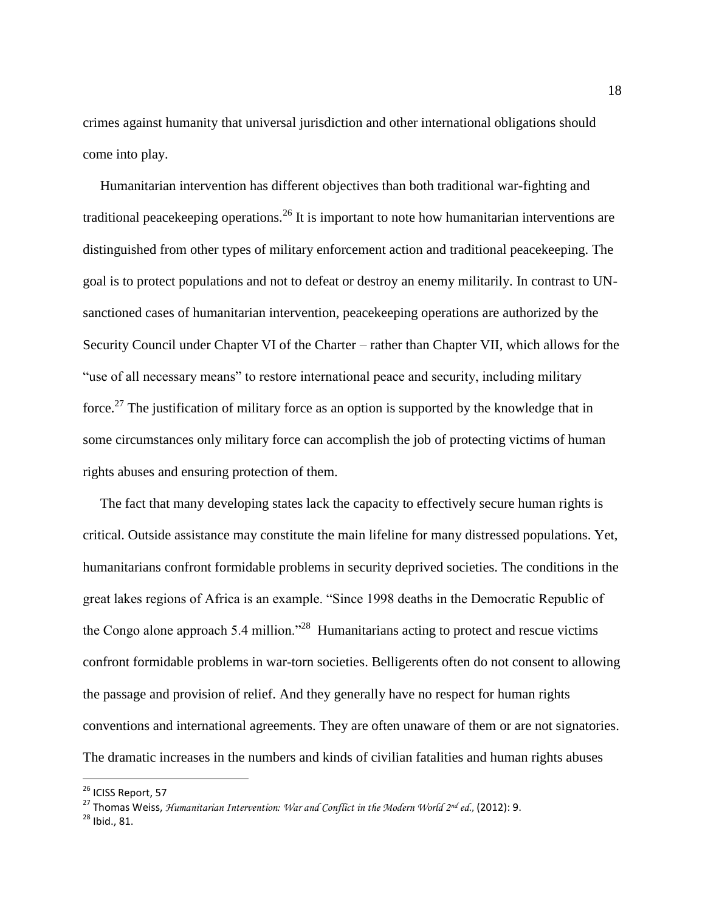crimes against humanity that universal jurisdiction and other international obligations should come into play.

 Humanitarian intervention has different objectives than both traditional war-fighting and traditional peace keeping operations.<sup>26</sup> It is important to note how humanitarian interventions are distinguished from other types of military enforcement action and traditional peacekeeping. The goal is to protect populations and not to defeat or destroy an enemy militarily. In contrast to UNsanctioned cases of humanitarian intervention, peacekeeping operations are authorized by the Security Council under Chapter VI of the Charter – rather than Chapter VII, which allows for the "use of all necessary means" to restore international peace and security, including military force.<sup>27</sup> The justification of military force as an option is supported by the knowledge that in some circumstances only military force can accomplish the job of protecting victims of human rights abuses and ensuring protection of them.

 The fact that many developing states lack the capacity to effectively secure human rights is critical. Outside assistance may constitute the main lifeline for many distressed populations. Yet, humanitarians confront formidable problems in security deprived societies. The conditions in the great lakes regions of Africa is an example. "Since 1998 deaths in the Democratic Republic of the Congo alone approach 5.4 million."<sup>28</sup> Humanitarians acting to protect and rescue victims confront formidable problems in war-torn societies. Belligerents often do not consent to allowing the passage and provision of relief. And they generally have no respect for human rights conventions and international agreements. They are often unaware of them or are not signatories. The dramatic increases in the numbers and kinds of civilian fatalities and human rights abuses

<sup>&</sup>lt;sup>26</sup> ICISS Report, 57

<sup>27</sup> Thomas Weiss, *Humanitarian Intervention: War and Conflict in the Modern World 2nd ed.,* (2012): 9.

<sup>28</sup> Ibid., 81.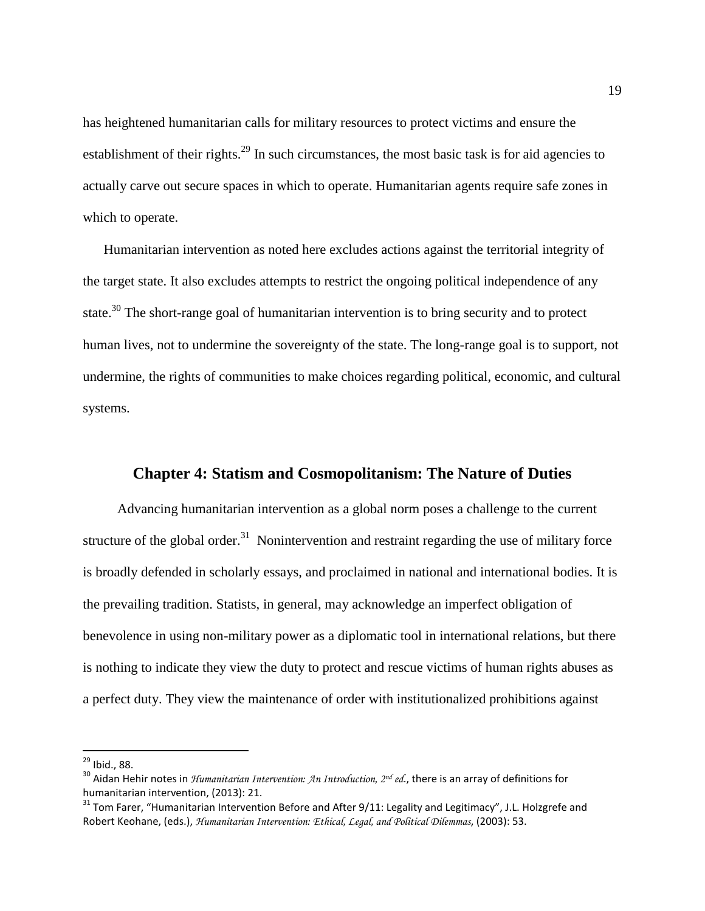has heightened humanitarian calls for military resources to protect victims and ensure the establishment of their rights.<sup>29</sup> In such circumstances, the most basic task is for aid agencies to actually carve out secure spaces in which to operate. Humanitarian agents require safe zones in which to operate.

 Humanitarian intervention as noted here excludes actions against the territorial integrity of the target state. It also excludes attempts to restrict the ongoing political independence of any state.<sup>30</sup> The short-range goal of humanitarian intervention is to bring security and to protect human lives, not to undermine the sovereignty of the state. The long-range goal is to support, not undermine, the rights of communities to make choices regarding political, economic, and cultural systems.

## **Chapter 4: Statism and Cosmopolitanism: The Nature of Duties**

 Advancing humanitarian intervention as a global norm poses a challenge to the current structure of the global order.<sup>31</sup> Nonintervention and restraint regarding the use of military force is broadly defended in scholarly essays, and proclaimed in national and international bodies. It is the prevailing tradition. Statists, in general, may acknowledge an imperfect obligation of benevolence in using non-military power as a diplomatic tool in international relations, but there is nothing to indicate they view the duty to protect and rescue victims of human rights abuses as a perfect duty. They view the maintenance of order with institutionalized prohibitions against

<sup>&</sup>lt;sup>29</sup> Ibid., 88.

<sup>30</sup> Aidan Hehir notes in *Humanitarian Intervention: An Introduction, 2nd ed*., there is an array of definitions for humanitarian intervention, (2013): 21.

<sup>&</sup>lt;sup>31</sup> Tom Farer, "Humanitarian Intervention Before and After 9/11: Legality and Legitimacy", J.L. Holzgrefe and Robert Keohane, (eds.), *Humanitarian Intervention: Ethical, Legal, and Political Dilemmas*, (2003): 53.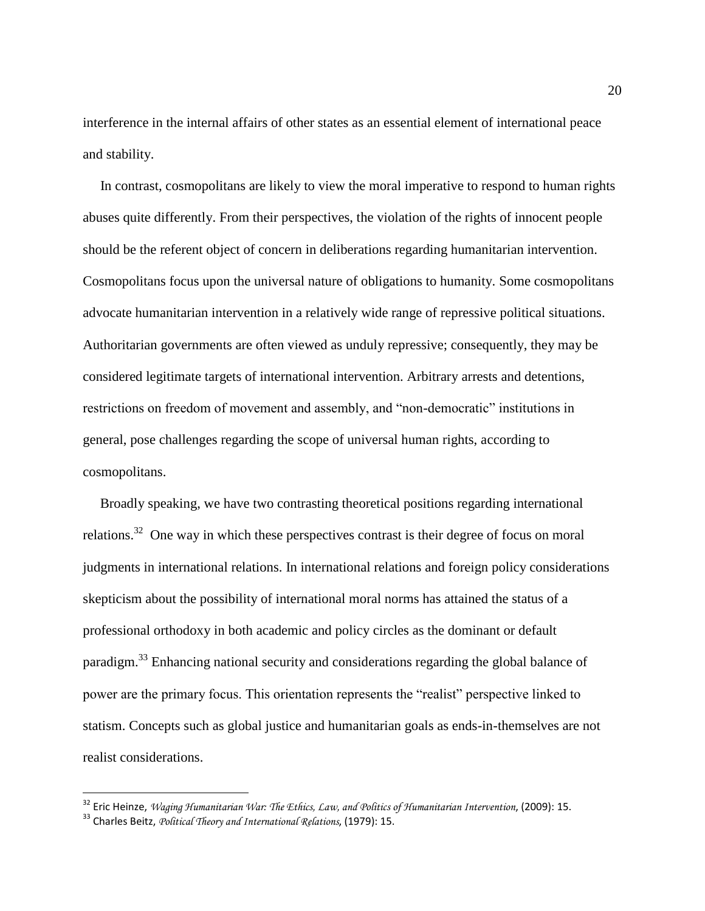interference in the internal affairs of other states as an essential element of international peace and stability.

 In contrast, cosmopolitans are likely to view the moral imperative to respond to human rights abuses quite differently. From their perspectives, the violation of the rights of innocent people should be the referent object of concern in deliberations regarding humanitarian intervention. Cosmopolitans focus upon the universal nature of obligations to humanity. Some cosmopolitans advocate humanitarian intervention in a relatively wide range of repressive political situations. Authoritarian governments are often viewed as unduly repressive; consequently, they may be considered legitimate targets of international intervention. Arbitrary arrests and detentions, restrictions on freedom of movement and assembly, and "non-democratic" institutions in general, pose challenges regarding the scope of universal human rights, according to cosmopolitans.

 Broadly speaking, we have two contrasting theoretical positions regarding international relations.<sup>32</sup> One way in which these perspectives contrast is their degree of focus on moral judgments in international relations. In international relations and foreign policy considerations skepticism about the possibility of international moral norms has attained the status of a professional orthodoxy in both academic and policy circles as the dominant or default paradigm.<sup>33</sup> Enhancing national security and considerations regarding the global balance of power are the primary focus. This orientation represents the "realist" perspective linked to statism. Concepts such as global justice and humanitarian goals as ends-in-themselves are not realist considerations.

<sup>32</sup> Eric Heinze, *Waging Humanitarian War: The Ethics, Law, and Politics of Humanitarian Intervention*, (2009): 15.

<sup>33</sup> Charles Beitz, *Political Theory and International Relations*, (1979): 15.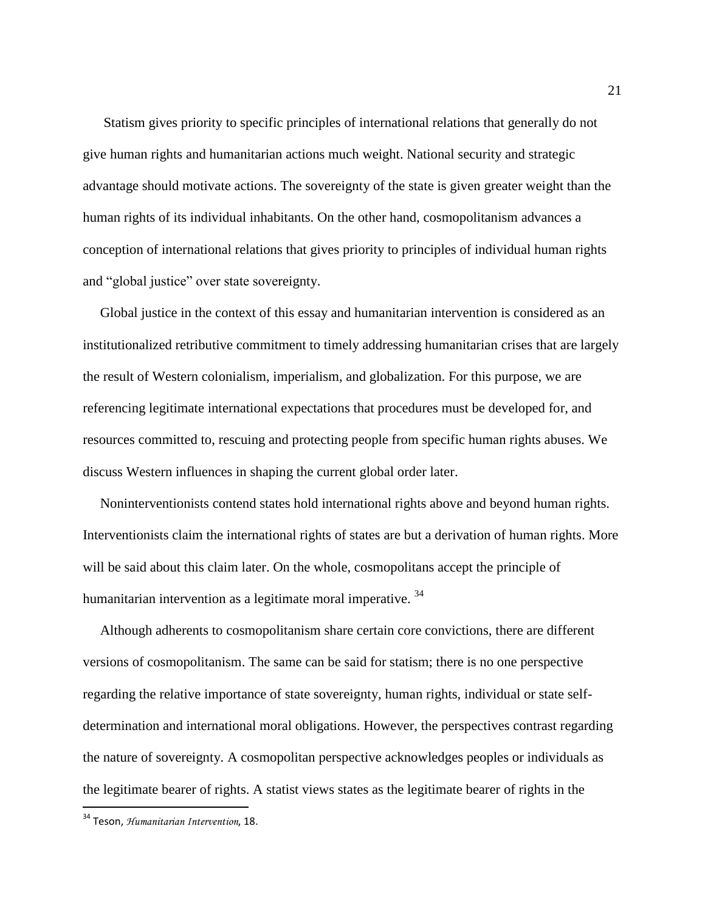Statism gives priority to specific principles of international relations that generally do not give human rights and humanitarian actions much weight. National security and strategic advantage should motivate actions. The sovereignty of the state is given greater weight than the human rights of its individual inhabitants. On the other hand, cosmopolitanism advances a conception of international relations that gives priority to principles of individual human rights and "global justice" over state sovereignty.

 Global justice in the context of this essay and humanitarian intervention is considered as an institutionalized retributive commitment to timely addressing humanitarian crises that are largely the result of Western colonialism, imperialism, and globalization. For this purpose, we are referencing legitimate international expectations that procedures must be developed for, and resources committed to, rescuing and protecting people from specific human rights abuses. We discuss Western influences in shaping the current global order later.

 Noninterventionists contend states hold international rights above and beyond human rights. Interventionists claim the international rights of states are but a derivation of human rights. More will be said about this claim later. On the whole, cosmopolitans accept the principle of humanitarian intervention as a legitimate moral imperative.<sup>34</sup>

 Although adherents to cosmopolitanism share certain core convictions, there are different versions of cosmopolitanism. The same can be said for statism; there is no one perspective regarding the relative importance of state sovereignty, human rights, individual or state selfdetermination and international moral obligations. However, the perspectives contrast regarding the nature of sovereignty. A cosmopolitan perspective acknowledges peoples or individuals as the legitimate bearer of rights. A statist views states as the legitimate bearer of rights in the

<sup>34</sup> Teson, *Humanitarian Intervention*, 18.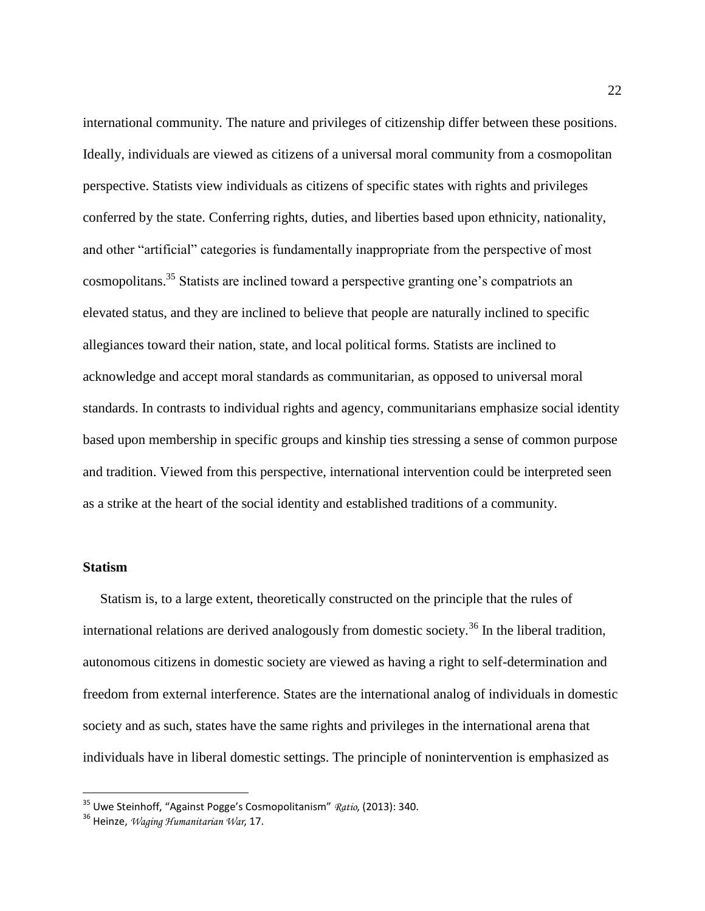international community. The nature and privileges of citizenship differ between these positions. Ideally, individuals are viewed as citizens of a universal moral community from a cosmopolitan perspective. Statists view individuals as citizens of specific states with rights and privileges conferred by the state. Conferring rights, duties, and liberties based upon ethnicity, nationality, and other "artificial" categories is fundamentally inappropriate from the perspective of most cosmopolitans.<sup>35</sup> Statists are inclined toward a perspective granting one's compatriots an elevated status, and they are inclined to believe that people are naturally inclined to specific allegiances toward their nation, state, and local political forms. Statists are inclined to acknowledge and accept moral standards as communitarian, as opposed to universal moral standards. In contrasts to individual rights and agency, communitarians emphasize social identity based upon membership in specific groups and kinship ties stressing a sense of common purpose and tradition. Viewed from this perspective, international intervention could be interpreted seen as a strike at the heart of the social identity and established traditions of a community.

#### **Statism**

 $\overline{a}$ 

 Statism is, to a large extent, theoretically constructed on the principle that the rules of international relations are derived analogously from domestic society.<sup>36</sup> In the liberal tradition, autonomous citizens in domestic society are viewed as having a right to self-determination and freedom from external interference. States are the international analog of individuals in domestic society and as such, states have the same rights and privileges in the international arena that individuals have in liberal domestic settings. The principle of nonintervention is emphasized as

<sup>35</sup> Uwe Steinhoff, "Against Pogge's Cosmopolitanism" *Ratio*, (2013): 340.

<sup>36</sup> Heinze, *Waging Humanitarian War*, 17.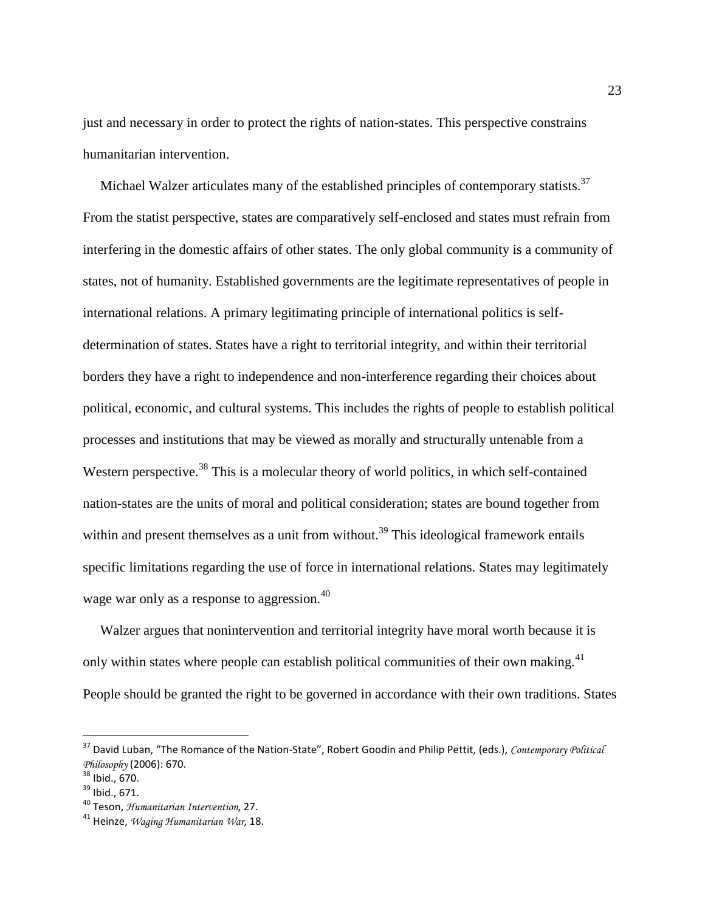just and necessary in order to protect the rights of nation-states. This perspective constrains humanitarian intervention.

Michael Walzer articulates many of the established principles of contemporary statists.<sup>37</sup> From the statist perspective, states are comparatively self-enclosed and states must refrain from interfering in the domestic affairs of other states. The only global community is a community of states, not of humanity. Established governments are the legitimate representatives of people in international relations. A primary legitimating principle of international politics is selfdetermination of states. States have a right to territorial integrity, and within their territorial borders they have a right to independence and non-interference regarding their choices about political, economic, and cultural systems. This includes the rights of people to establish political processes and institutions that may be viewed as morally and structurally untenable from a Western perspective.<sup>38</sup> This is a molecular theory of world politics, in which self-contained nation-states are the units of moral and political consideration; states are bound together from within and present themselves as a unit from without.<sup>39</sup> This ideological framework entails specific limitations regarding the use of force in international relations. States may legitimately wage war only as a response to aggression.<sup>40</sup>

 Walzer argues that nonintervention and territorial integrity have moral worth because it is only within states where people can establish political communities of their own making.<sup>41</sup> People should be granted the right to be governed in accordance with their own traditions. States

<sup>37</sup> David Luban, "The Romance of the Nation-State", Robert Goodin and Philip Pettit, (eds.), *Contemporary Political Philosophy* (2006): 670.

<sup>38</sup> Ibid., 670.

<sup>39</sup> Ibid., 671.

<sup>40</sup> Teson, *Humanitarian Intervention*, 27.

<sup>41</sup> Heinze, *Waging Humanitarian War*, 18.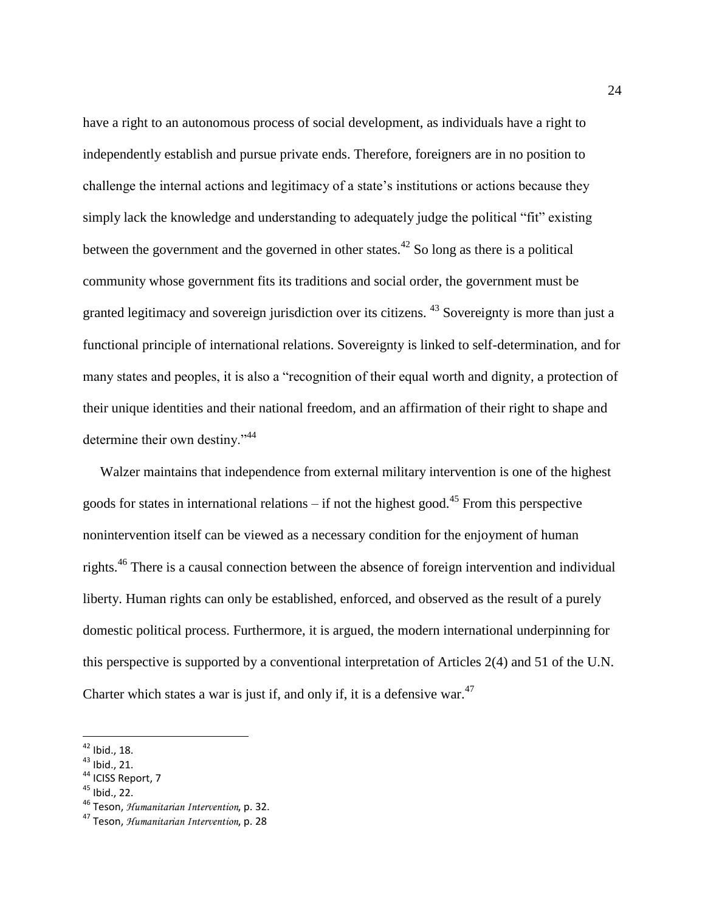have a right to an autonomous process of social development, as individuals have a right to independently establish and pursue private ends. Therefore, foreigners are in no position to challenge the internal actions and legitimacy of a state's institutions or actions because they simply lack the knowledge and understanding to adequately judge the political "fit" existing between the government and the governed in other states.<sup>42</sup> So long as there is a political community whose government fits its traditions and social order, the government must be granted legitimacy and sovereign jurisdiction over its citizens. <sup>43</sup> Sovereignty is more than just a functional principle of international relations. Sovereignty is linked to self-determination, and for many states and peoples, it is also a "recognition of their equal worth and dignity, a protection of their unique identities and their national freedom, and an affirmation of their right to shape and determine their own destiny."<sup>44</sup>

 Walzer maintains that independence from external military intervention is one of the highest goods for states in international relations – if not the highest good.<sup>45</sup> From this perspective nonintervention itself can be viewed as a necessary condition for the enjoyment of human rights.<sup>46</sup> There is a causal connection between the absence of foreign intervention and individual liberty. Human rights can only be established, enforced, and observed as the result of a purely domestic political process. Furthermore, it is argued, the modern international underpinning for this perspective is supported by a conventional interpretation of Articles 2(4) and 51 of the U.N. Charter which states a war is just if, and only if, it is a defensive war. $47$ 

 $42$  Ibid., 18.

<sup>43</sup> Ibid., 21.

 $44$  ICISS Report, 7

 $45$  Ibid., 22.

<sup>46</sup> Teson, *Humanitarian Intervention*, p. 32.

<sup>47</sup> Teson, *Humanitarian Intervention*, p. 28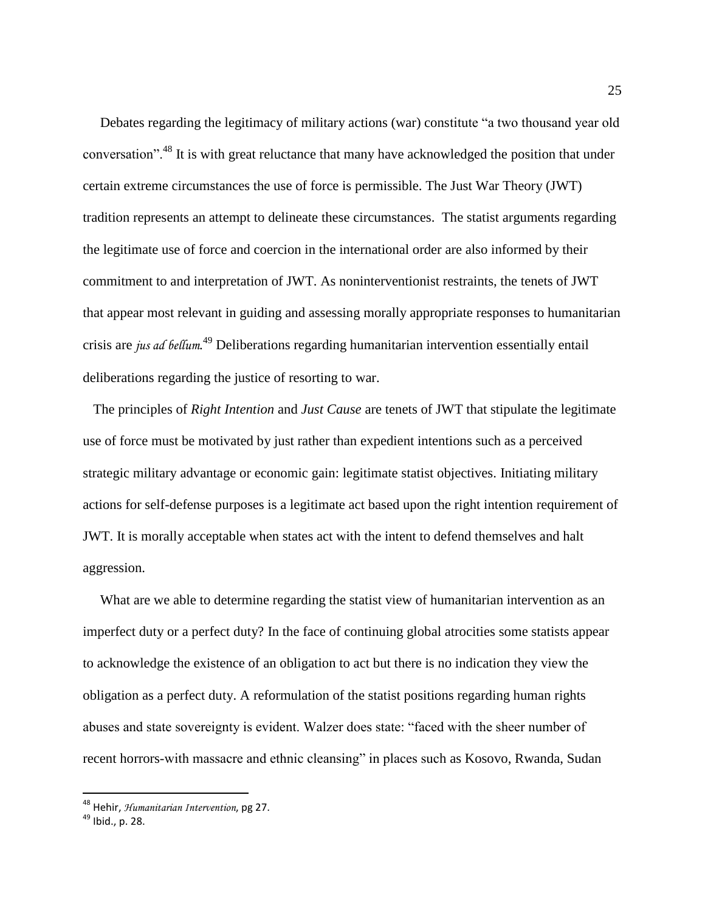Debates regarding the legitimacy of military actions (war) constitute "a two thousand year old conversation".<sup>48</sup> It is with great reluctance that many have acknowledged the position that under certain extreme circumstances the use of force is permissible. The Just War Theory (JWT) tradition represents an attempt to delineate these circumstances. The statist arguments regarding the legitimate use of force and coercion in the international order are also informed by their commitment to and interpretation of JWT. As noninterventionist restraints, the tenets of JWT that appear most relevant in guiding and assessing morally appropriate responses to humanitarian crisis are *jus ad bellum*. <sup>49</sup> Deliberations regarding humanitarian intervention essentially entail deliberations regarding the justice of resorting to war.

 The principles of *Right Intention* and *Just Cause* are tenets of JWT that stipulate the legitimate use of force must be motivated by just rather than expedient intentions such as a perceived strategic military advantage or economic gain: legitimate statist objectives. Initiating military actions for self-defense purposes is a legitimate act based upon the right intention requirement of JWT. It is morally acceptable when states act with the intent to defend themselves and halt aggression.

 What are we able to determine regarding the statist view of humanitarian intervention as an imperfect duty or a perfect duty? In the face of continuing global atrocities some statists appear to acknowledge the existence of an obligation to act but there is no indication they view the obligation as a perfect duty. A reformulation of the statist positions regarding human rights abuses and state sovereignty is evident. Walzer does state: "faced with the sheer number of recent horrors-with massacre and ethnic cleansing" in places such as Kosovo, Rwanda, Sudan

<sup>48</sup> Hehir, *Humanitarian Intervention*, pg 27.

<sup>49</sup> Ibid., p. 28.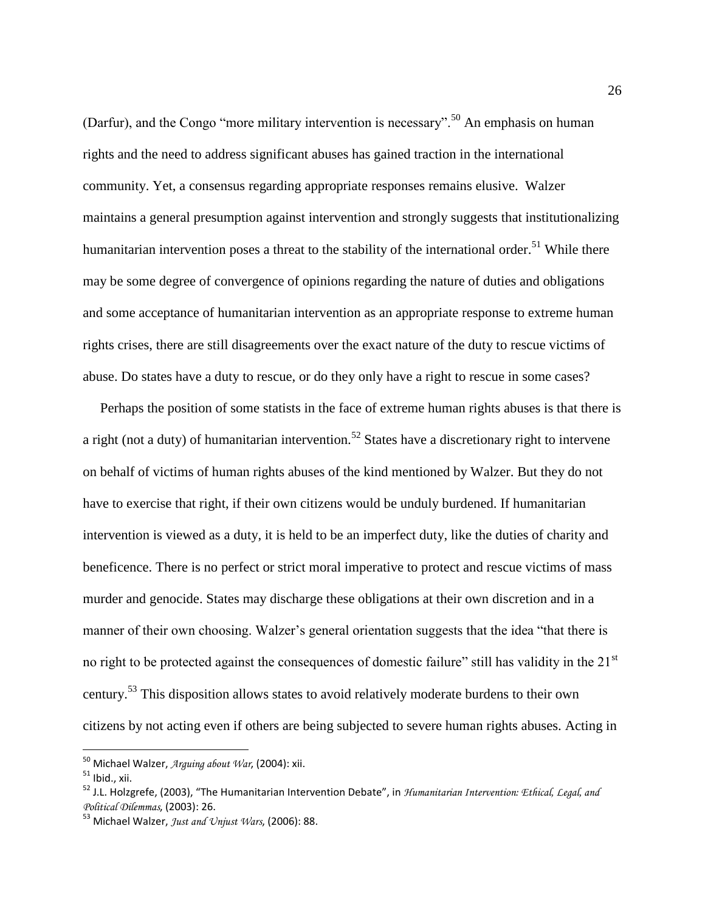(Darfur), and the Congo "more military intervention is necessary".<sup>50</sup> An emphasis on human rights and the need to address significant abuses has gained traction in the international community. Yet, a consensus regarding appropriate responses remains elusive. Walzer maintains a general presumption against intervention and strongly suggests that institutionalizing humanitarian intervention poses a threat to the stability of the international order.<sup>51</sup> While there may be some degree of convergence of opinions regarding the nature of duties and obligations and some acceptance of humanitarian intervention as an appropriate response to extreme human rights crises, there are still disagreements over the exact nature of the duty to rescue victims of abuse. Do states have a duty to rescue, or do they only have a right to rescue in some cases?

 Perhaps the position of some statists in the face of extreme human rights abuses is that there is a right (not a duty) of humanitarian intervention.<sup>52</sup> States have a discretionary right to intervene on behalf of victims of human rights abuses of the kind mentioned by Walzer. But they do not have to exercise that right, if their own citizens would be unduly burdened. If humanitarian intervention is viewed as a duty, it is held to be an imperfect duty, like the duties of charity and beneficence. There is no perfect or strict moral imperative to protect and rescue victims of mass murder and genocide. States may discharge these obligations at their own discretion and in a manner of their own choosing. Walzer's general orientation suggests that the idea "that there is no right to be protected against the consequences of domestic failure" still has validity in the 21<sup>st</sup> century.<sup>53</sup> This disposition allows states to avoid relatively moderate burdens to their own citizens by not acting even if others are being subjected to severe human rights abuses. Acting in

<sup>50</sup> Michael Walzer, *Arguing about War*, (2004): xii.

 $51$  Ibid., xii.

<sup>52</sup> J.L. Holzgrefe, (2003), "The Humanitarian Intervention Debate", in *Humanitarian Intervention: Ethical, Legal, and Political Dilemmas*, (2003): 26.

<sup>53</sup> Michael Walzer, *Just and Unjust Wars*, (2006): 88.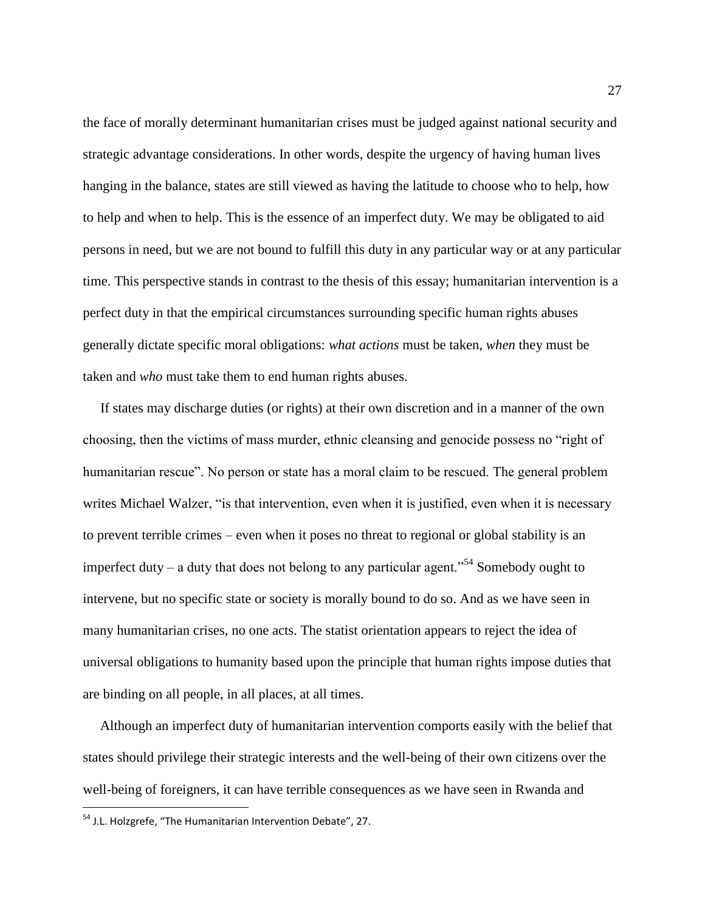the face of morally determinant humanitarian crises must be judged against national security and strategic advantage considerations. In other words, despite the urgency of having human lives hanging in the balance, states are still viewed as having the latitude to choose who to help, how to help and when to help. This is the essence of an imperfect duty. We may be obligated to aid persons in need, but we are not bound to fulfill this duty in any particular way or at any particular time. This perspective stands in contrast to the thesis of this essay; humanitarian intervention is a perfect duty in that the empirical circumstances surrounding specific human rights abuses generally dictate specific moral obligations: *what actions* must be taken, *when* they must be taken and *who* must take them to end human rights abuses.

 If states may discharge duties (or rights) at their own discretion and in a manner of the own choosing, then the victims of mass murder, ethnic cleansing and genocide possess no "right of humanitarian rescue". No person or state has a moral claim to be rescued. The general problem writes Michael Walzer, "is that intervention, even when it is justified, even when it is necessary to prevent terrible crimes – even when it poses no threat to regional or global stability is an imperfect duty – a duty that does not belong to any particular agent."<sup>54</sup> Somebody ought to intervene, but no specific state or society is morally bound to do so. And as we have seen in many humanitarian crises, no one acts. The statist orientation appears to reject the idea of universal obligations to humanity based upon the principle that human rights impose duties that are binding on all people, in all places, at all times.

 Although an imperfect duty of humanitarian intervention comports easily with the belief that states should privilege their strategic interests and the well-being of their own citizens over the well-being of foreigners, it can have terrible consequences as we have seen in Rwanda and

<sup>54</sup> J.L. Holzgrefe, "The Humanitarian Intervention Debate", 27.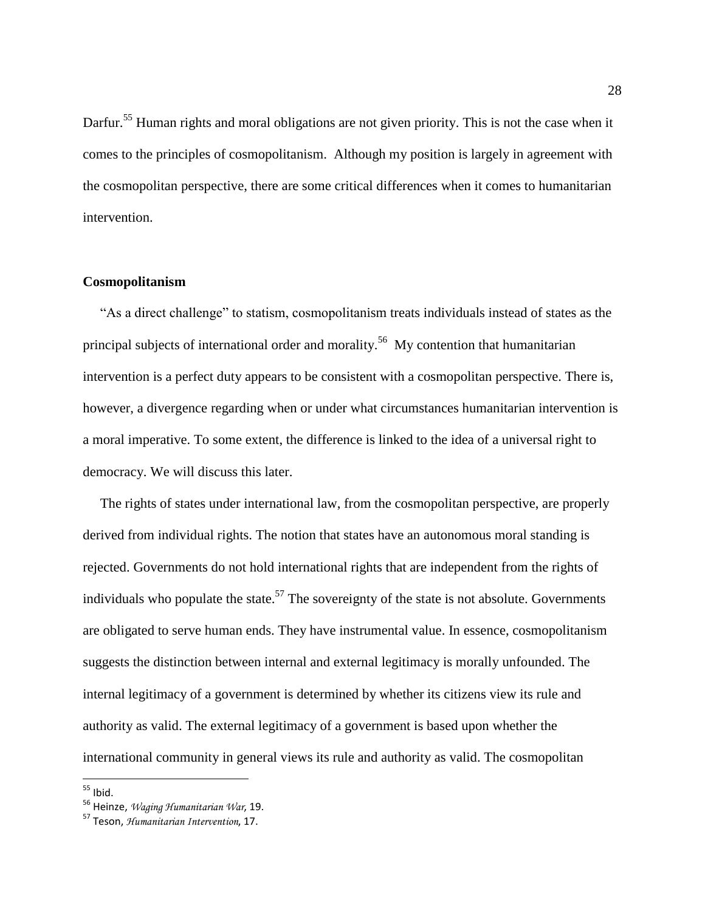Darfur.<sup>55</sup> Human rights and moral obligations are not given priority. This is not the case when it comes to the principles of cosmopolitanism. Although my position is largely in agreement with the cosmopolitan perspective, there are some critical differences when it comes to humanitarian intervention.

#### **Cosmopolitanism**

 "As a direct challenge" to statism, cosmopolitanism treats individuals instead of states as the principal subjects of international order and morality.<sup>56</sup> My contention that humanitarian intervention is a perfect duty appears to be consistent with a cosmopolitan perspective. There is, however, a divergence regarding when or under what circumstances humanitarian intervention is a moral imperative. To some extent, the difference is linked to the idea of a universal right to democracy. We will discuss this later.

 The rights of states under international law, from the cosmopolitan perspective, are properly derived from individual rights. The notion that states have an autonomous moral standing is rejected. Governments do not hold international rights that are independent from the rights of individuals who populate the state.<sup>57</sup> The sovereignty of the state is not absolute. Governments are obligated to serve human ends. They have instrumental value. In essence, cosmopolitanism suggests the distinction between internal and external legitimacy is morally unfounded. The internal legitimacy of a government is determined by whether its citizens view its rule and authority as valid. The external legitimacy of a government is based upon whether the international community in general views its rule and authority as valid. The cosmopolitan

 $55$  Ibid.

<sup>56</sup> Heinze, *Waging Humanitarian War*, 19.

<sup>57</sup> Teson, *Humanitarian Intervention*, 17.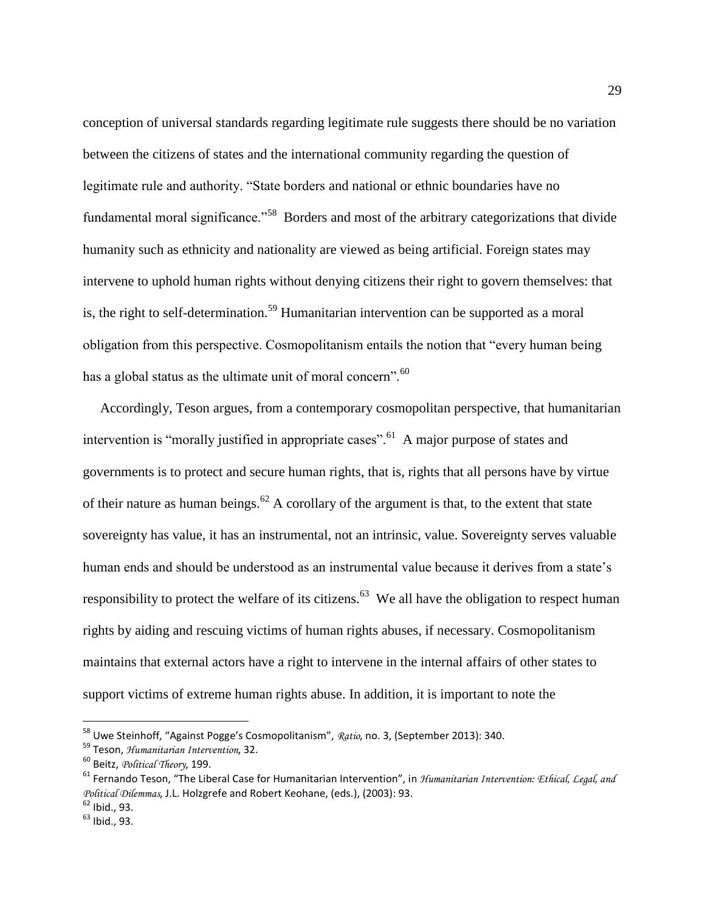conception of universal standards regarding legitimate rule suggests there should be no variation between the citizens of states and the international community regarding the question of legitimate rule and authority. "State borders and national or ethnic boundaries have no fundamental moral significance."<sup>58</sup> Borders and most of the arbitrary categorizations that divide humanity such as ethnicity and nationality are viewed as being artificial. Foreign states may intervene to uphold human rights without denying citizens their right to govern themselves: that is, the right to self-determination.<sup>59</sup> Humanitarian intervention can be supported as a moral obligation from this perspective. Cosmopolitanism entails the notion that "every human being has a global status as the ultimate unit of moral concern".<sup>60</sup>

 Accordingly, Teson argues, from a contemporary cosmopolitan perspective, that humanitarian intervention is "morally justified in appropriate cases".  $\delta$ <sup>1</sup> A major purpose of states and governments is to protect and secure human rights, that is, rights that all persons have by virtue of their nature as human beings.<sup>62</sup> A corollary of the argument is that, to the extent that state sovereignty has value, it has an instrumental, not an intrinsic, value. Sovereignty serves valuable human ends and should be understood as an instrumental value because it derives from a state's responsibility to protect the welfare of its citizens.<sup>63</sup> We all have the obligation to respect human rights by aiding and rescuing victims of human rights abuses, if necessary. Cosmopolitanism maintains that external actors have a right to intervene in the internal affairs of other states to support victims of extreme human rights abuse. In addition, it is important to note the

<sup>58</sup> Uwe Steinhoff, "Against Pogge's Cosmopolitanism", *Ratio*, no. 3, (September 2013): 340.

<sup>59</sup> Teson, *Humanitarian Intervention*, 32.

<sup>60</sup> Beitz, *Political Theory*, 199.

<sup>61</sup> Fernando Teson, "The Liberal Case for Humanitarian Intervention", in *Humanitarian Intervention: Ethical, Legal, and Political Dilemmas*, J.L. Holzgrefe and Robert Keohane, (eds.), (2003): 93.

 $62$  Ibid., 93.

<sup>63</sup> Ibid., 93.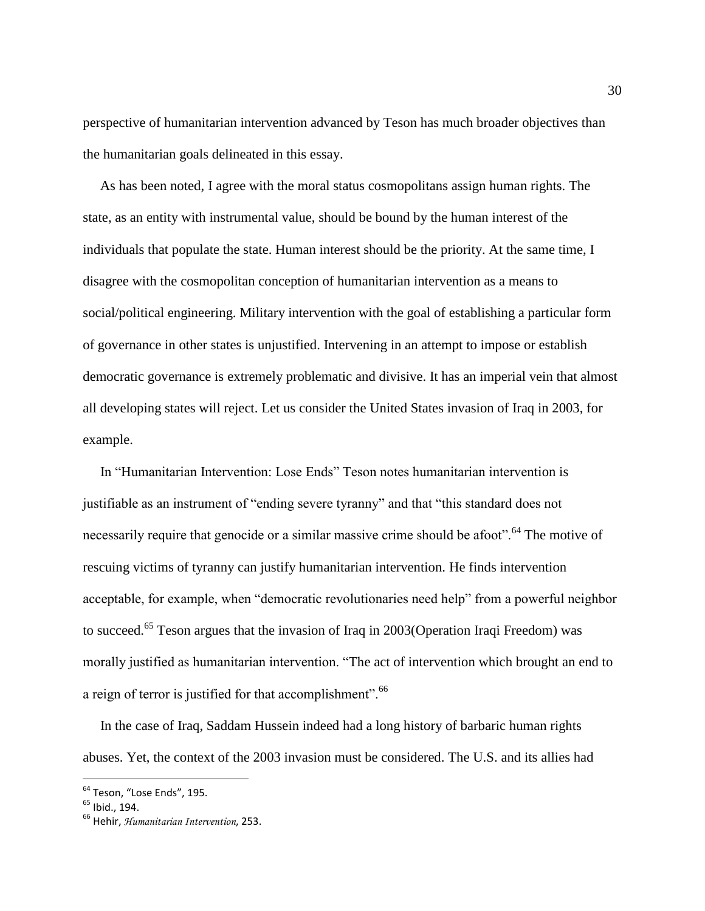perspective of humanitarian intervention advanced by Teson has much broader objectives than the humanitarian goals delineated in this essay.

 As has been noted, I agree with the moral status cosmopolitans assign human rights. The state, as an entity with instrumental value, should be bound by the human interest of the individuals that populate the state. Human interest should be the priority. At the same time, I disagree with the cosmopolitan conception of humanitarian intervention as a means to social/political engineering. Military intervention with the goal of establishing a particular form of governance in other states is unjustified. Intervening in an attempt to impose or establish democratic governance is extremely problematic and divisive. It has an imperial vein that almost all developing states will reject. Let us consider the United States invasion of Iraq in 2003, for example.

 In "Humanitarian Intervention: Lose Ends" Teson notes humanitarian intervention is justifiable as an instrument of "ending severe tyranny" and that "this standard does not necessarily require that genocide or a similar massive crime should be afoot".<sup>64</sup> The motive of rescuing victims of tyranny can justify humanitarian intervention. He finds intervention acceptable, for example, when "democratic revolutionaries need help" from a powerful neighbor to succeed.<sup>65</sup> Teson argues that the invasion of Iraq in 2003(Operation Iraqi Freedom) was morally justified as humanitarian intervention. "The act of intervention which brought an end to a reign of terror is justified for that accomplishment".<sup>66</sup>

 In the case of Iraq, Saddam Hussein indeed had a long history of barbaric human rights abuses. Yet, the context of the 2003 invasion must be considered. The U.S. and its allies had

<sup>&</sup>lt;sup>64</sup> Teson, "Lose Ends", 195.

<sup>&</sup>lt;sup>65</sup> Ibid., 194.

<sup>66</sup> Hehir, *Humanitarian Intervention*, 253.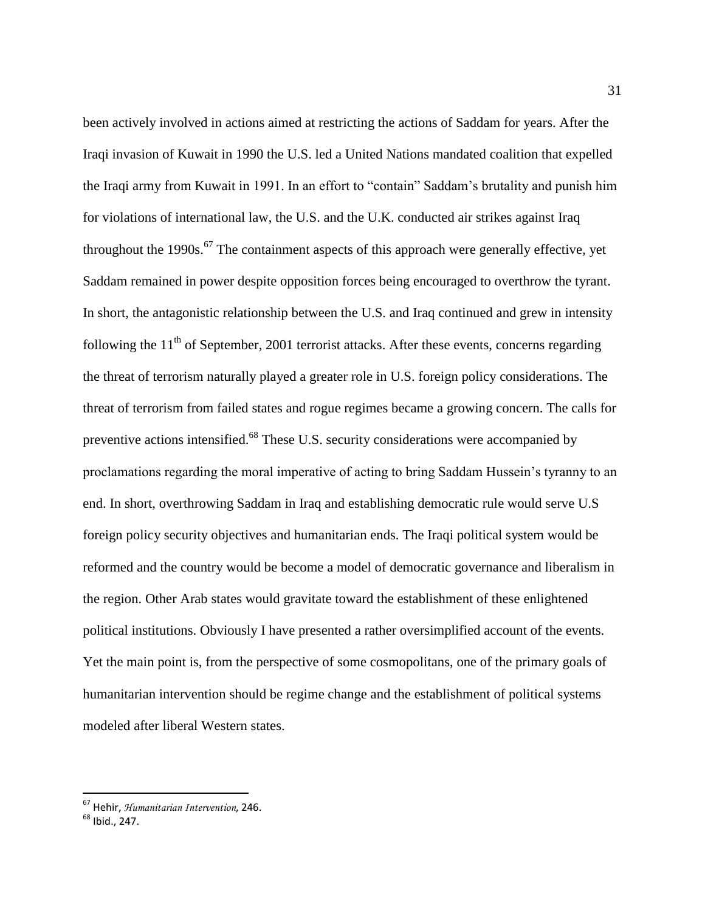been actively involved in actions aimed at restricting the actions of Saddam for years. After the Iraqi invasion of Kuwait in 1990 the U.S. led a United Nations mandated coalition that expelled the Iraqi army from Kuwait in 1991. In an effort to "contain" Saddam's brutality and punish him for violations of international law, the U.S. and the U.K. conducted air strikes against Iraq throughout the 1990s.<sup>67</sup> The containment aspects of this approach were generally effective, yet Saddam remained in power despite opposition forces being encouraged to overthrow the tyrant. In short, the antagonistic relationship between the U.S. and Iraq continued and grew in intensity following the  $11<sup>th</sup>$  of September, 2001 terrorist attacks. After these events, concerns regarding the threat of terrorism naturally played a greater role in U.S. foreign policy considerations. The threat of terrorism from failed states and rogue regimes became a growing concern. The calls for preventive actions intensified.<sup>68</sup> These U.S. security considerations were accompanied by proclamations regarding the moral imperative of acting to bring Saddam Hussein's tyranny to an end. In short, overthrowing Saddam in Iraq and establishing democratic rule would serve U.S foreign policy security objectives and humanitarian ends. The Iraqi political system would be reformed and the country would be become a model of democratic governance and liberalism in the region. Other Arab states would gravitate toward the establishment of these enlightened political institutions. Obviously I have presented a rather oversimplified account of the events. Yet the main point is, from the perspective of some cosmopolitans, one of the primary goals of humanitarian intervention should be regime change and the establishment of political systems modeled after liberal Western states.

<sup>67</sup> Hehir, *Humanitarian Intervention*, 246.

<sup>68</sup> Ibid., 247.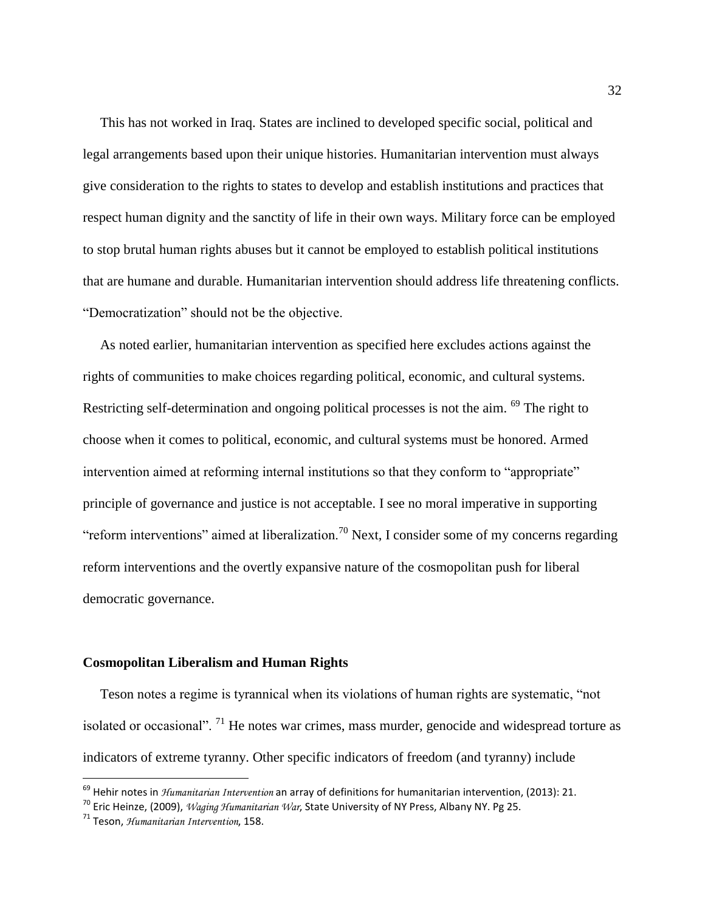This has not worked in Iraq. States are inclined to developed specific social, political and legal arrangements based upon their unique histories. Humanitarian intervention must always give consideration to the rights to states to develop and establish institutions and practices that respect human dignity and the sanctity of life in their own ways. Military force can be employed to stop brutal human rights abuses but it cannot be employed to establish political institutions that are humane and durable. Humanitarian intervention should address life threatening conflicts. "Democratization" should not be the objective.

 As noted earlier, humanitarian intervention as specified here excludes actions against the rights of communities to make choices regarding political, economic, and cultural systems. Restricting self-determination and ongoing political processes is not the aim. <sup>69</sup> The right to choose when it comes to political, economic, and cultural systems must be honored. Armed intervention aimed at reforming internal institutions so that they conform to "appropriate" principle of governance and justice is not acceptable. I see no moral imperative in supporting "reform interventions" aimed at liberalization.<sup>70</sup> Next, I consider some of my concerns regarding reform interventions and the overtly expansive nature of the cosmopolitan push for liberal democratic governance.

#### **Cosmopolitan Liberalism and Human Rights**

 Teson notes a regime is tyrannical when its violations of human rights are systematic, "not isolated or occasional". <sup>71</sup> He notes war crimes, mass murder, genocide and widespread torture as indicators of extreme tyranny. Other specific indicators of freedom (and tyranny) include

<sup>69</sup> Hehir notes in *Humanitarian Intervention* an array of definitions for humanitarian intervention, (2013): 21.

<sup>70</sup> Eric Heinze, (2009), *Waging Humanitarian War*, State University of NY Press, Albany NY. Pg 25.

<sup>71</sup> Teson, *Humanitarian Intervention*, 158.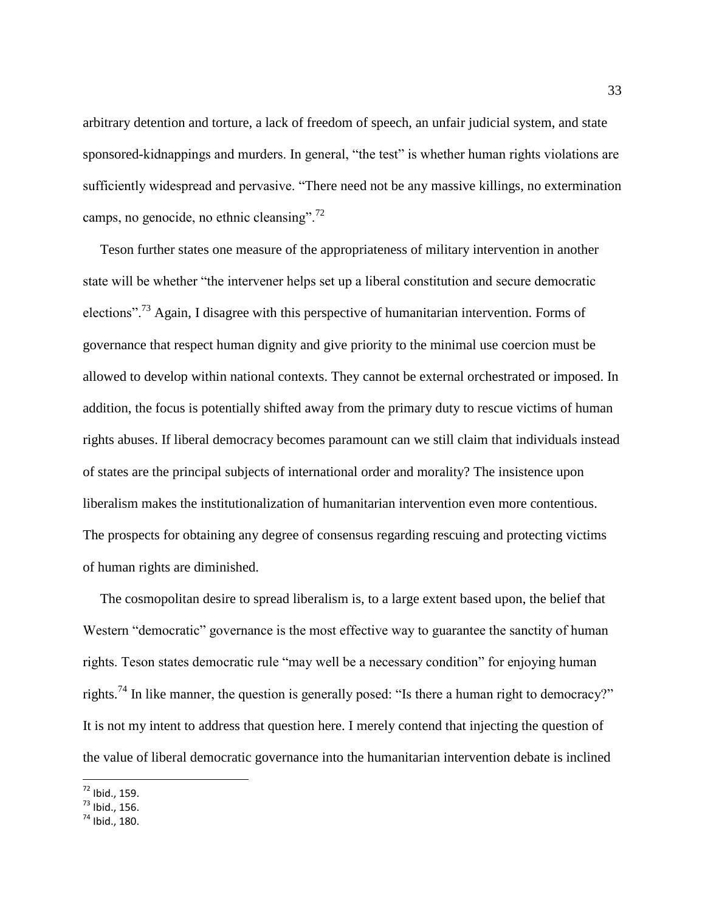arbitrary detention and torture, a lack of freedom of speech, an unfair judicial system, and state sponsored-kidnappings and murders. In general, "the test" is whether human rights violations are sufficiently widespread and pervasive. "There need not be any massive killings, no extermination camps, no genocide, no ethnic cleansing". $^{72}$ 

 Teson further states one measure of the appropriateness of military intervention in another state will be whether "the intervener helps set up a liberal constitution and secure democratic elections".<sup>73</sup> Again, I disagree with this perspective of humanitarian intervention. Forms of governance that respect human dignity and give priority to the minimal use coercion must be allowed to develop within national contexts. They cannot be external orchestrated or imposed. In addition, the focus is potentially shifted away from the primary duty to rescue victims of human rights abuses. If liberal democracy becomes paramount can we still claim that individuals instead of states are the principal subjects of international order and morality? The insistence upon liberalism makes the institutionalization of humanitarian intervention even more contentious. The prospects for obtaining any degree of consensus regarding rescuing and protecting victims of human rights are diminished.

 The cosmopolitan desire to spread liberalism is, to a large extent based upon, the belief that Western "democratic" governance is the most effective way to guarantee the sanctity of human rights. Teson states democratic rule "may well be a necessary condition" for enjoying human rights.<sup>74</sup> In like manner, the question is generally posed: "Is there a human right to democracy?" It is not my intent to address that question here. I merely contend that injecting the question of the value of liberal democratic governance into the humanitarian intervention debate is inclined

 $72$  Ibid., 159.

 $^{73}$  Ibid., 156.

 $^{74}$  Ibid., 180.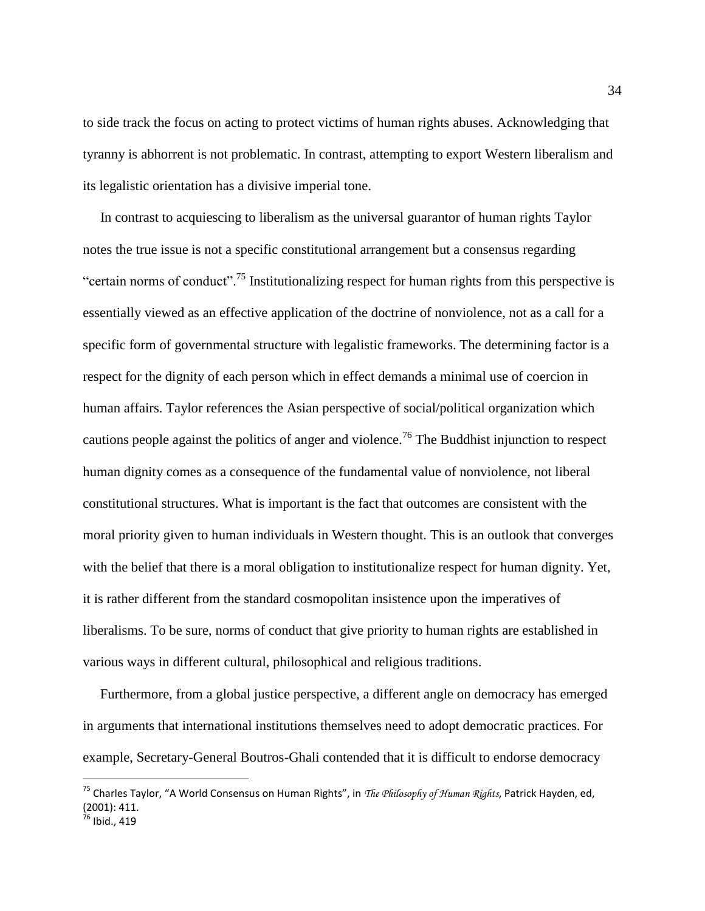to side track the focus on acting to protect victims of human rights abuses. Acknowledging that tyranny is abhorrent is not problematic. In contrast, attempting to export Western liberalism and its legalistic orientation has a divisive imperial tone.

 In contrast to acquiescing to liberalism as the universal guarantor of human rights Taylor notes the true issue is not a specific constitutional arrangement but a consensus regarding "certain norms of conduct".<sup>75</sup> Institutionalizing respect for human rights from this perspective is essentially viewed as an effective application of the doctrine of nonviolence, not as a call for a specific form of governmental structure with legalistic frameworks. The determining factor is a respect for the dignity of each person which in effect demands a minimal use of coercion in human affairs. Taylor references the Asian perspective of social/political organization which cautions people against the politics of anger and violence.<sup>76</sup> The Buddhist injunction to respect human dignity comes as a consequence of the fundamental value of nonviolence, not liberal constitutional structures. What is important is the fact that outcomes are consistent with the moral priority given to human individuals in Western thought. This is an outlook that converges with the belief that there is a moral obligation to institutionalize respect for human dignity. Yet, it is rather different from the standard cosmopolitan insistence upon the imperatives of liberalisms. To be sure, norms of conduct that give priority to human rights are established in various ways in different cultural, philosophical and religious traditions.

 Furthermore, from a global justice perspective, a different angle on democracy has emerged in arguments that international institutions themselves need to adopt democratic practices. For example, Secretary-General Boutros-Ghali contended that it is difficult to endorse democracy

<sup>75</sup> Charles Taylor, "A World Consensus on Human Rights", in *The Philosophy of Human Rights*, Patrick Hayden, ed, (2001): 411.

 $36$  Ibid., 419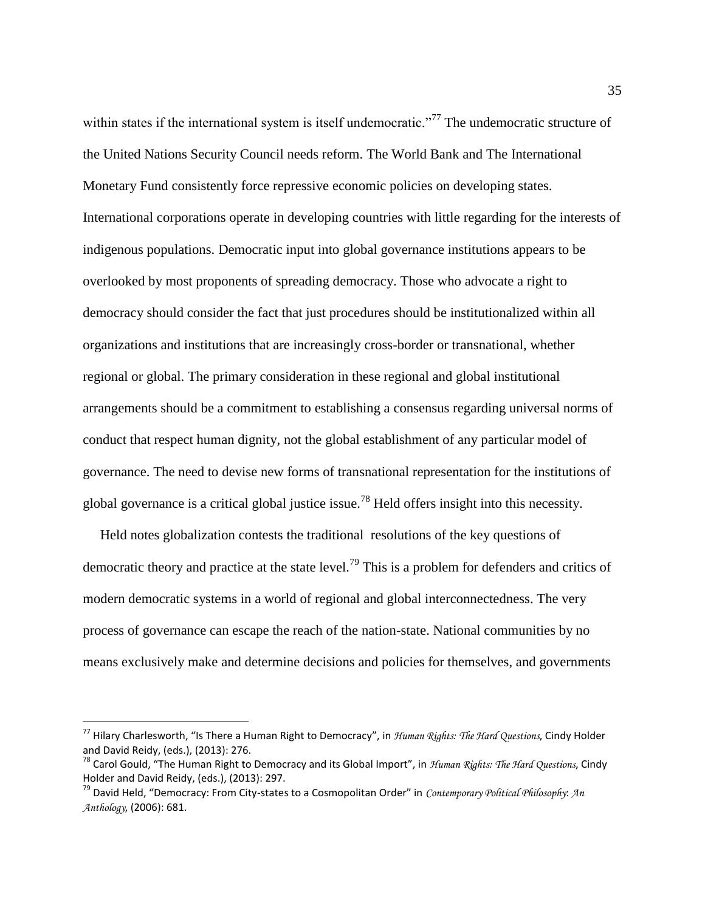within states if the international system is itself undemocratic."<sup>77</sup> The undemocratic structure of the United Nations Security Council needs reform. The World Bank and The International Monetary Fund consistently force repressive economic policies on developing states. International corporations operate in developing countries with little regarding for the interests of indigenous populations. Democratic input into global governance institutions appears to be overlooked by most proponents of spreading democracy. Those who advocate a right to democracy should consider the fact that just procedures should be institutionalized within all organizations and institutions that are increasingly cross-border or transnational, whether regional or global. The primary consideration in these regional and global institutional arrangements should be a commitment to establishing a consensus regarding universal norms of conduct that respect human dignity, not the global establishment of any particular model of governance. The need to devise new forms of transnational representation for the institutions of global governance is a critical global justice issue.<sup>78</sup> Held offers insight into this necessity.

 Held notes globalization contests the traditional resolutions of the key questions of democratic theory and practice at the state level.<sup>79</sup> This is a problem for defenders and critics of modern democratic systems in a world of regional and global interconnectedness. The very process of governance can escape the reach of the nation-state. National communities by no means exclusively make and determine decisions and policies for themselves, and governments

<sup>77</sup> Hilary Charlesworth, "Is There a Human Right to Democracy", in *Human Rights: The Hard Questions*, Cindy Holder and David Reidy, (eds.), (2013): 276.

<sup>78</sup> Carol Gould, "The Human Right to Democracy and its Global Import", in *Human Rights: The Hard Questions*, Cindy Holder and David Reidy, (eds.), (2013): 297.

<sup>79</sup> David Held, "Democracy: From City-states to a Cosmopolitan Order" in *Contemporary Political Philosophy*: *An Anthology*, (2006): 681.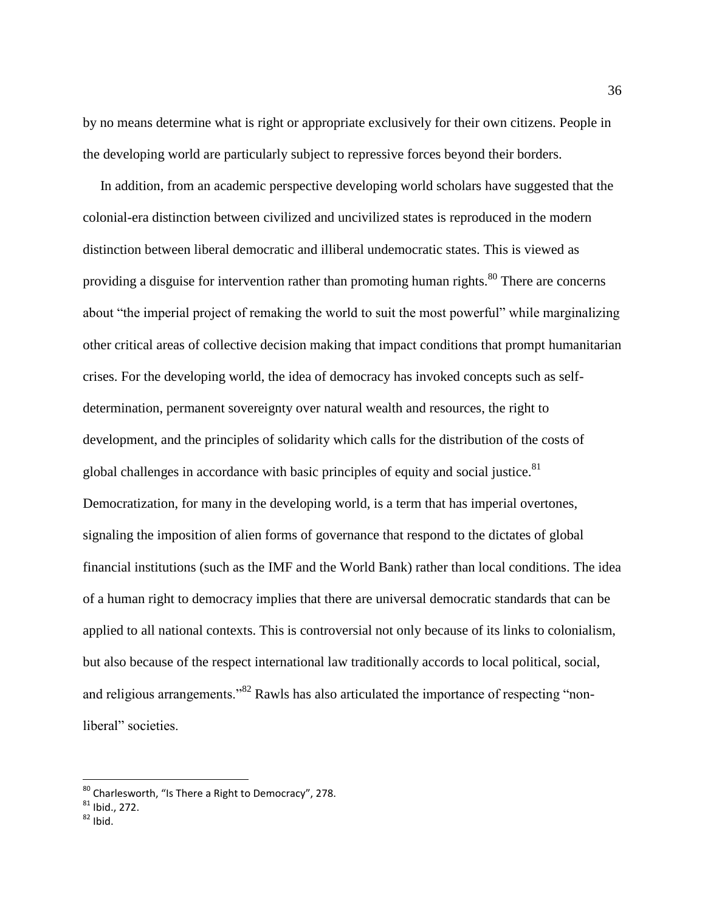by no means determine what is right or appropriate exclusively for their own citizens. People in the developing world are particularly subject to repressive forces beyond their borders.

 In addition, from an academic perspective developing world scholars have suggested that the colonial-era distinction between civilized and uncivilized states is reproduced in the modern distinction between liberal democratic and illiberal undemocratic states. This is viewed as providing a disguise for intervention rather than promoting human rights.<sup>80</sup> There are concerns about "the imperial project of remaking the world to suit the most powerful" while marginalizing other critical areas of collective decision making that impact conditions that prompt humanitarian crises. For the developing world, the idea of democracy has invoked concepts such as selfdetermination, permanent sovereignty over natural wealth and resources, the right to development, and the principles of solidarity which calls for the distribution of the costs of global challenges in accordance with basic principles of equity and social justice. $81$ Democratization, for many in the developing world, is a term that has imperial overtones, signaling the imposition of alien forms of governance that respond to the dictates of global financial institutions (such as the IMF and the World Bank) rather than local conditions. The idea of a human right to democracy implies that there are universal democratic standards that can be applied to all national contexts. This is controversial not only because of its links to colonialism, but also because of the respect international law traditionally accords to local political, social, and religious arrangements."<sup>82</sup> Rawls has also articulated the importance of respecting "nonliberal" societies.

 $^{80}$  Charlesworth, "Is There a Right to Democracy", 278.

 $81$  Ibid., 272.

 $82$  Ibid.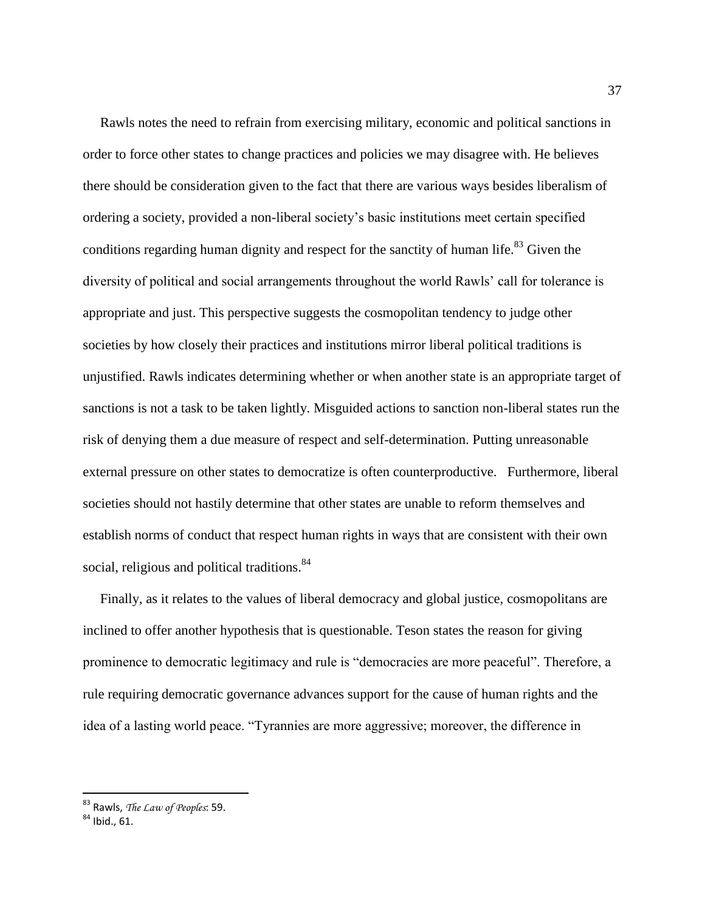Rawls notes the need to refrain from exercising military, economic and political sanctions in order to force other states to change practices and policies we may disagree with. He believes there should be consideration given to the fact that there are various ways besides liberalism of ordering a society, provided a non-liberal society's basic institutions meet certain specified conditions regarding human dignity and respect for the sanctity of human life. $83$  Given the diversity of political and social arrangements throughout the world Rawls' call for tolerance is appropriate and just. This perspective suggests the cosmopolitan tendency to judge other societies by how closely their practices and institutions mirror liberal political traditions is unjustified. Rawls indicates determining whether or when another state is an appropriate target of sanctions is not a task to be taken lightly. Misguided actions to sanction non-liberal states run the risk of denying them a due measure of respect and self-determination. Putting unreasonable external pressure on other states to democratize is often counterproductive. Furthermore, liberal societies should not hastily determine that other states are unable to reform themselves and establish norms of conduct that respect human rights in ways that are consistent with their own social, religious and political traditions.<sup>84</sup>

 Finally, as it relates to the values of liberal democracy and global justice, cosmopolitans are inclined to offer another hypothesis that is questionable. Teson states the reason for giving prominence to democratic legitimacy and rule is "democracies are more peaceful". Therefore, a rule requiring democratic governance advances support for the cause of human rights and the idea of a lasting world peace. "Tyrannies are more aggressive; moreover, the difference in

<sup>83</sup> Rawls, *The Law of Peoples*: 59.

 $84$  Ibid., 61.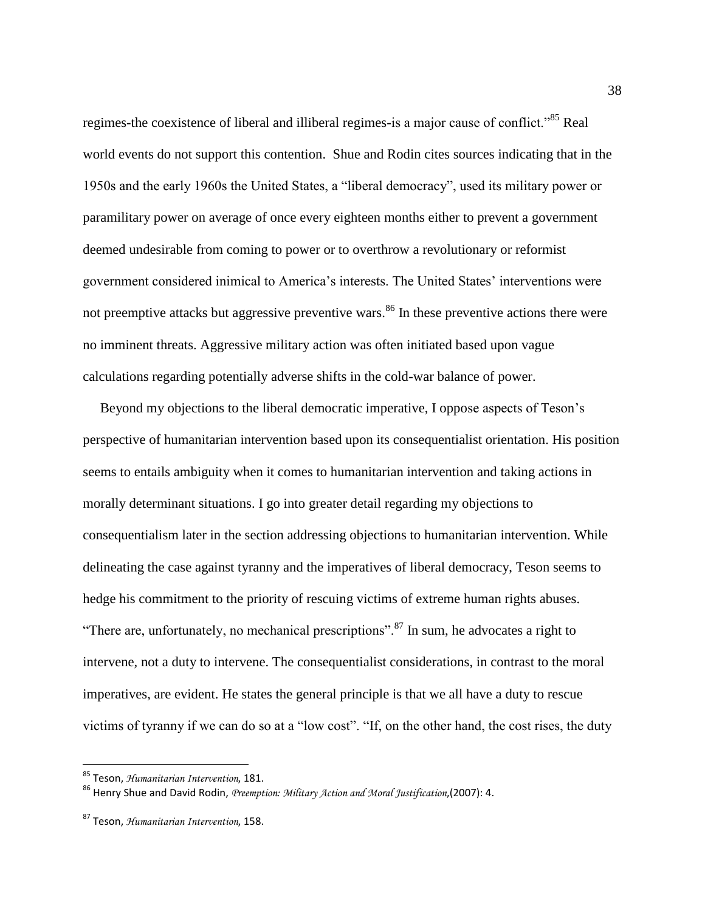regimes-the coexistence of liberal and illiberal regimes-is a major cause of conflict."<sup>85</sup> Real world events do not support this contention. Shue and Rodin cites sources indicating that in the 1950s and the early 1960s the United States, a "liberal democracy", used its military power or paramilitary power on average of once every eighteen months either to prevent a government deemed undesirable from coming to power or to overthrow a revolutionary or reformist government considered inimical to America's interests. The United States' interventions were not preemptive attacks but aggressive preventive wars.<sup>86</sup> In these preventive actions there were no imminent threats. Aggressive military action was often initiated based upon vague calculations regarding potentially adverse shifts in the cold-war balance of power.

 Beyond my objections to the liberal democratic imperative, I oppose aspects of Teson's perspective of humanitarian intervention based upon its consequentialist orientation. His position seems to entails ambiguity when it comes to humanitarian intervention and taking actions in morally determinant situations. I go into greater detail regarding my objections to consequentialism later in the section addressing objections to humanitarian intervention. While delineating the case against tyranny and the imperatives of liberal democracy, Teson seems to hedge his commitment to the priority of rescuing victims of extreme human rights abuses. "There are, unfortunately, no mechanical prescriptions".<sup>87</sup> In sum, he advocates a right to intervene, not a duty to intervene. The consequentialist considerations, in contrast to the moral imperatives, are evident. He states the general principle is that we all have a duty to rescue victims of tyranny if we can do so at a "low cost". "If, on the other hand, the cost rises, the duty

<sup>85</sup> Teson, *Humanitarian Intervention*, 181.

<sup>86</sup> Henry Shue and David Rodin, *Preemption: Military Action and Moral Justification*,(2007): 4.

<sup>87</sup> Teson, *Humanitarian Intervention*, 158.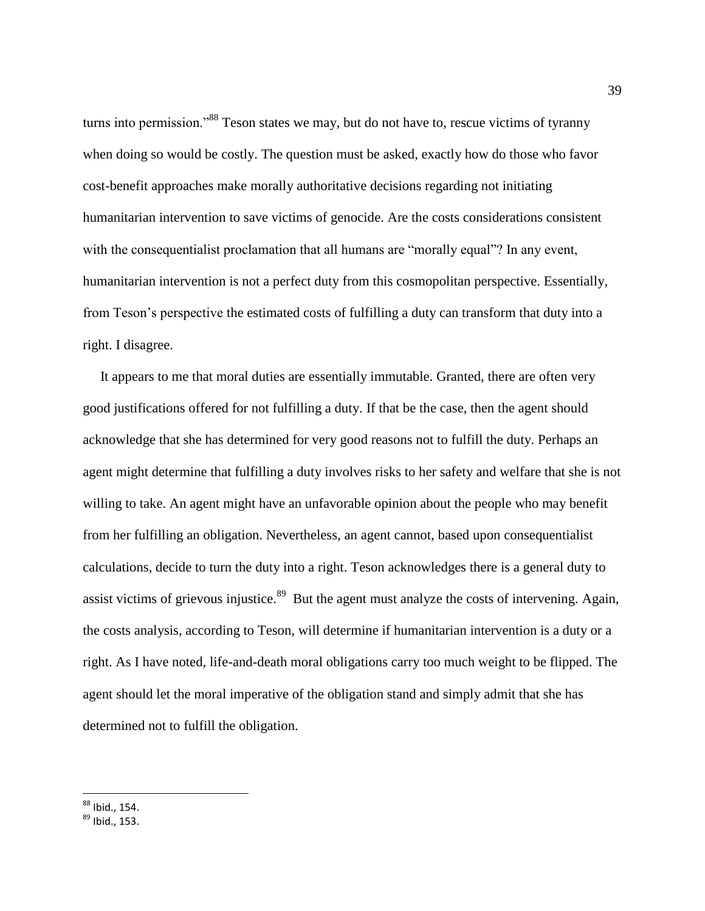turns into permission."<sup>88</sup> Teson states we may, but do not have to, rescue victims of tyranny when doing so would be costly. The question must be asked, exactly how do those who favor cost-benefit approaches make morally authoritative decisions regarding not initiating humanitarian intervention to save victims of genocide. Are the costs considerations consistent with the consequentialist proclamation that all humans are "morally equal"? In any event, humanitarian intervention is not a perfect duty from this cosmopolitan perspective. Essentially, from Teson's perspective the estimated costs of fulfilling a duty can transform that duty into a right. I disagree.

 It appears to me that moral duties are essentially immutable. Granted, there are often very good justifications offered for not fulfilling a duty. If that be the case, then the agent should acknowledge that she has determined for very good reasons not to fulfill the duty. Perhaps an agent might determine that fulfilling a duty involves risks to her safety and welfare that she is not willing to take. An agent might have an unfavorable opinion about the people who may benefit from her fulfilling an obligation. Nevertheless, an agent cannot, based upon consequentialist calculations, decide to turn the duty into a right. Teson acknowledges there is a general duty to assist victims of grievous injustice.<sup>89</sup> But the agent must analyze the costs of intervening. Again, the costs analysis, according to Teson, will determine if humanitarian intervention is a duty or a right. As I have noted, life-and-death moral obligations carry too much weight to be flipped. The agent should let the moral imperative of the obligation stand and simply admit that she has determined not to fulfill the obligation.

<sup>&</sup>lt;sup>88</sup> Ibid., 154.

 $89$  Ibid., 153.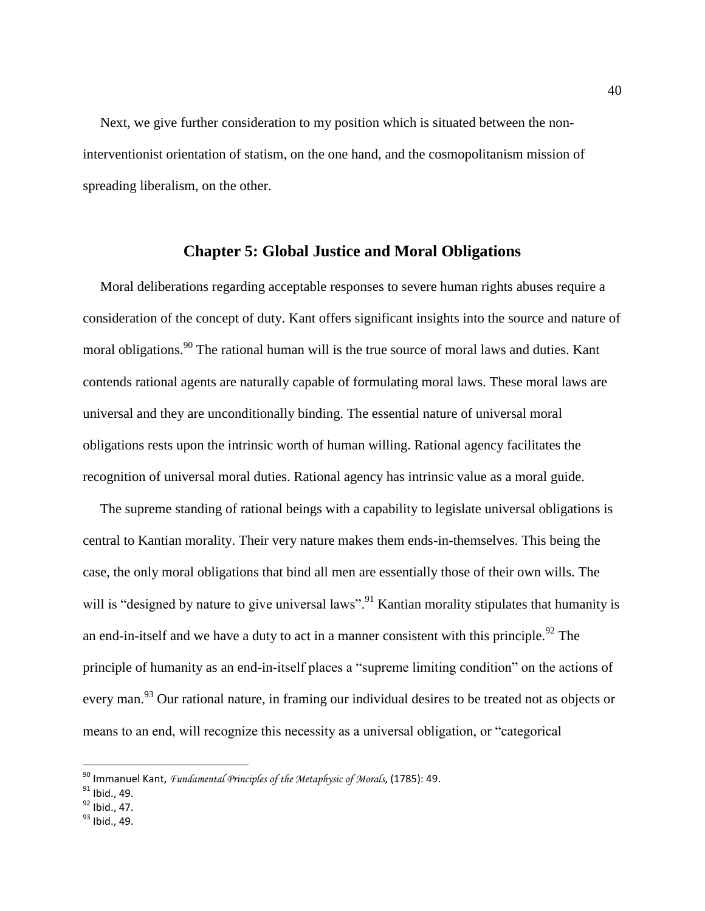Next, we give further consideration to my position which is situated between the noninterventionist orientation of statism, on the one hand, and the cosmopolitanism mission of spreading liberalism, on the other.

### **Chapter 5: Global Justice and Moral Obligations**

 Moral deliberations regarding acceptable responses to severe human rights abuses require a consideration of the concept of duty. Kant offers significant insights into the source and nature of moral obligations.<sup>90</sup> The rational human will is the true source of moral laws and duties. Kant contends rational agents are naturally capable of formulating moral laws. These moral laws are universal and they are unconditionally binding. The essential nature of universal moral obligations rests upon the intrinsic worth of human willing. Rational agency facilitates the recognition of universal moral duties. Rational agency has intrinsic value as a moral guide.

 The supreme standing of rational beings with a capability to legislate universal obligations is central to Kantian morality. Their very nature makes them ends-in-themselves. This being the case, the only moral obligations that bind all men are essentially those of their own wills. The will is "designed by nature to give universal laws".<sup>91</sup> Kantian morality stipulates that humanity is an end-in-itself and we have a duty to act in a manner consistent with this principle.<sup>92</sup> The principle of humanity as an end-in-itself places a "supreme limiting condition" on the actions of every man.<sup>93</sup> Our rational nature, in framing our individual desires to be treated not as objects or means to an end, will recognize this necessity as a universal obligation, or "categorical

<sup>90</sup> Immanuel Kant, *Fundamental Principles of the Metaphysic of Morals*, (1785): 49.

<sup>&</sup>lt;sup>91</sup> Ibid., 49.

 $92$  Ibid., 47.

<sup>93</sup> Ibid., 49.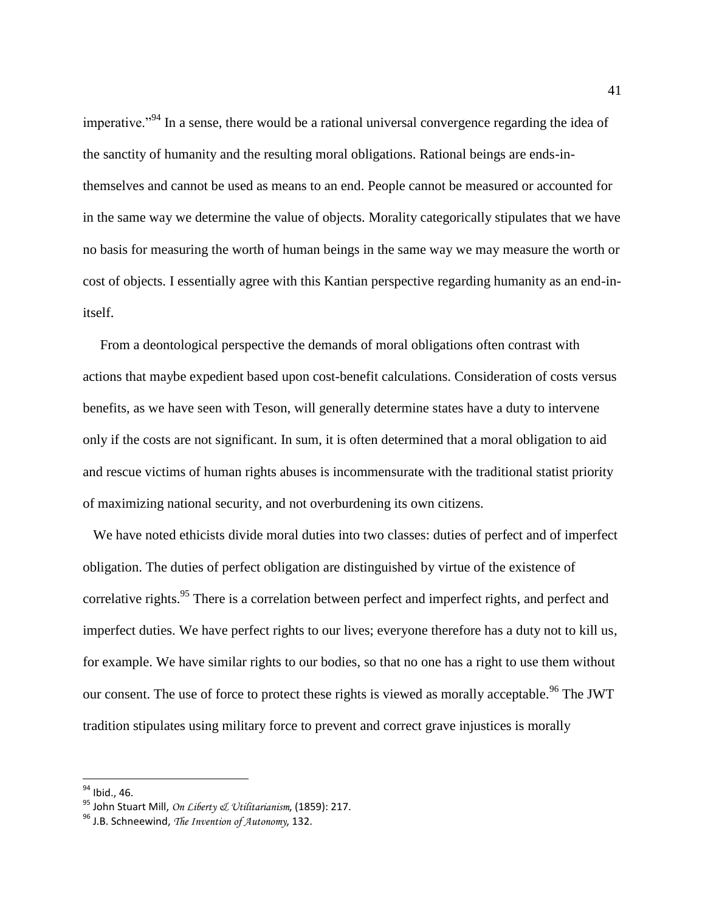imperative."<sup>94</sup> In a sense, there would be a rational universal convergence regarding the idea of the sanctity of humanity and the resulting moral obligations. Rational beings are ends-inthemselves and cannot be used as means to an end. People cannot be measured or accounted for in the same way we determine the value of objects. Morality categorically stipulates that we have no basis for measuring the worth of human beings in the same way we may measure the worth or cost of objects. I essentially agree with this Kantian perspective regarding humanity as an end-initself.

 From a deontological perspective the demands of moral obligations often contrast with actions that maybe expedient based upon cost-benefit calculations. Consideration of costs versus benefits, as we have seen with Teson, will generally determine states have a duty to intervene only if the costs are not significant. In sum, it is often determined that a moral obligation to aid and rescue victims of human rights abuses is incommensurate with the traditional statist priority of maximizing national security, and not overburdening its own citizens.

 We have noted ethicists divide moral duties into two classes: duties of perfect and of imperfect obligation. The duties of perfect obligation are distinguished by virtue of the existence of correlative rights.<sup>95</sup> There is a correlation between perfect and imperfect rights, and perfect and imperfect duties. We have perfect rights to our lives; everyone therefore has a duty not to kill us, for example. We have similar rights to our bodies, so that no one has a right to use them without our consent. The use of force to protect these rights is viewed as morally acceptable.<sup>96</sup> The JWT tradition stipulates using military force to prevent and correct grave injustices is morally

<sup>&</sup>lt;sup>94</sup> Ibid., 46.

<sup>95</sup> John Stuart Mill, *On Liberty & Utilitarianism*, (1859): 217.

<sup>96</sup> J.B. Schneewind, *The Invention of Autonomy*, 132.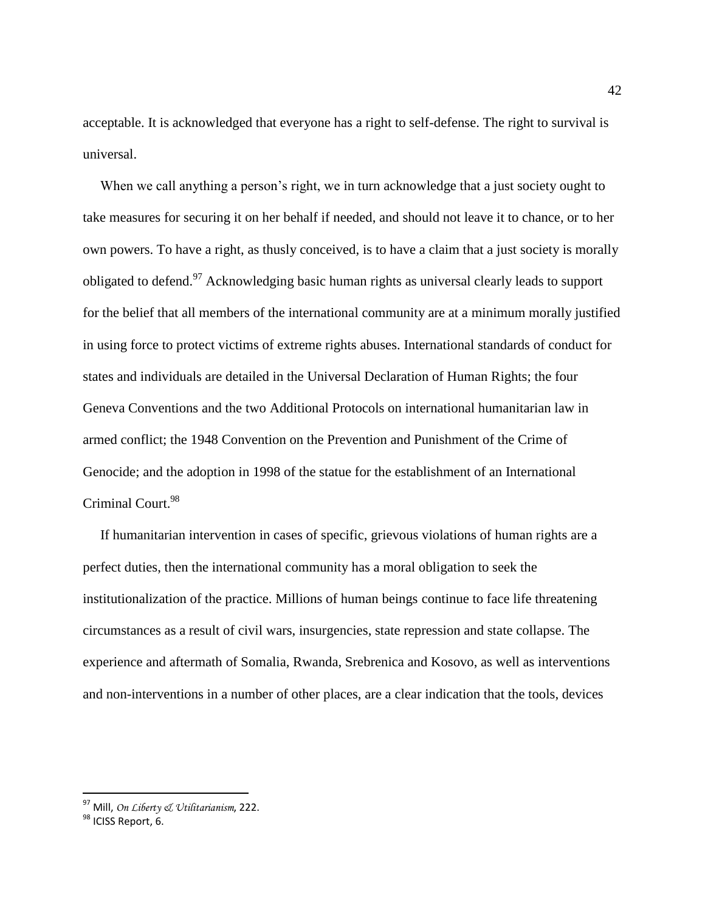acceptable. It is acknowledged that everyone has a right to self-defense. The right to survival is universal.

When we call anything a person's right, we in turn acknowledge that a just society ought to take measures for securing it on her behalf if needed, and should not leave it to chance, or to her own powers. To have a right, as thusly conceived, is to have a claim that a just society is morally obligated to defend.<sup>97</sup> Acknowledging basic human rights as universal clearly leads to support for the belief that all members of the international community are at a minimum morally justified in using force to protect victims of extreme rights abuses. International standards of conduct for states and individuals are detailed in the Universal Declaration of Human Rights; the four Geneva Conventions and the two Additional Protocols on international humanitarian law in armed conflict; the 1948 Convention on the Prevention and Punishment of the Crime of Genocide; and the adoption in 1998 of the statue for the establishment of an International Criminal Court.<sup>98</sup>

 If humanitarian intervention in cases of specific, grievous violations of human rights are a perfect duties, then the international community has a moral obligation to seek the institutionalization of the practice. Millions of human beings continue to face life threatening circumstances as a result of civil wars, insurgencies, state repression and state collapse. The experience and aftermath of Somalia, Rwanda, Srebrenica and Kosovo, as well as interventions and non-interventions in a number of other places, are a clear indication that the tools, devices

<sup>97</sup> Mill, *On Liberty & Utilitarianism*, 222.

<sup>98</sup> ICISS Report, 6.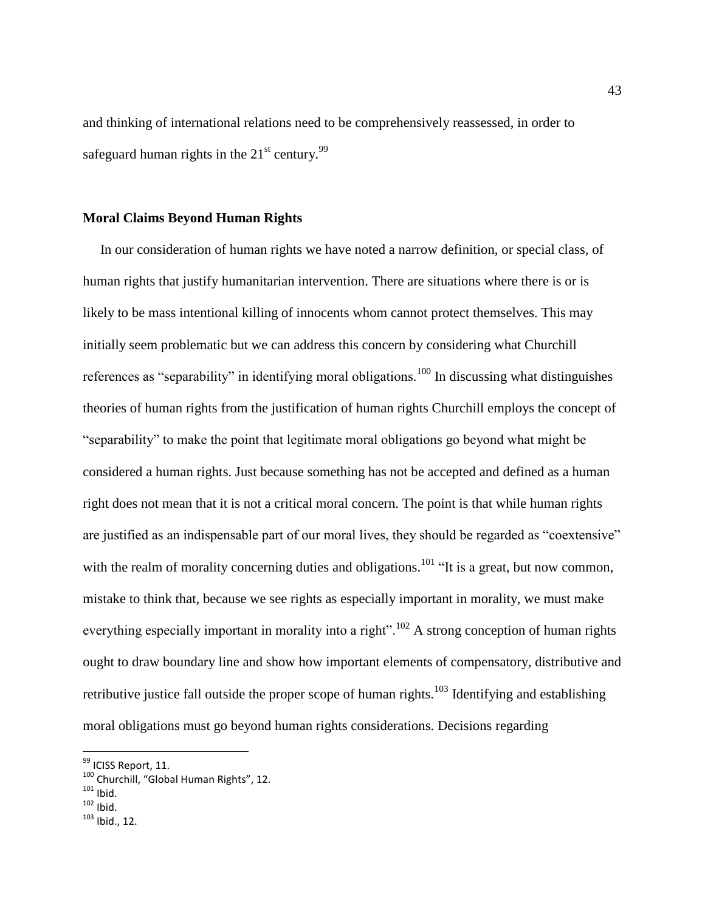and thinking of international relations need to be comprehensively reassessed, in order to safeguard human rights in the  $21<sup>st</sup>$  century.<sup>99</sup>

### **Moral Claims Beyond Human Rights**

 In our consideration of human rights we have noted a narrow definition, or special class, of human rights that justify humanitarian intervention. There are situations where there is or is likely to be mass intentional killing of innocents whom cannot protect themselves. This may initially seem problematic but we can address this concern by considering what Churchill references as "separability" in identifying moral obligations.<sup>100</sup> In discussing what distinguishes theories of human rights from the justification of human rights Churchill employs the concept of "separability" to make the point that legitimate moral obligations go beyond what might be considered a human rights. Just because something has not be accepted and defined as a human right does not mean that it is not a critical moral concern. The point is that while human rights are justified as an indispensable part of our moral lives, they should be regarded as "coextensive" with the realm of morality concerning duties and obligations.<sup>101</sup> "It is a great, but now common, mistake to think that, because we see rights as especially important in morality, we must make everything especially important in morality into a right".<sup>102</sup> A strong conception of human rights ought to draw boundary line and show how important elements of compensatory, distributive and retributive justice fall outside the proper scope of human rights.<sup>103</sup> Identifying and establishing moral obligations must go beyond human rights considerations. Decisions regarding

<sup>&</sup>lt;sup>99</sup> ICISS Report, 11.

<sup>100</sup> Churchill, "Global Human Rights", 12.

 $101$  Ibid.

 $102$  Ibid.

<sup>103</sup> Ibid., 12.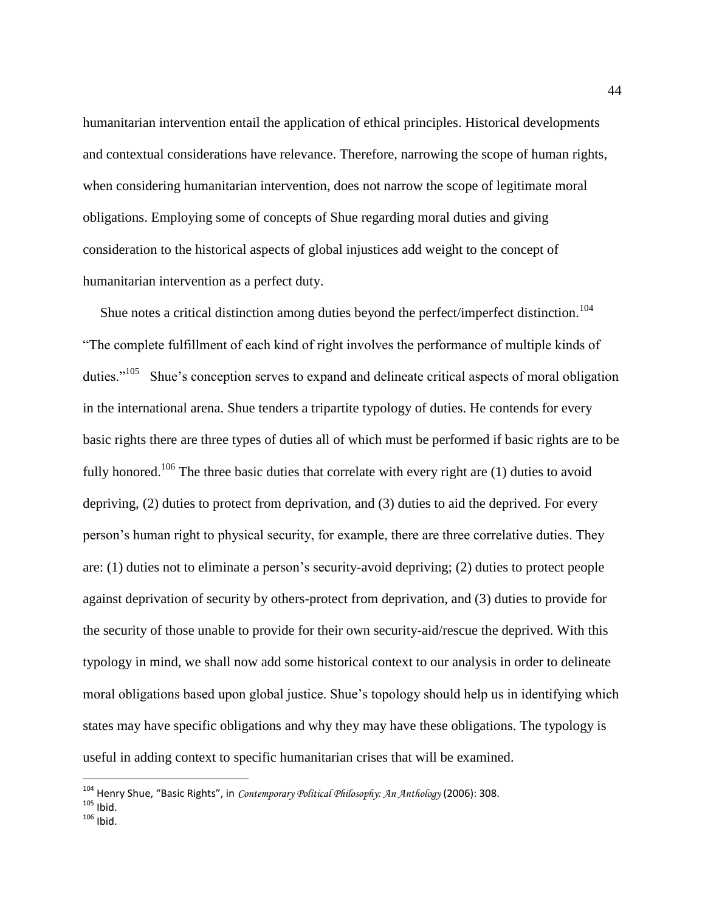humanitarian intervention entail the application of ethical principles. Historical developments and contextual considerations have relevance. Therefore, narrowing the scope of human rights, when considering humanitarian intervention, does not narrow the scope of legitimate moral obligations. Employing some of concepts of Shue regarding moral duties and giving consideration to the historical aspects of global injustices add weight to the concept of humanitarian intervention as a perfect duty.

Shue notes a critical distinction among duties beyond the perfect/imperfect distinction.<sup>104</sup> "The complete fulfillment of each kind of right involves the performance of multiple kinds of duties."<sup>105</sup> Shue's conception serves to expand and delineate critical aspects of moral obligation in the international arena. Shue tenders a tripartite typology of duties. He contends for every basic rights there are three types of duties all of which must be performed if basic rights are to be fully honored.<sup>106</sup> The three basic duties that correlate with every right are  $(1)$  duties to avoid depriving, (2) duties to protect from deprivation, and (3) duties to aid the deprived. For every person's human right to physical security, for example, there are three correlative duties. They are: (1) duties not to eliminate a person's security-avoid depriving; (2) duties to protect people against deprivation of security by others-protect from deprivation, and (3) duties to provide for the security of those unable to provide for their own security-aid/rescue the deprived. With this typology in mind, we shall now add some historical context to our analysis in order to delineate moral obligations based upon global justice. Shue's topology should help us in identifying which states may have specific obligations and why they may have these obligations. The typology is useful in adding context to specific humanitarian crises that will be examined.

<sup>104</sup> Henry Shue, "Basic Rights", in *Contemporary Political Philosophy: An Anthology* (2006): 308.  $105$  Ibid.

 $106$  Ibid.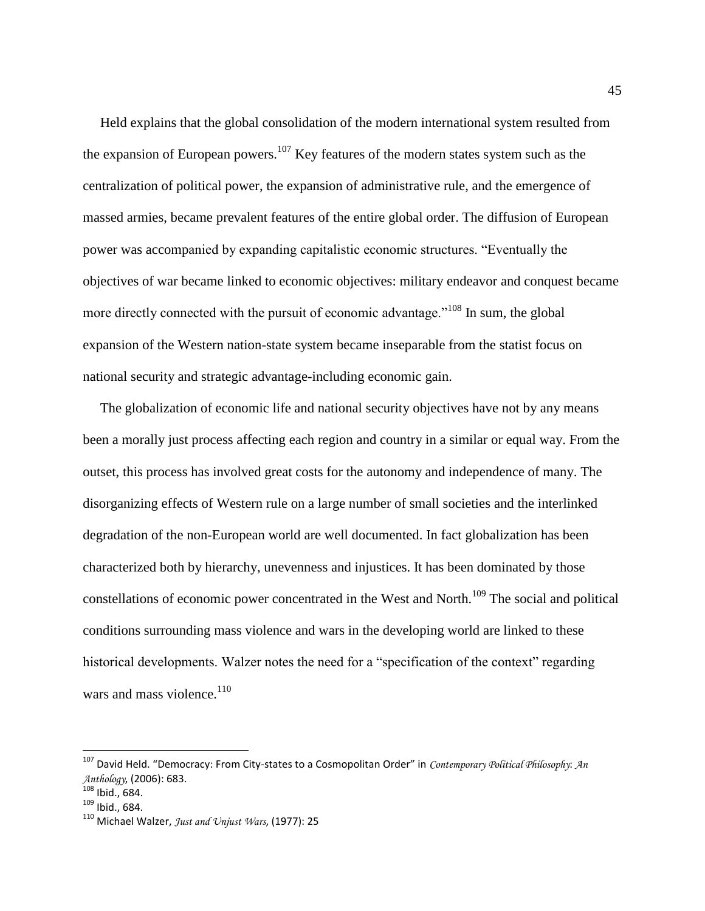Held explains that the global consolidation of the modern international system resulted from the expansion of European powers.<sup>107</sup> Key features of the modern states system such as the centralization of political power, the expansion of administrative rule, and the emergence of massed armies, became prevalent features of the entire global order. The diffusion of European power was accompanied by expanding capitalistic economic structures. "Eventually the objectives of war became linked to economic objectives: military endeavor and conquest became more directly connected with the pursuit of economic advantage."<sup>108</sup> In sum, the global expansion of the Western nation-state system became inseparable from the statist focus on national security and strategic advantage-including economic gain.

 The globalization of economic life and national security objectives have not by any means been a morally just process affecting each region and country in a similar or equal way. From the outset, this process has involved great costs for the autonomy and independence of many. The disorganizing effects of Western rule on a large number of small societies and the interlinked degradation of the non-European world are well documented. In fact globalization has been characterized both by hierarchy, unevenness and injustices. It has been dominated by those constellations of economic power concentrated in the West and North.<sup>109</sup> The social and political conditions surrounding mass violence and wars in the developing world are linked to these historical developments. Walzer notes the need for a "specification of the context" regarding wars and mass violence. $110$ 

<sup>107</sup> David Held. "Democracy: From City-states to a Cosmopolitan Order" in *Contemporary Political Philosophy*: *An Anthology*, (2006): 683.

<sup>108</sup> Ibid., 684.

 $109$  Ibid., 684.

<sup>110</sup> Michael Walzer, *Just and Unjust Wars*, (1977): 25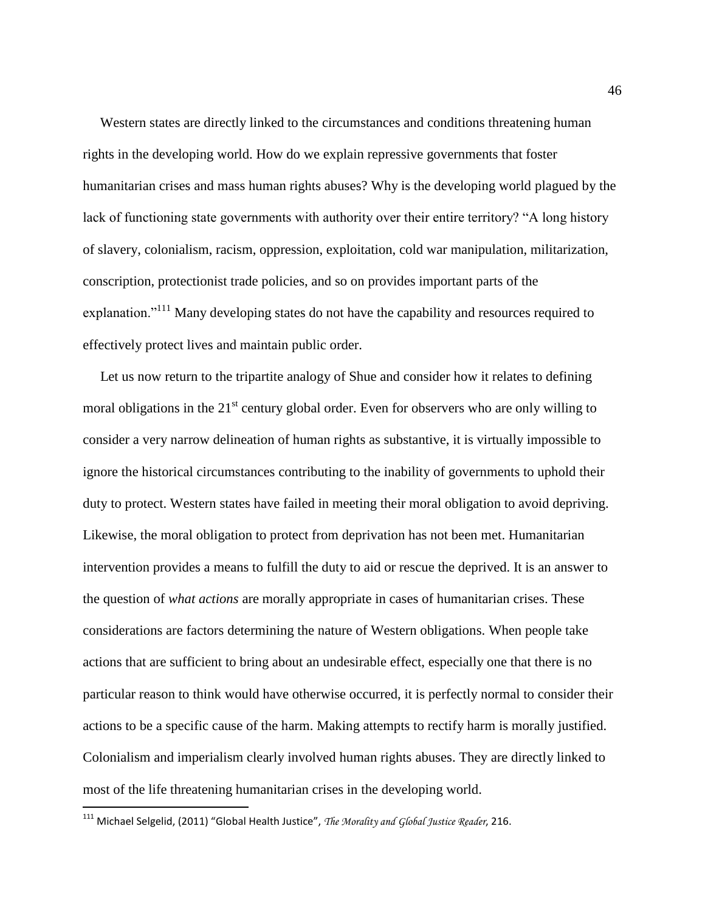Western states are directly linked to the circumstances and conditions threatening human rights in the developing world. How do we explain repressive governments that foster humanitarian crises and mass human rights abuses? Why is the developing world plagued by the lack of functioning state governments with authority over their entire territory? "A long history of slavery, colonialism, racism, oppression, exploitation, cold war manipulation, militarization, conscription, protectionist trade policies, and so on provides important parts of the explanation."<sup>111</sup> Many developing states do not have the capability and resources required to effectively protect lives and maintain public order.

 Let us now return to the tripartite analogy of Shue and consider how it relates to defining moral obligations in the  $21<sup>st</sup>$  century global order. Even for observers who are only willing to consider a very narrow delineation of human rights as substantive, it is virtually impossible to ignore the historical circumstances contributing to the inability of governments to uphold their duty to protect. Western states have failed in meeting their moral obligation to avoid depriving. Likewise, the moral obligation to protect from deprivation has not been met. Humanitarian intervention provides a means to fulfill the duty to aid or rescue the deprived. It is an answer to the question of *what actions* are morally appropriate in cases of humanitarian crises. These considerations are factors determining the nature of Western obligations. When people take actions that are sufficient to bring about an undesirable effect, especially one that there is no particular reason to think would have otherwise occurred, it is perfectly normal to consider their actions to be a specific cause of the harm. Making attempts to rectify harm is morally justified. Colonialism and imperialism clearly involved human rights abuses. They are directly linked to most of the life threatening humanitarian crises in the developing world.

<sup>111</sup> Michael Selgelid, (2011) "Global Health Justice", *The Morality and Global Justice Reader*, 216.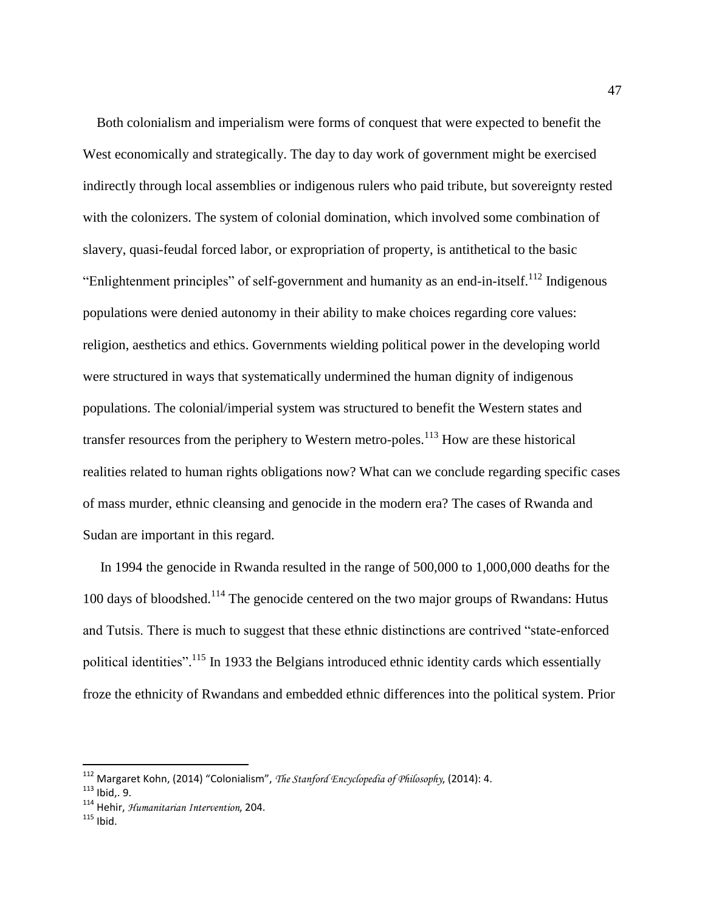Both colonialism and imperialism were forms of conquest that were expected to benefit the West economically and strategically. The day to day work of government might be exercised indirectly through local assemblies or indigenous rulers who paid tribute, but sovereignty rested with the colonizers. The system of colonial domination, which involved some combination of slavery, quasi-feudal forced labor, or expropriation of property, is antithetical to the basic "Enlightenment principles" of self-government and humanity as an end-in-itself.<sup>112</sup> Indigenous populations were denied autonomy in their ability to make choices regarding core values: religion, aesthetics and ethics. Governments wielding political power in the developing world were structured in ways that systematically undermined the human dignity of indigenous populations. The colonial/imperial system was structured to benefit the Western states and transfer resources from the periphery to Western metro-poles.<sup>113</sup> How are these historical realities related to human rights obligations now? What can we conclude regarding specific cases of mass murder, ethnic cleansing and genocide in the modern era? The cases of Rwanda and Sudan are important in this regard.

 In 1994 the genocide in Rwanda resulted in the range of 500,000 to 1,000,000 deaths for the 100 days of bloodshed.<sup>114</sup> The genocide centered on the two major groups of Rwandans: Hutus and Tutsis. There is much to suggest that these ethnic distinctions are contrived "state-enforced political identities".<sup>115</sup> In 1933 the Belgians introduced ethnic identity cards which essentially froze the ethnicity of Rwandans and embedded ethnic differences into the political system. Prior

<sup>112</sup> Margaret Kohn, (2014) "Colonialism", *The Stanford Encyclopedia of Philosophy*, (2014): 4.

<sup>113</sup> Ibid,. 9.

<sup>114</sup> Hehir, *Humanitarian Intervention*, 204.

 $115$  Ibid.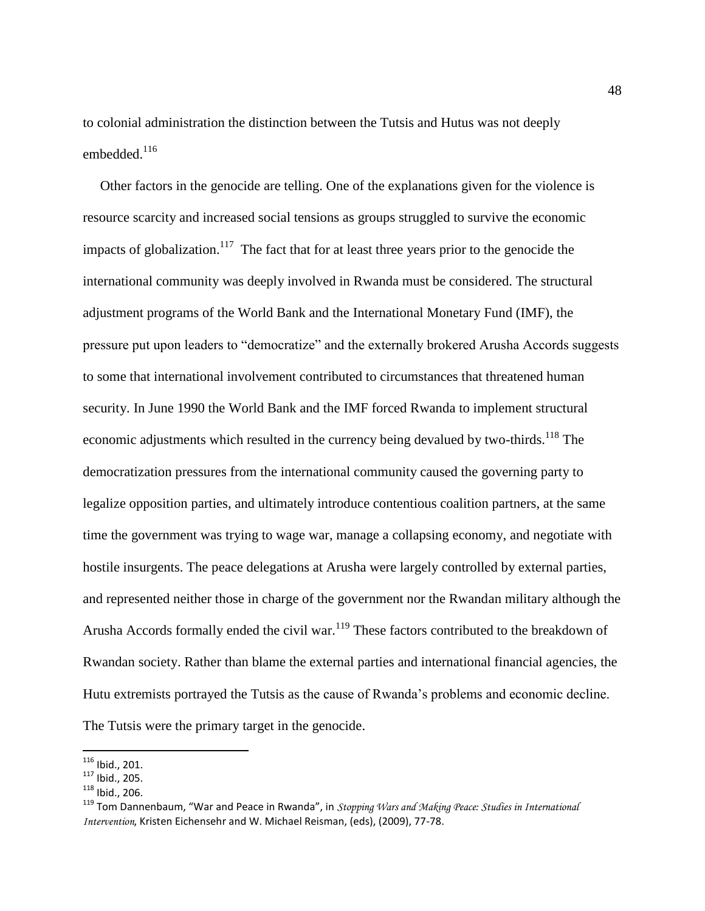to colonial administration the distinction between the Tutsis and Hutus was not deeply embedded. $^{116}$ 

 Other factors in the genocide are telling. One of the explanations given for the violence is resource scarcity and increased social tensions as groups struggled to survive the economic impacts of globalization.<sup>117</sup> The fact that for at least three years prior to the genocide the international community was deeply involved in Rwanda must be considered. The structural adjustment programs of the World Bank and the International Monetary Fund (IMF), the pressure put upon leaders to "democratize" and the externally brokered Arusha Accords suggests to some that international involvement contributed to circumstances that threatened human security. In June 1990 the World Bank and the IMF forced Rwanda to implement structural economic adjustments which resulted in the currency being devalued by two-thirds.<sup>118</sup> The democratization pressures from the international community caused the governing party to legalize opposition parties, and ultimately introduce contentious coalition partners, at the same time the government was trying to wage war, manage a collapsing economy, and negotiate with hostile insurgents. The peace delegations at Arusha were largely controlled by external parties, and represented neither those in charge of the government nor the Rwandan military although the Arusha Accords formally ended the civil war.<sup>119</sup> These factors contributed to the breakdown of Rwandan society. Rather than blame the external parties and international financial agencies, the Hutu extremists portrayed the Tutsis as the cause of Rwanda's problems and economic decline. The Tutsis were the primary target in the genocide.

 $116$  Ibid., 201.

 $117$  Ibid., 205.

<sup>118</sup> Ibid., 206.

<sup>119</sup> Tom Dannenbaum, "War and Peace in Rwanda", in *Stopping Wars and Making Peace: Studies in International Intervention*, Kristen Eichensehr and W. Michael Reisman, (eds), (2009), 77-78.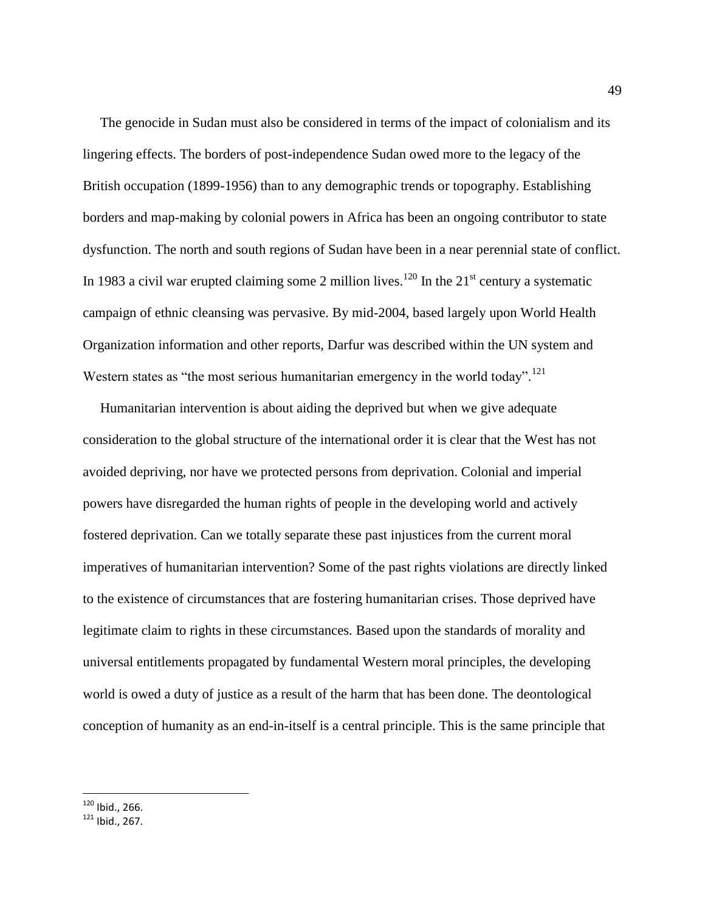The genocide in Sudan must also be considered in terms of the impact of colonialism and its lingering effects. The borders of post-independence Sudan owed more to the legacy of the British occupation (1899-1956) than to any demographic trends or topography. Establishing borders and map-making by colonial powers in Africa has been an ongoing contributor to state dysfunction. The north and south regions of Sudan have been in a near perennial state of conflict. In 1983 a civil war erupted claiming some 2 million lives.<sup>120</sup> In the  $21<sup>st</sup>$  century a systematic campaign of ethnic cleansing was pervasive. By mid-2004, based largely upon World Health Organization information and other reports, Darfur was described within the UN system and Western states as "the most serious humanitarian emergency in the world today".<sup>121</sup>

 Humanitarian intervention is about aiding the deprived but when we give adequate consideration to the global structure of the international order it is clear that the West has not avoided depriving, nor have we protected persons from deprivation. Colonial and imperial powers have disregarded the human rights of people in the developing world and actively fostered deprivation. Can we totally separate these past injustices from the current moral imperatives of humanitarian intervention? Some of the past rights violations are directly linked to the existence of circumstances that are fostering humanitarian crises. Those deprived have legitimate claim to rights in these circumstances. Based upon the standards of morality and universal entitlements propagated by fundamental Western moral principles, the developing world is owed a duty of justice as a result of the harm that has been done. The deontological conception of humanity as an end-in-itself is a central principle. This is the same principle that

 $120$  Ibid., 266.

 $121$  Ibid., 267.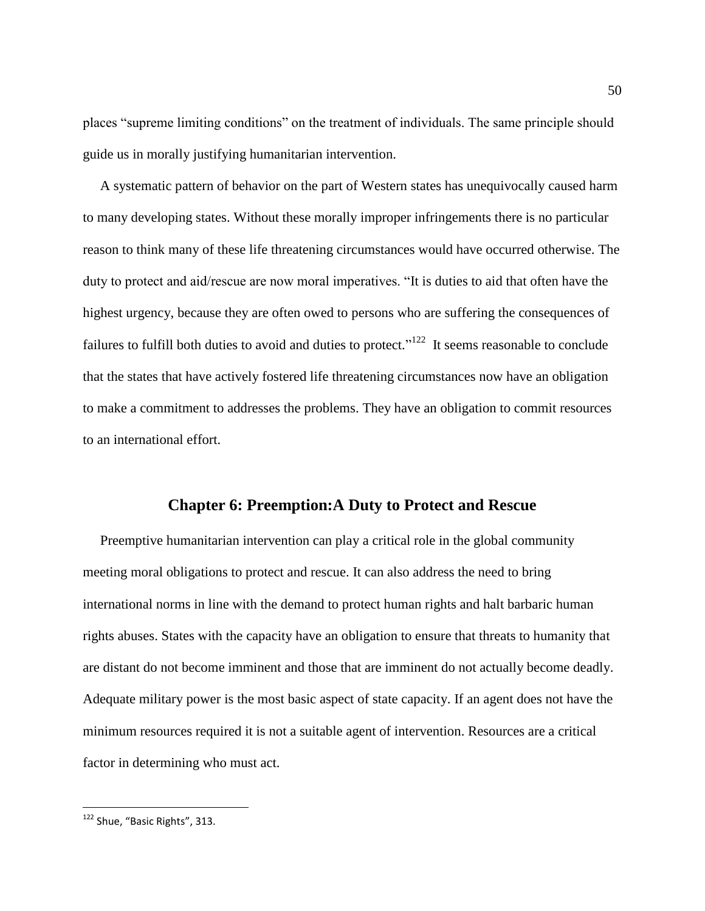places "supreme limiting conditions" on the treatment of individuals. The same principle should guide us in morally justifying humanitarian intervention.

 A systematic pattern of behavior on the part of Western states has unequivocally caused harm to many developing states. Without these morally improper infringements there is no particular reason to think many of these life threatening circumstances would have occurred otherwise. The duty to protect and aid/rescue are now moral imperatives. "It is duties to aid that often have the highest urgency, because they are often owed to persons who are suffering the consequences of failures to fulfill both duties to avoid and duties to protect."<sup>122</sup> It seems reasonable to conclude that the states that have actively fostered life threatening circumstances now have an obligation to make a commitment to addresses the problems. They have an obligation to commit resources to an international effort.

## **Chapter 6: Preemption:A Duty to Protect and Rescue**

 Preemptive humanitarian intervention can play a critical role in the global community meeting moral obligations to protect and rescue. It can also address the need to bring international norms in line with the demand to protect human rights and halt barbaric human rights abuses. States with the capacity have an obligation to ensure that threats to humanity that are distant do not become imminent and those that are imminent do not actually become deadly. Adequate military power is the most basic aspect of state capacity. If an agent does not have the minimum resources required it is not a suitable agent of intervention. Resources are a critical factor in determining who must act.

<sup>&</sup>lt;sup>122</sup> Shue, "Basic Rights", 313.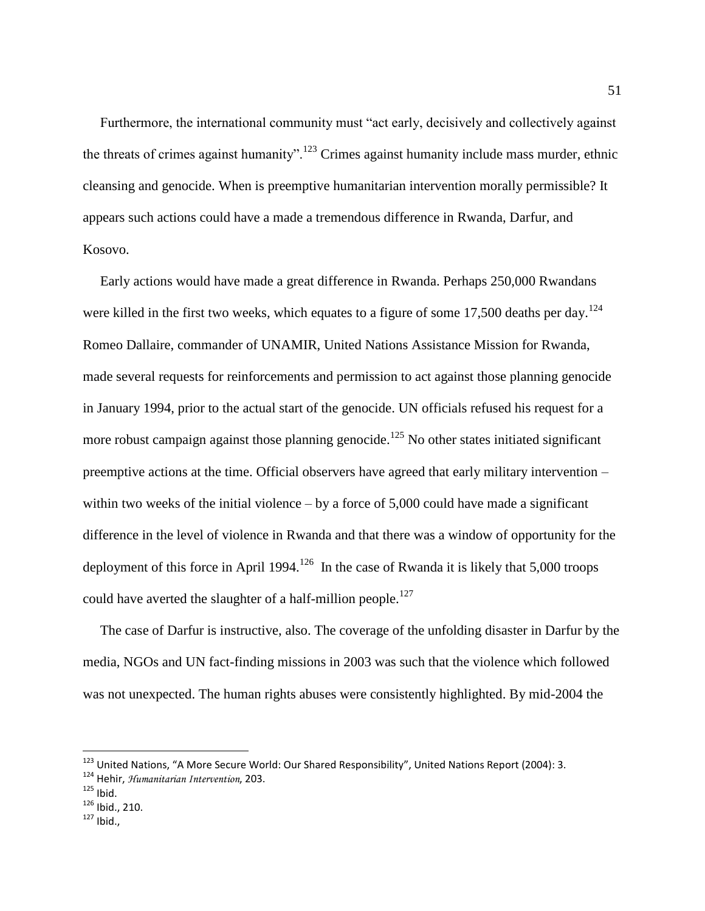Furthermore, the international community must "act early, decisively and collectively against the threats of crimes against humanity".<sup>123</sup> Crimes against humanity include mass murder, ethnic cleansing and genocide. When is preemptive humanitarian intervention morally permissible? It appears such actions could have a made a tremendous difference in Rwanda, Darfur, and Kosovo.

 Early actions would have made a great difference in Rwanda. Perhaps 250,000 Rwandans were killed in the first two weeks, which equates to a figure of some 17,500 deaths per day.<sup>124</sup> Romeo Dallaire, commander of UNAMIR, United Nations Assistance Mission for Rwanda, made several requests for reinforcements and permission to act against those planning genocide in January 1994, prior to the actual start of the genocide. UN officials refused his request for a more robust campaign against those planning genocide.<sup>125</sup> No other states initiated significant preemptive actions at the time. Official observers have agreed that early military intervention – within two weeks of the initial violence – by a force of  $5,000$  could have made a significant difference in the level of violence in Rwanda and that there was a window of opportunity for the deployment of this force in April 1994.<sup>126</sup> In the case of Rwanda it is likely that 5,000 troops could have averted the slaughter of a half-million people.<sup>127</sup>

 The case of Darfur is instructive, also. The coverage of the unfolding disaster in Darfur by the media, NGOs and UN fact-finding missions in 2003 was such that the violence which followed was not unexpected. The human rights abuses were consistently highlighted. By mid-2004 the

<sup>&</sup>lt;sup>123</sup> United Nations, "A More Secure World: Our Shared Responsibility", United Nations Report (2004): 3.

<sup>124</sup> Hehir, *Humanitarian Intervention*, 203.

 $125$  Ibid.

<sup>126</sup> Ibid., 210.

 $127$  Ibid.,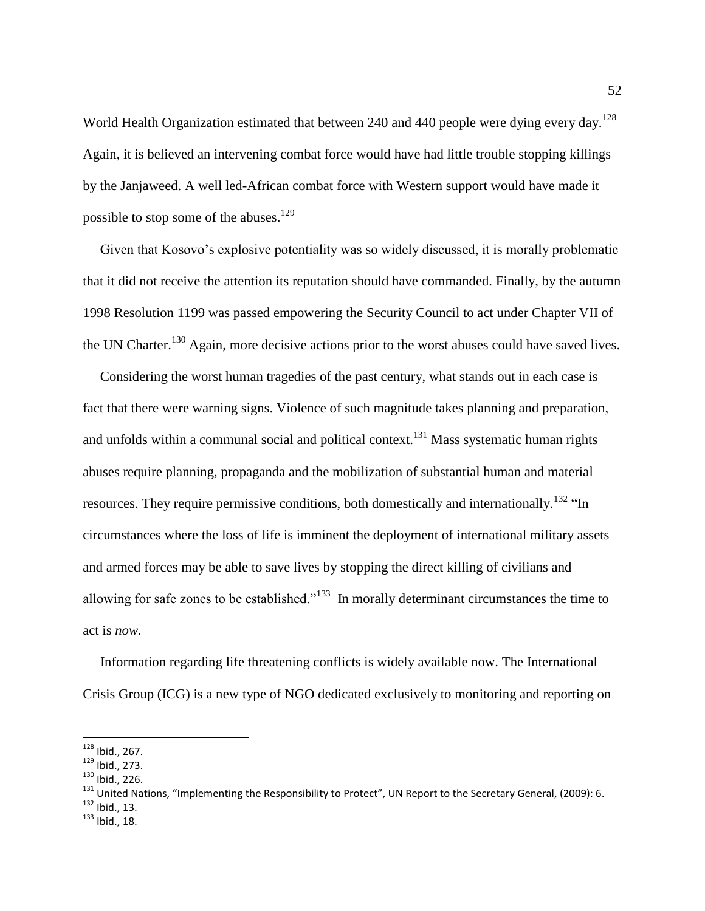World Health Organization estimated that between 240 and 440 people were dying every day.<sup>128</sup> Again, it is believed an intervening combat force would have had little trouble stopping killings by the Janjaweed. A well led-African combat force with Western support would have made it possible to stop some of the abuses.<sup>129</sup>

 Given that Kosovo's explosive potentiality was so widely discussed, it is morally problematic that it did not receive the attention its reputation should have commanded. Finally, by the autumn 1998 Resolution 1199 was passed empowering the Security Council to act under Chapter VII of the UN Charter.<sup>130</sup> Again, more decisive actions prior to the worst abuses could have saved lives.

 Considering the worst human tragedies of the past century, what stands out in each case is fact that there were warning signs. Violence of such magnitude takes planning and preparation, and unfolds within a communal social and political context.<sup>131</sup> Mass systematic human rights abuses require planning, propaganda and the mobilization of substantial human and material resources. They require permissive conditions, both domestically and internationally.<sup>132</sup> "In circumstances where the loss of life is imminent the deployment of international military assets and armed forces may be able to save lives by stopping the direct killing of civilians and allowing for safe zones to be established.<sup> $133$ </sup> In morally determinant circumstances the time to act is *now.*

 Information regarding life threatening conflicts is widely available now. The International Crisis Group (ICG) is a new type of NGO dedicated exclusively to monitoring and reporting on

<sup>&</sup>lt;sup>128</sup> Ibid., 267.

<sup>129</sup> Ibid., 273.

<sup>130</sup> Ibid., 226.

<sup>&</sup>lt;sup>131</sup> United Nations, "Implementing the Responsibility to Protect", UN Report to the Secretary General, (2009): 6.  $132$  Ibid., 13.

<sup>133</sup> Ibid., 18.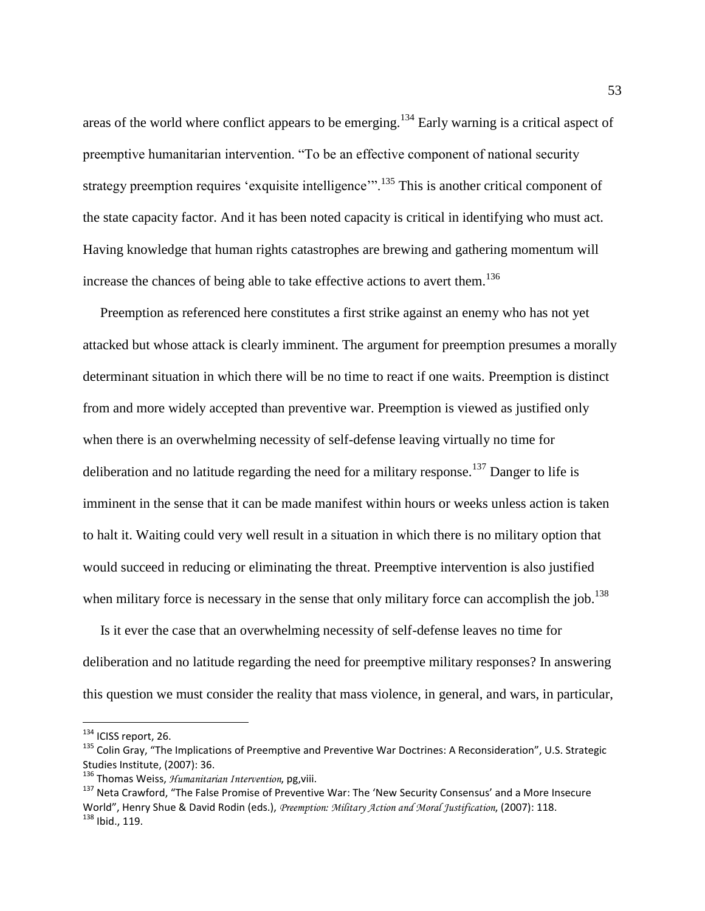areas of the world where conflict appears to be emerging.<sup>134</sup> Early warning is a critical aspect of preemptive humanitarian intervention. "To be an effective component of national security strategy preemption requires 'exquisite intelligence'".<sup>135</sup> This is another critical component of the state capacity factor. And it has been noted capacity is critical in identifying who must act. Having knowledge that human rights catastrophes are brewing and gathering momentum will increase the chances of being able to take effective actions to avert them.<sup>136</sup>

 Preemption as referenced here constitutes a first strike against an enemy who has not yet attacked but whose attack is clearly imminent. The argument for preemption presumes a morally determinant situation in which there will be no time to react if one waits. Preemption is distinct from and more widely accepted than preventive war. Preemption is viewed as justified only when there is an overwhelming necessity of self-defense leaving virtually no time for deliberation and no latitude regarding the need for a military response.<sup>137</sup> Danger to life is imminent in the sense that it can be made manifest within hours or weeks unless action is taken to halt it. Waiting could very well result in a situation in which there is no military option that would succeed in reducing or eliminating the threat. Preemptive intervention is also justified when military force is necessary in the sense that only military force can accomplish the job.<sup>138</sup>

 Is it ever the case that an overwhelming necessity of self-defense leaves no time for deliberation and no latitude regarding the need for preemptive military responses? In answering this question we must consider the reality that mass violence, in general, and wars, in particular,

<sup>134</sup> ICISS report, 26.

<sup>&</sup>lt;sup>135</sup> Colin Gray, "The Implications of Preemptive and Preventive War Doctrines: A Reconsideration", U.S. Strategic Studies Institute, (2007): 36.

<sup>136</sup> Thomas Weiss, *Humanitarian Intervention*, pg,viii.

<sup>&</sup>lt;sup>137</sup> Neta Crawford, "The False Promise of Preventive War: The 'New Security Consensus' and a More Insecure World", Henry Shue & David Rodin (eds.), *Preemption: Military Action and Moral Justification*, (2007): 118. <sup>138</sup> Ibid., 119.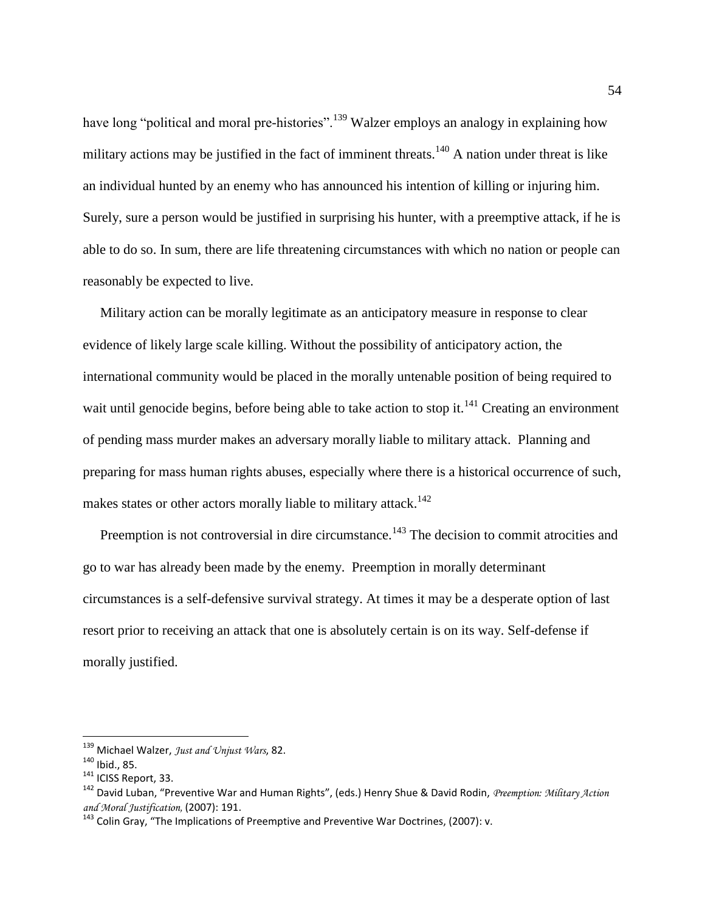have long "political and moral pre-histories".<sup>139</sup> Walzer employs an analogy in explaining how military actions may be justified in the fact of imminent threats.<sup>140</sup> A nation under threat is like an individual hunted by an enemy who has announced his intention of killing or injuring him. Surely, sure a person would be justified in surprising his hunter, with a preemptive attack, if he is able to do so. In sum, there are life threatening circumstances with which no nation or people can reasonably be expected to live.

 Military action can be morally legitimate as an anticipatory measure in response to clear evidence of likely large scale killing. Without the possibility of anticipatory action, the international community would be placed in the morally untenable position of being required to wait until genocide begins, before being able to take action to stop it.<sup>141</sup> Creating an environment of pending mass murder makes an adversary morally liable to military attack. Planning and preparing for mass human rights abuses, especially where there is a historical occurrence of such, makes states or other actors morally liable to military attack.<sup>142</sup>

Preemption is not controversial in dire circumstance.<sup>143</sup> The decision to commit atrocities and go to war has already been made by the enemy. Preemption in morally determinant circumstances is a self-defensive survival strategy. At times it may be a desperate option of last resort prior to receiving an attack that one is absolutely certain is on its way. Self-defense if morally justified.

<sup>139</sup> Michael Walzer, *Just and Unjust Wars*, 82.

<sup>140</sup> Ibid., 85.

<sup>141</sup> ICISS Report, 33.

<sup>142</sup> David Luban, "Preventive War and Human Rights", (eds.) Henry Shue & David Rodin, *Preemption: Military Action and Moral Justification,* (2007): 191.

<sup>&</sup>lt;sup>143</sup> Colin Grav. "The Implications of Preemptive and Preventive War Doctrines, (2007): v.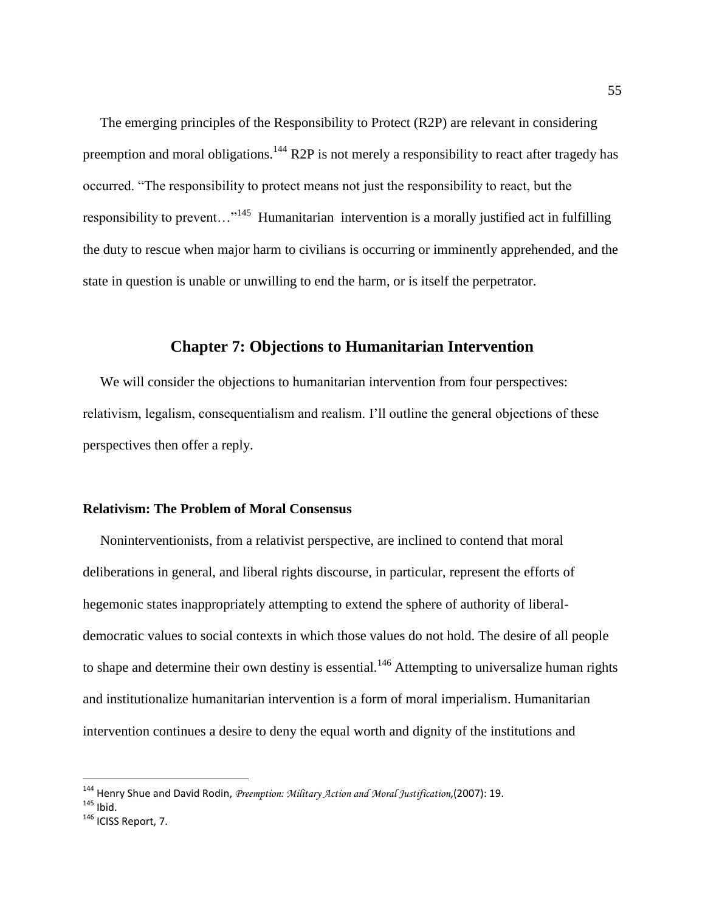The emerging principles of the Responsibility to Protect (R2P) are relevant in considering preemption and moral obligations.<sup>144</sup> R2P is not merely a responsibility to react after tragedy has occurred. "The responsibility to protect means not just the responsibility to react, but the responsibility to prevent..."<sup>145</sup> Humanitarian intervention is a morally justified act in fulfilling the duty to rescue when major harm to civilians is occurring or imminently apprehended, and the state in question is unable or unwilling to end the harm, or is itself the perpetrator.

### **Chapter 7: Objections to Humanitarian Intervention**

 We will consider the objections to humanitarian intervention from four perspectives: relativism, legalism, consequentialism and realism. I'll outline the general objections of these perspectives then offer a reply.

#### **Relativism: The Problem of Moral Consensus**

 Noninterventionists, from a relativist perspective, are inclined to contend that moral deliberations in general, and liberal rights discourse, in particular, represent the efforts of hegemonic states inappropriately attempting to extend the sphere of authority of liberaldemocratic values to social contexts in which those values do not hold. The desire of all people to shape and determine their own destiny is essential.<sup>146</sup> Attempting to universalize human rights and institutionalize humanitarian intervention is a form of moral imperialism. Humanitarian intervention continues a desire to deny the equal worth and dignity of the institutions and

<sup>144</sup> Henry Shue and David Rodin, *Preemption: Military Action and Moral Justification*,(2007): 19.

 $145$  Ibid.

<sup>&</sup>lt;sup>146</sup> ICISS Report, 7.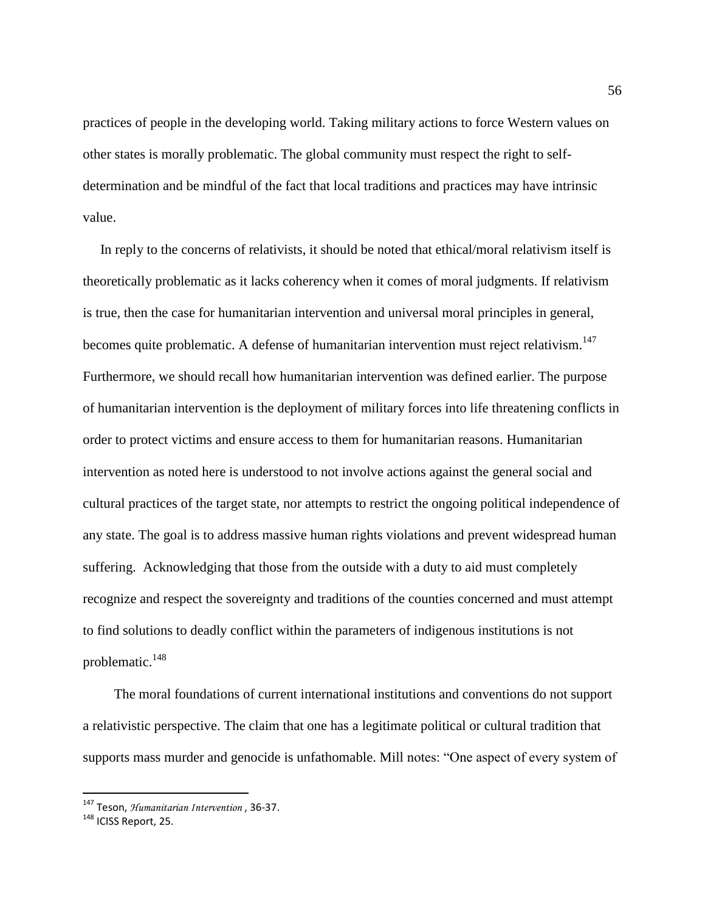practices of people in the developing world. Taking military actions to force Western values on other states is morally problematic. The global community must respect the right to selfdetermination and be mindful of the fact that local traditions and practices may have intrinsic value.

 In reply to the concerns of relativists, it should be noted that ethical/moral relativism itself is theoretically problematic as it lacks coherency when it comes of moral judgments. If relativism is true, then the case for humanitarian intervention and universal moral principles in general, becomes quite problematic. A defense of humanitarian intervention must reject relativism.<sup>147</sup> Furthermore, we should recall how humanitarian intervention was defined earlier. The purpose of humanitarian intervention is the deployment of military forces into life threatening conflicts in order to protect victims and ensure access to them for humanitarian reasons. Humanitarian intervention as noted here is understood to not involve actions against the general social and cultural practices of the target state, nor attempts to restrict the ongoing political independence of any state. The goal is to address massive human rights violations and prevent widespread human suffering. Acknowledging that those from the outside with a duty to aid must completely recognize and respect the sovereignty and traditions of the counties concerned and must attempt to find solutions to deadly conflict within the parameters of indigenous institutions is not problematic. $148$ 

 The moral foundations of current international institutions and conventions do not support a relativistic perspective. The claim that one has a legitimate political or cultural tradition that supports mass murder and genocide is unfathomable. Mill notes: "One aspect of every system of

<sup>147</sup> Teson, *Humanitarian Intervention* , 36-37.

<sup>148</sup> ICISS Report, 25.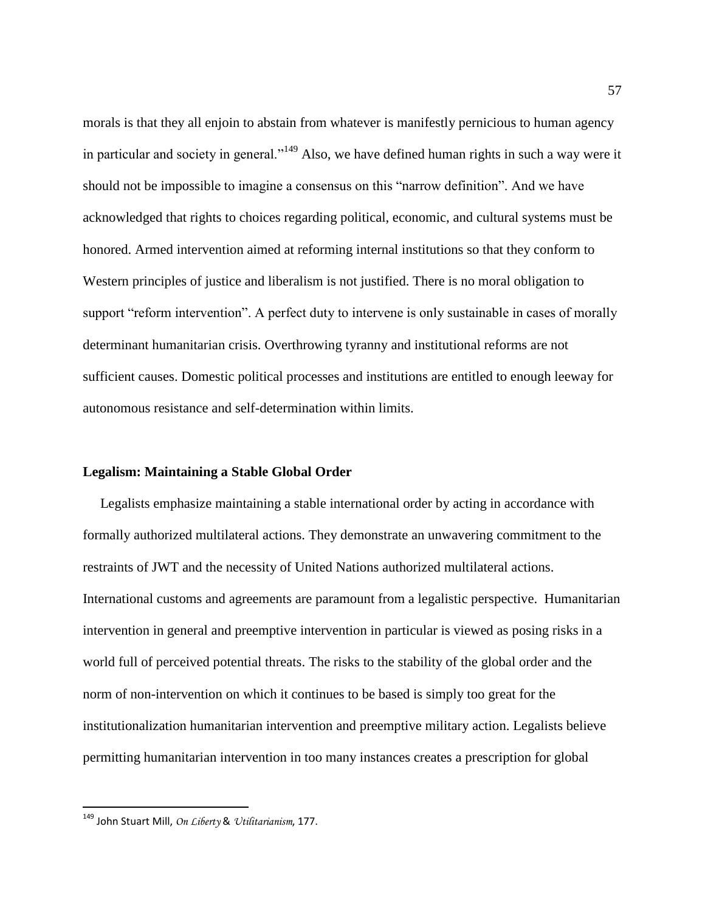morals is that they all enjoin to abstain from whatever is manifestly pernicious to human agency in particular and society in general."<sup>149</sup> Also, we have defined human rights in such a way were it should not be impossible to imagine a consensus on this "narrow definition". And we have acknowledged that rights to choices regarding political, economic, and cultural systems must be honored. Armed intervention aimed at reforming internal institutions so that they conform to Western principles of justice and liberalism is not justified. There is no moral obligation to support "reform intervention". A perfect duty to intervene is only sustainable in cases of morally determinant humanitarian crisis. Overthrowing tyranny and institutional reforms are not sufficient causes. Domestic political processes and institutions are entitled to enough leeway for autonomous resistance and self-determination within limits.

#### **Legalism: Maintaining a Stable Global Order**

 Legalists emphasize maintaining a stable international order by acting in accordance with formally authorized multilateral actions. They demonstrate an unwavering commitment to the restraints of JWT and the necessity of United Nations authorized multilateral actions. International customs and agreements are paramount from a legalistic perspective. Humanitarian intervention in general and preemptive intervention in particular is viewed as posing risks in a world full of perceived potential threats. The risks to the stability of the global order and the norm of non-intervention on which it continues to be based is simply too great for the institutionalization humanitarian intervention and preemptive military action. Legalists believe permitting humanitarian intervention in too many instances creates a prescription for global

<sup>149</sup> John Stuart Mill, *On Liberty* & *Utilitarianism*, 177.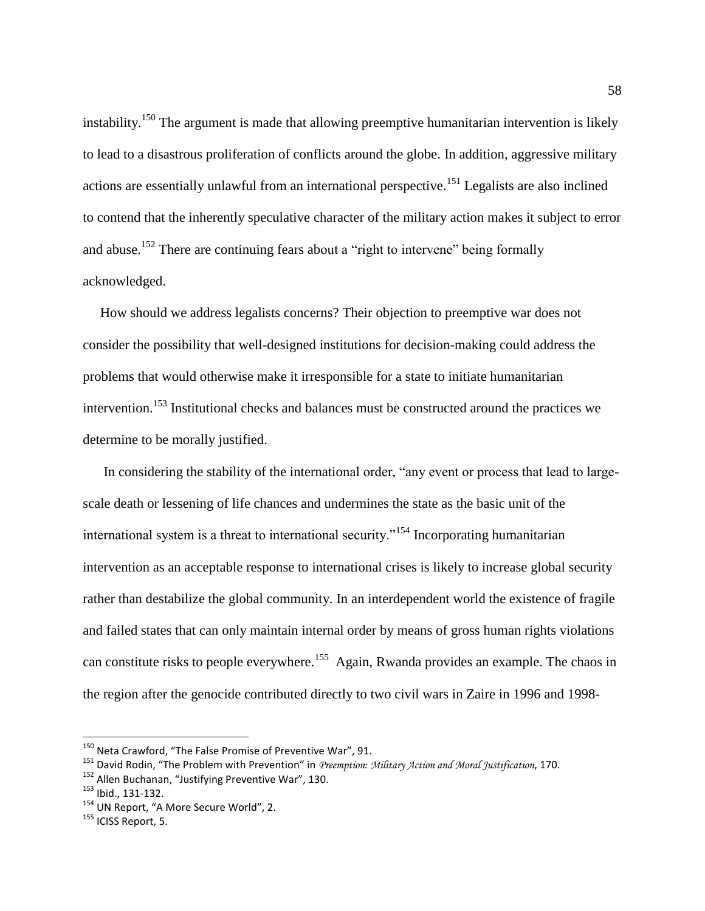instability.<sup>150</sup> The argument is made that allowing preemptive humanitarian intervention is likely to lead to a disastrous proliferation of conflicts around the globe. In addition, aggressive military actions are essentially unlawful from an international perspective.<sup>151</sup> Legalists are also inclined to contend that the inherently speculative character of the military action makes it subject to error and abuse.<sup>152</sup> There are continuing fears about a "right to intervene" being formally acknowledged.

 How should we address legalists concerns? Their objection to preemptive war does not consider the possibility that well-designed institutions for decision-making could address the problems that would otherwise make it irresponsible for a state to initiate humanitarian intervention.<sup>153</sup> Institutional checks and balances must be constructed around the practices we determine to be morally justified.

 In considering the stability of the international order, "any event or process that lead to largescale death or lessening of life chances and undermines the state as the basic unit of the international system is a threat to international security."<sup>154</sup> Incorporating humanitarian intervention as an acceptable response to international crises is likely to increase global security rather than destabilize the global community. In an interdependent world the existence of fragile and failed states that can only maintain internal order by means of gross human rights violations can constitute risks to people everywhere.<sup>155</sup> Again, Rwanda provides an example. The chaos in the region after the genocide contributed directly to two civil wars in Zaire in 1996 and 1998-

 $^{150}$  Neta Crawford, "The False Promise of Preventive War", 91.

<sup>151</sup> David Rodin, "The Problem with Prevention" in *Preemption: Military Action and Moral Justification*, 170.

<sup>152</sup> Allen Buchanan, "Justifying Preventive War", 130.

<sup>153</sup> Ibid., 131-132.

<sup>&</sup>lt;sup>154</sup> UN Report, "A More Secure World", 2.

 $155$  ICISS Report, 5.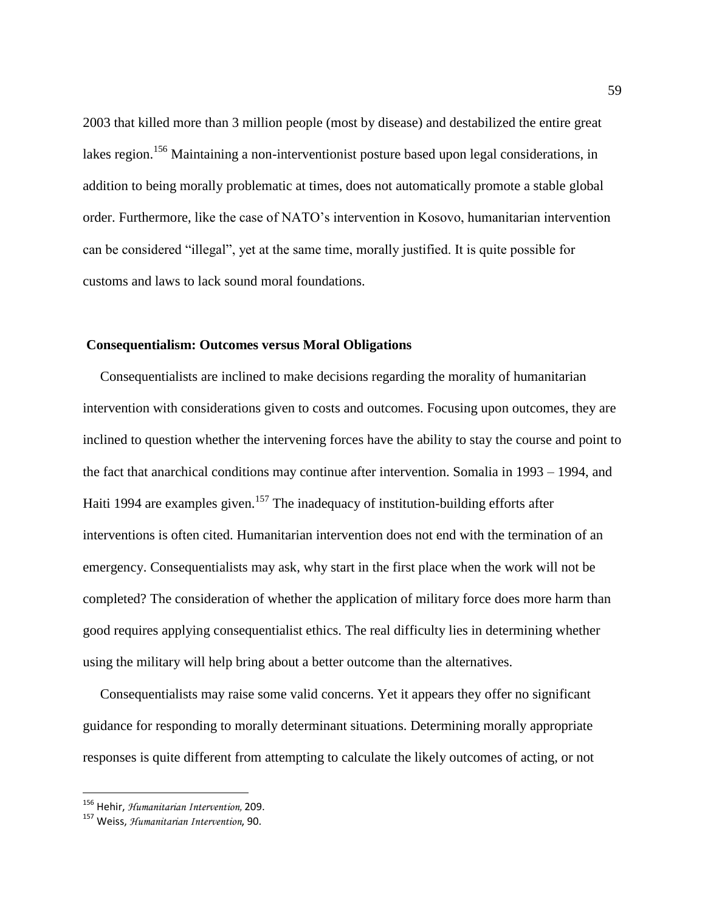2003 that killed more than 3 million people (most by disease) and destabilized the entire great lakes region.<sup>156</sup> Maintaining a non-interventionist posture based upon legal considerations, in addition to being morally problematic at times, does not automatically promote a stable global order. Furthermore, like the case of NATO's intervention in Kosovo, humanitarian intervention can be considered "illegal", yet at the same time, morally justified. It is quite possible for customs and laws to lack sound moral foundations.

#### **Consequentialism: Outcomes versus Moral Obligations**

 Consequentialists are inclined to make decisions regarding the morality of humanitarian intervention with considerations given to costs and outcomes. Focusing upon outcomes, they are inclined to question whether the intervening forces have the ability to stay the course and point to the fact that anarchical conditions may continue after intervention. Somalia in 1993 – 1994, and Haiti 1994 are examples given.<sup>157</sup> The inadequacy of institution-building efforts after interventions is often cited. Humanitarian intervention does not end with the termination of an emergency. Consequentialists may ask, why start in the first place when the work will not be completed? The consideration of whether the application of military force does more harm than good requires applying consequentialist ethics. The real difficulty lies in determining whether using the military will help bring about a better outcome than the alternatives.

 Consequentialists may raise some valid concerns. Yet it appears they offer no significant guidance for responding to morally determinant situations. Determining morally appropriate responses is quite different from attempting to calculate the likely outcomes of acting, or not

<sup>156</sup> Hehir, *Humanitarian Intervention,* 209.

<sup>157</sup> Weiss, *Humanitarian Intervention*, 90.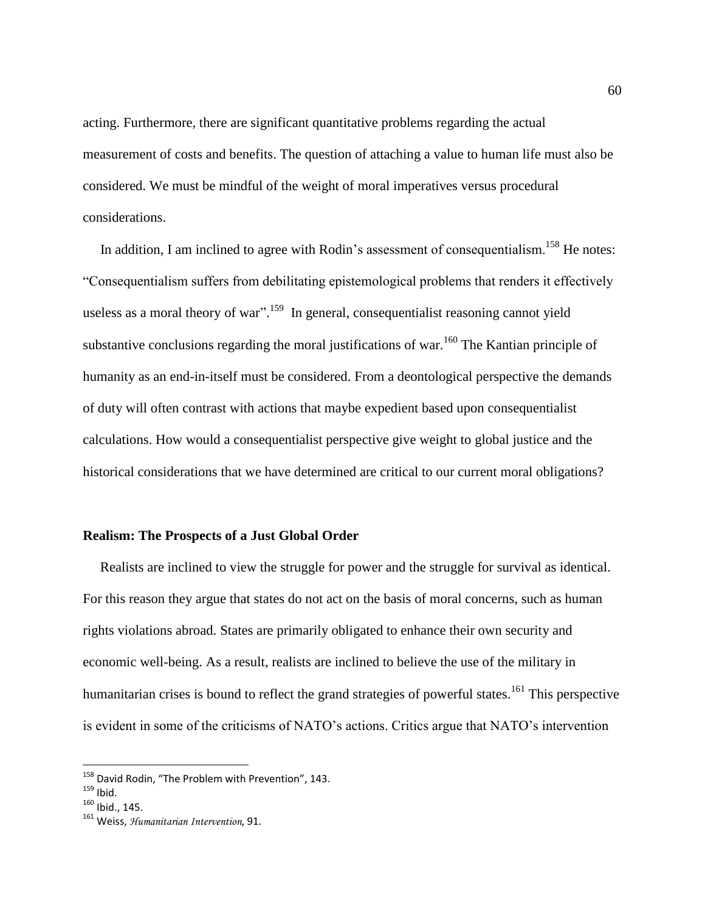acting. Furthermore, there are significant quantitative problems regarding the actual measurement of costs and benefits. The question of attaching a value to human life must also be considered. We must be mindful of the weight of moral imperatives versus procedural considerations.

In addition, I am inclined to agree with Rodin's assessment of consequentialism.<sup>158</sup> He notes: "Consequentialism suffers from debilitating epistemological problems that renders it effectively useless as a moral theory of war".<sup>159</sup> In general, consequentialist reasoning cannot yield substantive conclusions regarding the moral justifications of war.<sup>160</sup> The Kantian principle of humanity as an end-in-itself must be considered. From a deontological perspective the demands of duty will often contrast with actions that maybe expedient based upon consequentialist calculations. How would a consequentialist perspective give weight to global justice and the historical considerations that we have determined are critical to our current moral obligations?

#### **Realism: The Prospects of a Just Global Order**

 Realists are inclined to view the struggle for power and the struggle for survival as identical. For this reason they argue that states do not act on the basis of moral concerns, such as human rights violations abroad. States are primarily obligated to enhance their own security and economic well-being. As a result, realists are inclined to believe the use of the military in humanitarian crises is bound to reflect the grand strategies of powerful states.<sup>161</sup> This perspective is evident in some of the criticisms of NATO's actions. Critics argue that NATO's intervention

<sup>&</sup>lt;sup>158</sup> David Rodin, "The Problem with Prevention", 143.

 $159$  Ibid.

 $160$  Ibid., 145.

<sup>161</sup> Weiss, *Humanitarian Intervention*, 91.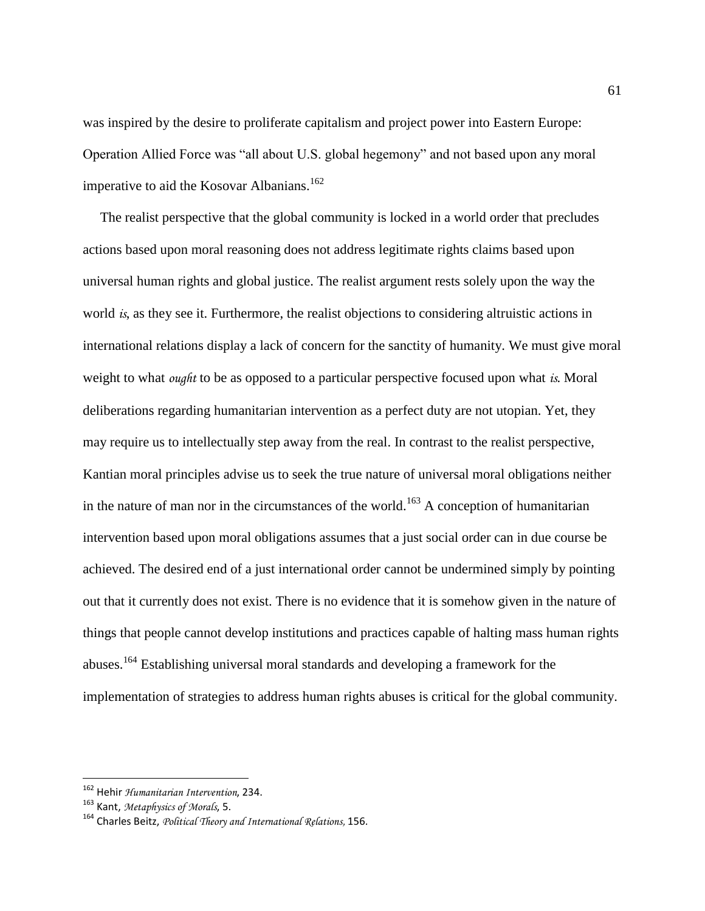was inspired by the desire to proliferate capitalism and project power into Eastern Europe: Operation Allied Force was "all about U.S. global hegemony" and not based upon any moral imperative to aid the Kosovar Albanians.<sup>162</sup>

 The realist perspective that the global community is locked in a world order that precludes actions based upon moral reasoning does not address legitimate rights claims based upon universal human rights and global justice. The realist argument rests solely upon the way the world *is*, as they see it. Furthermore, the realist objections to considering altruistic actions in international relations display a lack of concern for the sanctity of humanity. We must give moral weight to what *ought* to be as opposed to a particular perspective focused upon what *is*. Moral deliberations regarding humanitarian intervention as a perfect duty are not utopian. Yet, they may require us to intellectually step away from the real. In contrast to the realist perspective, Kantian moral principles advise us to seek the true nature of universal moral obligations neither in the nature of man nor in the circumstances of the world.<sup>163</sup> A conception of humanitarian intervention based upon moral obligations assumes that a just social order can in due course be achieved. The desired end of a just international order cannot be undermined simply by pointing out that it currently does not exist. There is no evidence that it is somehow given in the nature of things that people cannot develop institutions and practices capable of halting mass human rights abuses.<sup>164</sup> Establishing universal moral standards and developing a framework for the implementation of strategies to address human rights abuses is critical for the global community.

<sup>162</sup> Hehir *Humanitarian Intervention*, 234.

<sup>163</sup> Kant, *Metaphysics of Morals*, 5.

<sup>164</sup> Charles Beitz, *Political Theory and International Relations,* 156.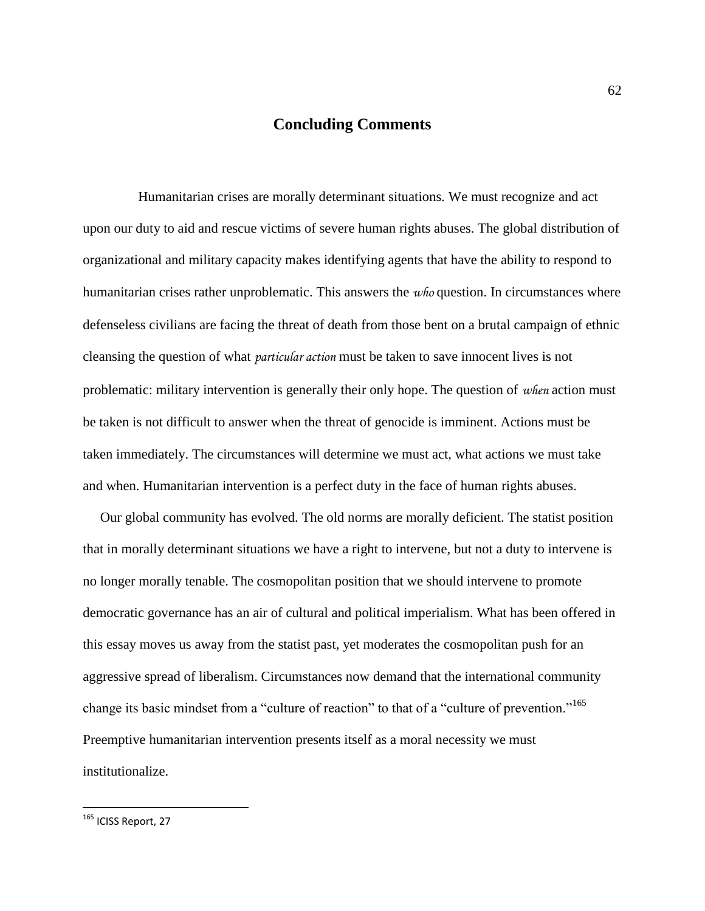## **Concluding Comments**

 Humanitarian crises are morally determinant situations. We must recognize and act upon our duty to aid and rescue victims of severe human rights abuses. The global distribution of organizational and military capacity makes identifying agents that have the ability to respond to humanitarian crises rather unproblematic. This answers the *who* question. In circumstances where defenseless civilians are facing the threat of death from those bent on a brutal campaign of ethnic cleansing the question of what *particular action* must be taken to save innocent lives is not problematic: military intervention is generally their only hope. The question of *when* action must be taken is not difficult to answer when the threat of genocide is imminent. Actions must be taken immediately. The circumstances will determine we must act, what actions we must take and when. Humanitarian intervention is a perfect duty in the face of human rights abuses.

 Our global community has evolved. The old norms are morally deficient. The statist position that in morally determinant situations we have a right to intervene, but not a duty to intervene is no longer morally tenable. The cosmopolitan position that we should intervene to promote democratic governance has an air of cultural and political imperialism. What has been offered in this essay moves us away from the statist past, yet moderates the cosmopolitan push for an aggressive spread of liberalism. Circumstances now demand that the international community change its basic mindset from a "culture of reaction" to that of a "culture of prevention."<sup>165</sup> Preemptive humanitarian intervention presents itself as a moral necessity we must institutionalize.

<sup>&</sup>lt;sup>165</sup> ICISS Report, 27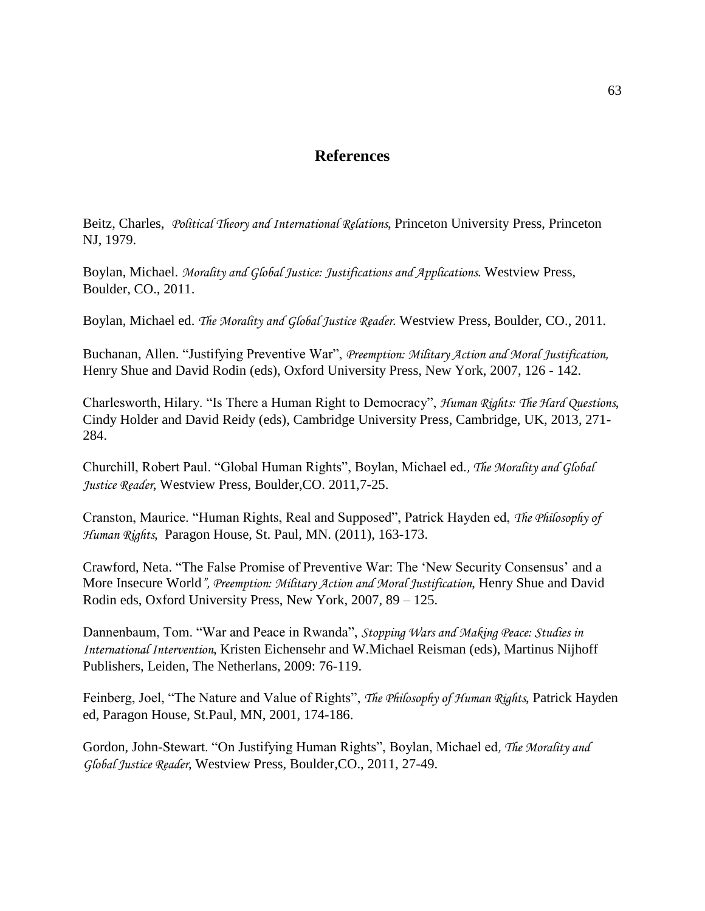## **References**

Beitz, Charles, *Political Theory and International Relations*, Princeton University Press, Princeton NJ, 1979.

Boylan, Michael. *Morality and Global Justice: Justifications and Applications*. Westview Press, Boulder, CO., 2011.

Boylan, Michael ed. *The Morality and Global Justice Reader*. Westview Press, Boulder, CO., 2011.

Buchanan, Allen. "Justifying Preventive War", *Preemption: Military Action and Moral Justification,* Henry Shue and David Rodin (eds), Oxford University Press, New York, 2007, 126 - 142.

Charlesworth, Hilary. "Is There a Human Right to Democracy", *Human Rights: The Hard Questions*, Cindy Holder and David Reidy (eds), Cambridge University Press, Cambridge, UK, 2013, 271- 284.

Churchill, Robert Paul. "Global Human Rights", Boylan, Michael ed.*, The Morality and Global Justice Reader*, Westview Press, Boulder,CO. 2011,7-25.

Cranston, Maurice. "Human Rights, Real and Supposed", Patrick Hayden ed, *The Philosophy of Human Rights*, Paragon House, St. Paul, MN. (2011), 163-173.

Crawford, Neta. "The False Promise of Preventive War: The 'New Security Consensus' and a More Insecure World*", Preemption: Military Action and Moral Justification*, Henry Shue and David Rodin eds, Oxford University Press, New York, 2007, 89 – 125.

Dannenbaum, Tom. "War and Peace in Rwanda", *Stopping Wars and Making Peace: Studies in International Intervention*, Kristen Eichensehr and W.Michael Reisman (eds), Martinus Nijhoff Publishers, Leiden, The Netherlans, 2009: 76-119.

Feinberg, Joel, "The Nature and Value of Rights", *The Philosophy of Human Rights*, Patrick Hayden ed, Paragon House, St.Paul, MN, 2001, 174-186.

Gordon, John-Stewart. "On Justifying Human Rights", Boylan, Michael ed*, The Morality and Global Justice Reader*, Westview Press, Boulder,CO., 2011, 27-49.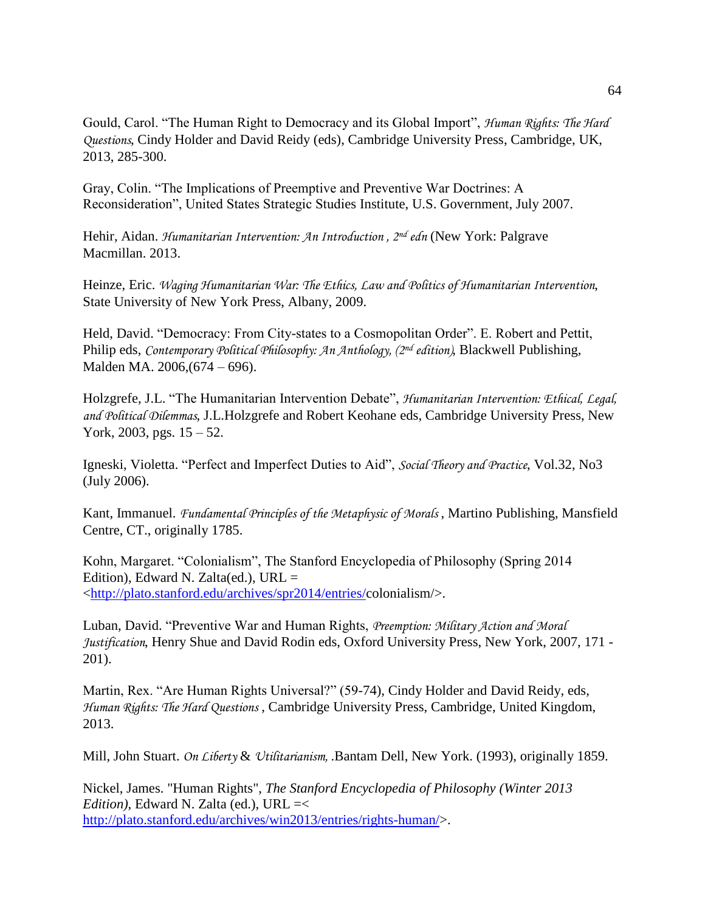Gould, Carol. "The Human Right to Democracy and its Global Import", *Human Rights: The Hard Questions*, Cindy Holder and David Reidy (eds), Cambridge University Press, Cambridge, UK, 2013, 285-300.

Gray, Colin. "The Implications of Preemptive and Preventive War Doctrines: A Reconsideration", United States Strategic Studies Institute, U.S. Government, July 2007.

Hehir, Aidan. *Humanitarian Intervention: An Introduction , 2nd edn* (New York: Palgrave Macmillan. 2013.

Heinze, Eric. *Waging Humanitarian War: The Ethics, Law and Politics of Humanitarian Intervention*, State University of New York Press, Albany, 2009.

Held, David. "Democracy: From City-states to a Cosmopolitan Order". E. Robert and Pettit, Philip eds, *Contemporary Political Philosophy: An Anthology, (2nd edition)*, Blackwell Publishing, Malden MA. 2006,(674 – 696).

Holzgrefe, J.L. "The Humanitarian Intervention Debate", *Humanitarian Intervention: Ethical, Legal, and Political Dilemmas*, J.L.Holzgrefe and Robert Keohane eds, Cambridge University Press, New York, 2003, pgs. 15 – 52.

Igneski, Violetta. "Perfect and Imperfect Duties to Aid", *Social Theory and Practice*, Vol.32, No3 (July 2006).

Kant, Immanuel. *Fundamental Principles of the Metaphysic of Morals* , Martino Publishing, Mansfield Centre, CT., originally 1785.

Kohn, Margaret. "Colonialism", The Stanford Encyclopedia of Philosophy (Spring 2014 Edition), Edward N. Zalta(ed.), URL  $=$ [<http://plato.stanford.edu/archives/spr2014/entries/c](http://plato.stanford.edu/archives/spr2014/entries/)olonialism/>.

Luban, David. "Preventive War and Human Rights, *Preemption: Military Action and Moral Justification*, Henry Shue and David Rodin eds, Oxford University Press, New York, 2007, 171 - 201).

Martin, Rex. "Are Human Rights Universal?" (59-74), Cindy Holder and David Reidy, eds, *Human Rights: The Hard Questions* , Cambridge University Press, Cambridge, United Kingdom, 2013.

Mill, John Stuart. *On Liberty* & *Utilitarianism,* .Bantam Dell, New York. (1993), originally 1859.

Nickel, James. "Human Rights", *The Stanford Encyclopedia of Philosophy (Winter 2013 Edition*), Edward N. Zalta (ed.), URL =< [http://plato.stanford.edu/archives/win2013/entries/rights-human/>](http://plato.stanford.edu/archives/win2013/entries/rights-human/).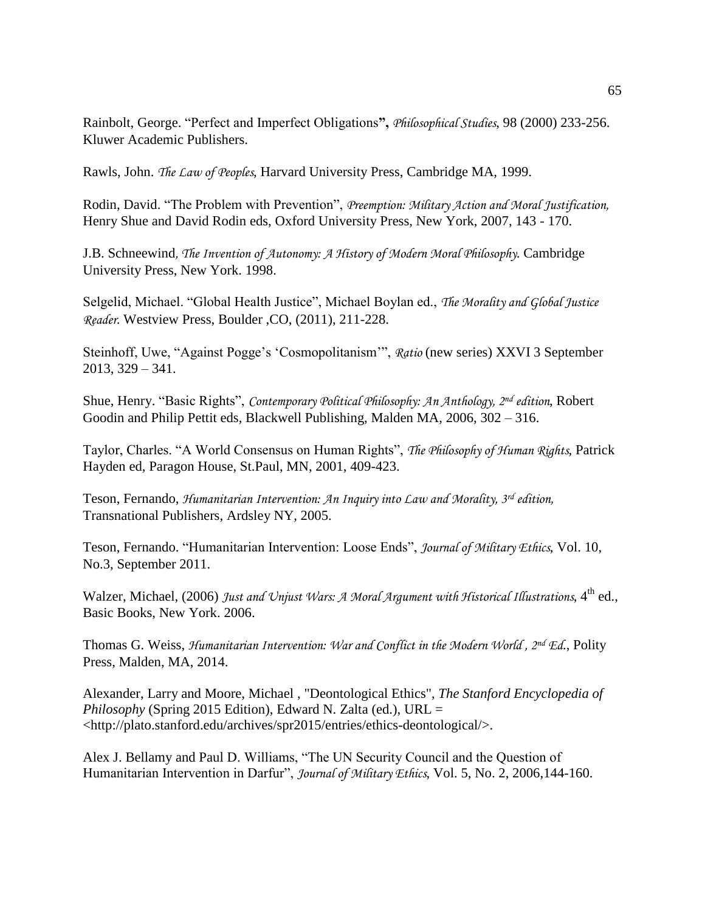Rainbolt, George. "Perfect and Imperfect Obligations**",** *Philosophical Studies*, 98 (2000) 233-256. Kluwer Academic Publishers.

Rawls, John. *The Law of Peoples*, Harvard University Press, Cambridge MA, 1999.

Rodin, David. "The Problem with Prevention", *Preemption: Military Action and Moral Justification,* Henry Shue and David Rodin eds, Oxford University Press, New York, 2007, 143 - 170.

J.B. Schneewind*, The Invention of Autonomy: A History of Modern Moral Philosophy*. Cambridge University Press, New York. 1998.

Selgelid, Michael. "Global Health Justice", Michael Boylan ed., *The Morality and Global Justice Reader*. Westview Press, Boulder ,CO, (2011), 211-228.

Steinhoff, Uwe, "Against Pogge's 'Cosmopolitanism'", *Ratio* (new series) XXVI 3 September 2013, 329 – 341.

Shue, Henry. "Basic Rights", *Contemporary Political Philosophy: An Anthology, 2nd edition*, Robert Goodin and Philip Pettit eds, Blackwell Publishing, Malden MA, 2006, 302 – 316.

Taylor, Charles. "A World Consensus on Human Rights", *The Philosophy of Human Rights*, Patrick Hayden ed, Paragon House, St.Paul, MN, 2001, 409-423.

Teson, Fernando, *Humanitarian Intervention: An Inquiry into Law and Morality, 3rd edition,* Transnational Publishers, Ardsley NY, 2005.

Teson, Fernando. "Humanitarian Intervention: Loose Ends", *Journal of Military Ethics*, Vol. 10, No.3, September 2011.

Walzer, Michael, (2006) *Just and Unjust Wars: A Moral Argument with Historical Illustrations*, 4<sup>th</sup> ed., Basic Books, New York. 2006.

Thomas G. Weiss, *Humanitarian Intervention: War and Conflict in the Modern World , 2nd Ed*., Polity Press, Malden, MA, 2014.

Alexander, Larry and Moore, Michael , "Deontological Ethics", *The Stanford Encyclopedia of Philosophy* (Spring 2015 Edition), Edward N. Zalta (ed.), URL = <http://plato.stanford.edu/archives/spr2015/entries/ethics-deontological/>.

Alex J. Bellamy and Paul D. Williams, "The UN Security Council and the Question of Humanitarian Intervention in Darfur", *Journal of Military Ethics*, Vol. 5, No. 2, 2006,144-160.